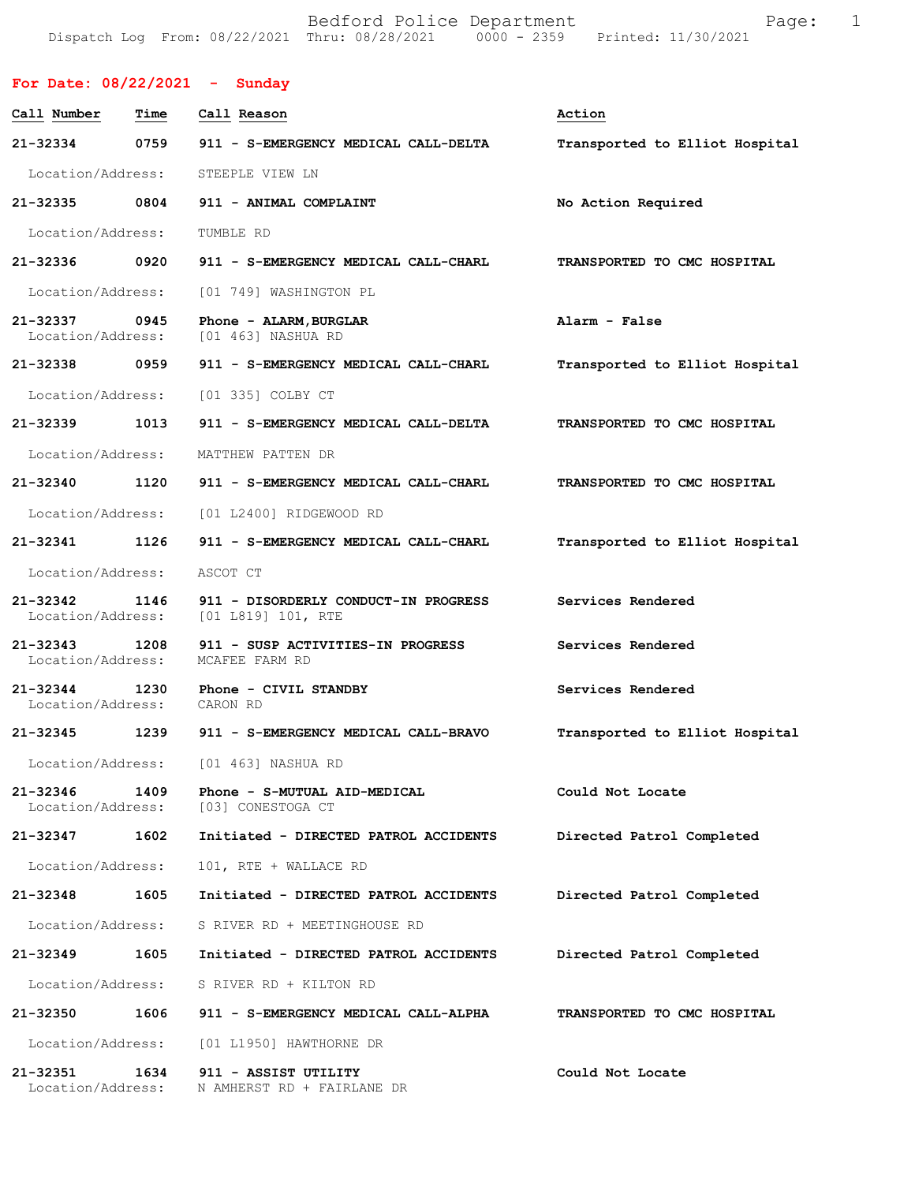Bedford Police Department The Rage: 1 Dispatch Log From: 08/22/2021 Thru: 08/28/2021 0000 - 2359 Printed: 11/30/2021

|                                    |      | For Date: $08/22/2021$ - Sunday                            |                                |
|------------------------------------|------|------------------------------------------------------------|--------------------------------|
| Call Number                        | Time | Call Reason                                                | Action                         |
| 21-32334                           | 0759 | 911 - S-EMERGENCY MEDICAL CALL-DELTA                       | Transported to Elliot Hospital |
| Location/Address:                  |      | STEEPLE VIEW LN                                            |                                |
| 21-32335 0804                      |      | 911 - ANIMAL COMPLAINT                                     | No Action Required             |
| Location/Address:                  |      | TUMBLE RD                                                  |                                |
| 21-32336 0920                      |      | 911 - S-EMERGENCY MEDICAL CALL-CHARL                       | TRANSPORTED TO CMC HOSPITAL    |
| Location/Address:                  |      | [01 749] WASHINGTON PL                                     |                                |
| 21-32337 0945<br>Location/Address: |      | Phone - ALARM, BURGLAR<br>[01 463] NASHUA RD               | Alarm - False                  |
| 21-32338 0959                      |      | 911 - S-EMERGENCY MEDICAL CALL-CHARL                       | Transported to Elliot Hospital |
| Location/Address:                  |      | [01 335] COLBY CT                                          |                                |
| 21-32339 1013                      |      | 911 - S-EMERGENCY MEDICAL CALL-DELTA                       | TRANSPORTED TO CMC HOSPITAL    |
| Location/Address:                  |      | MATTHEW PATTEN DR                                          |                                |
| 21-32340 1120                      |      | 911 - S-EMERGENCY MEDICAL CALL-CHARL                       | TRANSPORTED TO CMC HOSPITAL    |
| Location/Address:                  |      | [01 L2400] RIDGEWOOD RD                                    |                                |
| 21-32341                           | 1126 | 911 - S-EMERGENCY MEDICAL CALL-CHARL                       | Transported to Elliot Hospital |
| Location/Address:                  |      | ASCOT CT                                                   |                                |
| 21-32342<br>Location/Address:      | 1146 | 911 - DISORDERLY CONDUCT-IN PROGRESS<br>[01 L819] 101, RTE | Services Rendered              |
| 21-32343<br>Location/Address:      | 1208 | 911 - SUSP ACTIVITIES-IN PROGRESS<br>MCAFEE FARM RD        | Services Rendered              |
| 21-32344 1230<br>Location/Address: |      | Phone - CIVIL STANDBY<br>CARON RD                          | Services Rendered              |
| 21-32345                           | 1239 | 911 - S-EMERGENCY MEDICAL CALL-BRAVO                       | Transported to Elliot Hospital |
| Location/Address:                  |      | [01 463] NASHUA RD                                         |                                |
| 21-32346<br>Location/Address:      | 1409 | Phone - S-MUTUAL AID-MEDICAL<br>[03] CONESTOGA CT          | Could Not Locate               |
| 21-32347                           | 1602 | Initiated - DIRECTED PATROL ACCIDENTS                      | Directed Patrol Completed      |
| Location/Address:                  |      | 101, RTE + WALLACE RD                                      |                                |
| 21-32348                           | 1605 | Initiated - DIRECTED PATROL ACCIDENTS                      | Directed Patrol Completed      |
| Location/Address:                  |      | S RIVER RD + MEETINGHOUSE RD                               |                                |
| 21-32349                           | 1605 | Initiated - DIRECTED PATROL ACCIDENTS                      | Directed Patrol Completed      |
| Location/Address:                  |      | S RIVER RD + KILTON RD                                     |                                |
| 21-32350                           | 1606 | 911 - S-EMERGENCY MEDICAL CALL-ALPHA                       | TRANSPORTED TO CMC HOSPITAL    |
| Location/Address:                  |      | [01 L1950] HAWTHORNE DR                                    |                                |
| 21-32351<br>Location/Address:      | 1634 | 911 - ASSIST UTILITY<br>N AMHERST RD + FAIRLANE DR         | Could Not Locate               |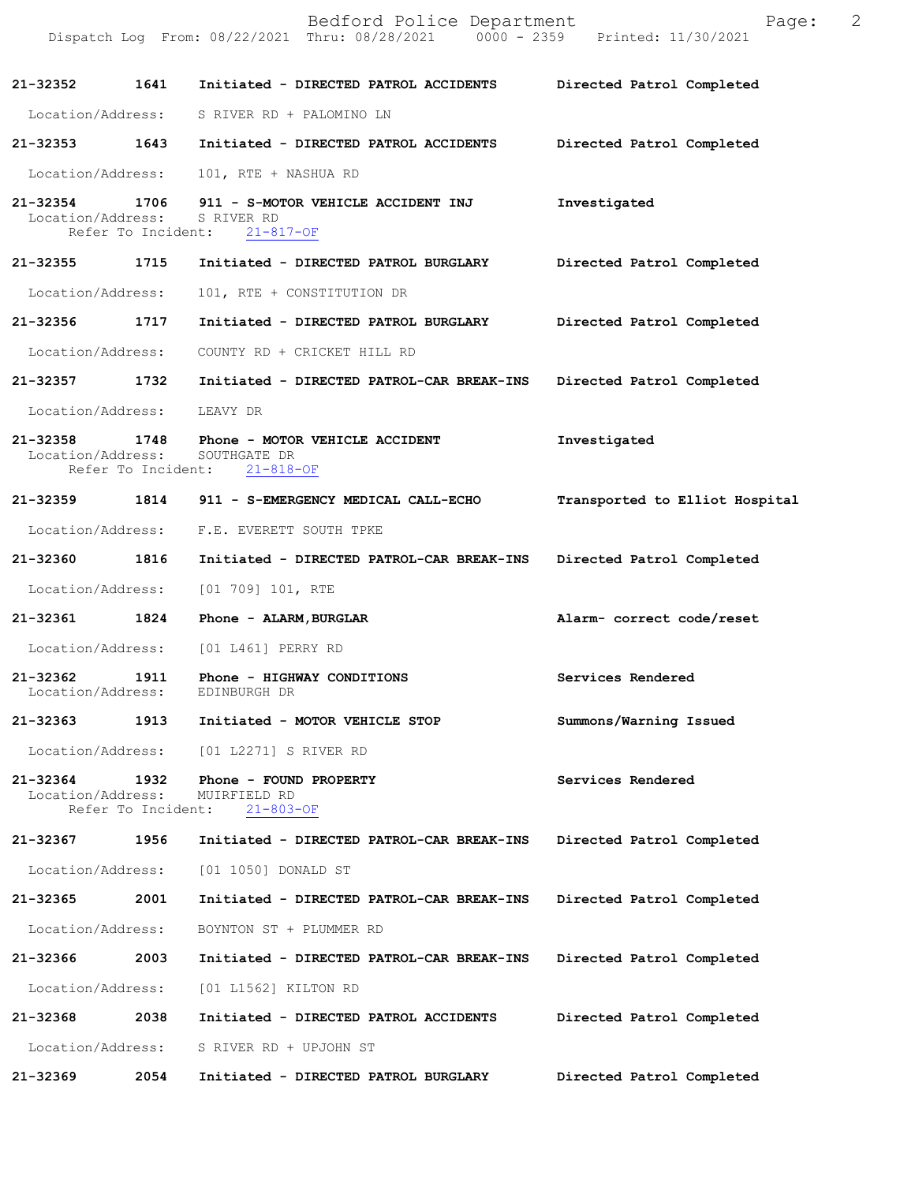|                               |                            | Bedford Police Department<br>Dispatch Log From: 08/22/2021 Thru: 08/28/2021 0000 - 2359 Printed: 11/30/2021 | 2<br>Page:                     |
|-------------------------------|----------------------------|-------------------------------------------------------------------------------------------------------------|--------------------------------|
| 21-32352 1641                 |                            | Initiated - DIRECTED PATROL ACCIDENTS                                                                       | Directed Patrol Completed      |
|                               |                            | Location/Address: S RIVER RD + PALOMINO LN                                                                  |                                |
| 21-32353 1643                 |                            | Initiated - DIRECTED PATROL ACCIDENTS Directed Patrol Completed                                             |                                |
| Location/Address:             |                            | 101, RTE + NASHUA RD                                                                                        |                                |
| Location/Address:             |                            | 21-32354 1706 911 - S-MOTOR VEHICLE ACCIDENT INJ<br>S RIVER RD<br>Refer To Incident: 21-817-OF              | Investigated                   |
|                               |                            | 21-32355 1715 Initiated - DIRECTED PATROL BURGLARY Directed Patrol Completed                                |                                |
| Location/Address:             |                            | 101, RTE + CONSTITUTION DR                                                                                  |                                |
| 21-32356 1717                 |                            | Initiated - DIRECTED PATROL BURGLARY                                                                        | Directed Patrol Completed      |
|                               |                            | Location/Address: COUNTY RD + CRICKET HILL RD                                                               |                                |
|                               |                            | 21-32357 1732 Initiated - DIRECTED PATROL-CAR BREAK-INS                                                     | Directed Patrol Completed      |
| Location/Address: LEAVY DR    |                            |                                                                                                             |                                |
| Location/Address:             |                            | 21-32358 1748 Phone - MOTOR VEHICLE ACCIDENT<br>SOUTHGATE DR<br>Refer To Incident: 21-818-OF                | Investigated                   |
|                               |                            | 21-32359 1814 911 - S-EMERGENCY MEDICAL CALL-ECHO                                                           | Transported to Elliot Hospital |
|                               |                            | Location/Address: F.E. EVERETT SOUTH TPKE                                                                   |                                |
| 21-32360 1816                 |                            | Initiated - DIRECTED PATROL-CAR BREAK-INS                                                                   | Directed Patrol Completed      |
|                               |                            | Location/Address: [01 709] 101, RTE                                                                         |                                |
|                               |                            | 21-32361 1824 Phone - ALARM, BURGLAR                                                                        | Alarm- correct code/reset      |
|                               |                            | Location/Address: [01 L461] PERRY RD                                                                        |                                |
| 21-32362<br>Location/Address: | 1911                       | Phone - HIGHWAY CONDITIONS<br>EDINBURGH DR                                                                  | Services Rendered              |
| 21-32363                      | 1913                       | Initiated - MOTOR VEHICLE STOP                                                                              | Summons/Warning Issued         |
| Location/Address:             |                            | [01 L2271] S RIVER RD                                                                                       |                                |
| 21-32364<br>Location/Address: | 1932<br>Refer To Incident: | Phone - FOUND PROPERTY<br>MUIRFIELD RD<br>$21 - 803 - OF$                                                   | Services Rendered              |
| 21-32367                      | 1956                       | Initiated - DIRECTED PATROL-CAR BREAK-INS                                                                   | Directed Patrol Completed      |
| Location/Address:             |                            | [01 1050] DONALD ST                                                                                         |                                |
| 21-32365                      | 2001                       | Initiated - DIRECTED PATROL-CAR BREAK-INS                                                                   | Directed Patrol Completed      |
| Location/Address:             |                            | BOYNTON ST + PLUMMER RD                                                                                     |                                |
| 21-32366                      | 2003                       | Initiated - DIRECTED PATROL-CAR BREAK-INS                                                                   | Directed Patrol Completed      |
| Location/Address:             |                            | [01 L1562] KILTON RD                                                                                        |                                |
| 21-32368                      | 2038                       | Initiated - DIRECTED PATROL ACCIDENTS                                                                       | Directed Patrol Completed      |
| Location/Address:             |                            | S RIVER RD + UPJOHN ST                                                                                      |                                |
| 21-32369                      | 2054                       | Initiated - DIRECTED PATROL BURGLARY                                                                        | Directed Patrol Completed      |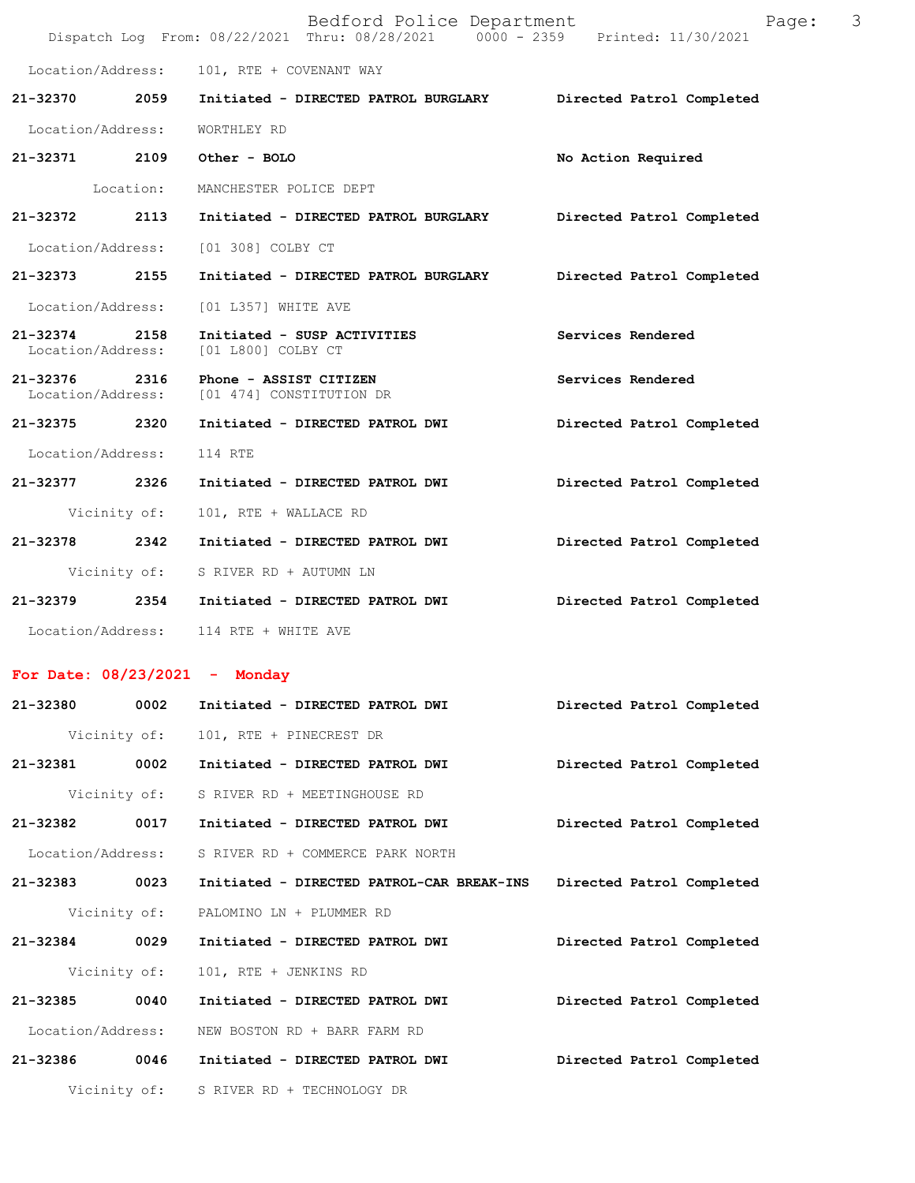|                                   |              | Bedford Police Department<br>Dispatch Log From: 08/22/2021 Thru: 08/28/2021 0000 - 2359 Printed: 11/30/2021 | Page:                     | 3 |
|-----------------------------------|--------------|-------------------------------------------------------------------------------------------------------------|---------------------------|---|
|                                   |              | Location/Address: 101, RTE + COVENANT WAY                                                                   |                           |   |
| 21-32370 2059                     |              | Initiated - DIRECTED PATROL BURGLARY                                                                        | Directed Patrol Completed |   |
| Location/Address:                 |              | WORTHLEY RD                                                                                                 |                           |   |
|                                   |              | 21-32371 2109 Other - BOLO                                                                                  | No Action Required        |   |
|                                   | Location:    | MANCHESTER POLICE DEPT                                                                                      |                           |   |
| 21-32372                          | 2113         | Initiated - DIRECTED PATROL BURGLARY                                                                        | Directed Patrol Completed |   |
|                                   |              | Location/Address: [01 308] COLBY CT                                                                         |                           |   |
| 21-32373                          | 2155         | Initiated - DIRECTED PATROL BURGLARY                                                                        | Directed Patrol Completed |   |
| Location/Address:                 |              | [01 L357] WHITE AVE                                                                                         |                           |   |
| $21 - 32374$<br>Location/Address: | 2158         | Initiated - SUSP ACTIVITIES<br>[01 L800] COLBY CT                                                           | Services Rendered         |   |
| 21-32376 2316                     |              | Phone - ASSIST CITIZEN<br>Location/Address: [01 474] CONSTITUTION DR                                        | Services Rendered         |   |
| 21-32375                          | 2320         | Initiated - DIRECTED PATROL DWI                                                                             | Directed Patrol Completed |   |
| Location/Address:                 |              | 114 RTE                                                                                                     |                           |   |
| 21-32377                          | 2326         | Initiated - DIRECTED PATROL DWI                                                                             | Directed Patrol Completed |   |
|                                   | Vicinity of: | 101, RTE + WALLACE RD                                                                                       |                           |   |
| 21-32378                          | 2342         | Initiated - DIRECTED PATROL DWI                                                                             | Directed Patrol Completed |   |
|                                   |              | Vicinity of: S RIVER RD + AUTUMN LN                                                                         |                           |   |
|                                   |              | 21-32379 2354 Initiated - DIRECTED PATROL DWI                                                               | Directed Patrol Completed |   |
|                                   |              | Location/Address: 114 RTE + WHITE AVE                                                                       |                           |   |
|                                   |              | For Date: $08/23/2021$ - Monday                                                                             |                           |   |
| 21-32380                          | 0002         | Initiated - DIRECTED PATROL DWI                                                                             | Directed Patrol Completed |   |

|                   |              | Vicinity of: 101, RTE + PINECREST DR      |                           |
|-------------------|--------------|-------------------------------------------|---------------------------|
| 21-32381          | 0002         | Initiated - DIRECTED PATROL DWI           | Directed Patrol Completed |
|                   |              | Vicinity of: S RIVER RD + MEETINGHOUSE RD |                           |
| 21-32382          | 0017         | Initiated - DIRECTED PATROL DWI           | Directed Patrol Completed |
| Location/Address: |              | S RIVER RD + COMMERCE PARK NORTH          |                           |
| 21-32383          | 0023         | Initiated - DIRECTED PATROL-CAR BREAK-INS | Directed Patrol Completed |
|                   |              | Vicinity of: PALOMINO LN + PLUMMER RD     |                           |
| $21 - 32384$      | 0029         | Initiated - DIRECTED PATROL DWI           | Directed Patrol Completed |
|                   | Vicinity of: | 101, RTE + JENKINS RD                     |                           |
| 21-32385          | 0040         | Initiated - DIRECTED PATROL DWI           | Directed Patrol Completed |
| Location/Address: |              | NEW BOSTON RD + BARR FARM RD              |                           |
| 21-32386          | 0046         | Initiated - DIRECTED PATROL DWI           | Directed Patrol Completed |
|                   | Vicinity of: | S RIVER RD + TECHNOLOGY DR                |                           |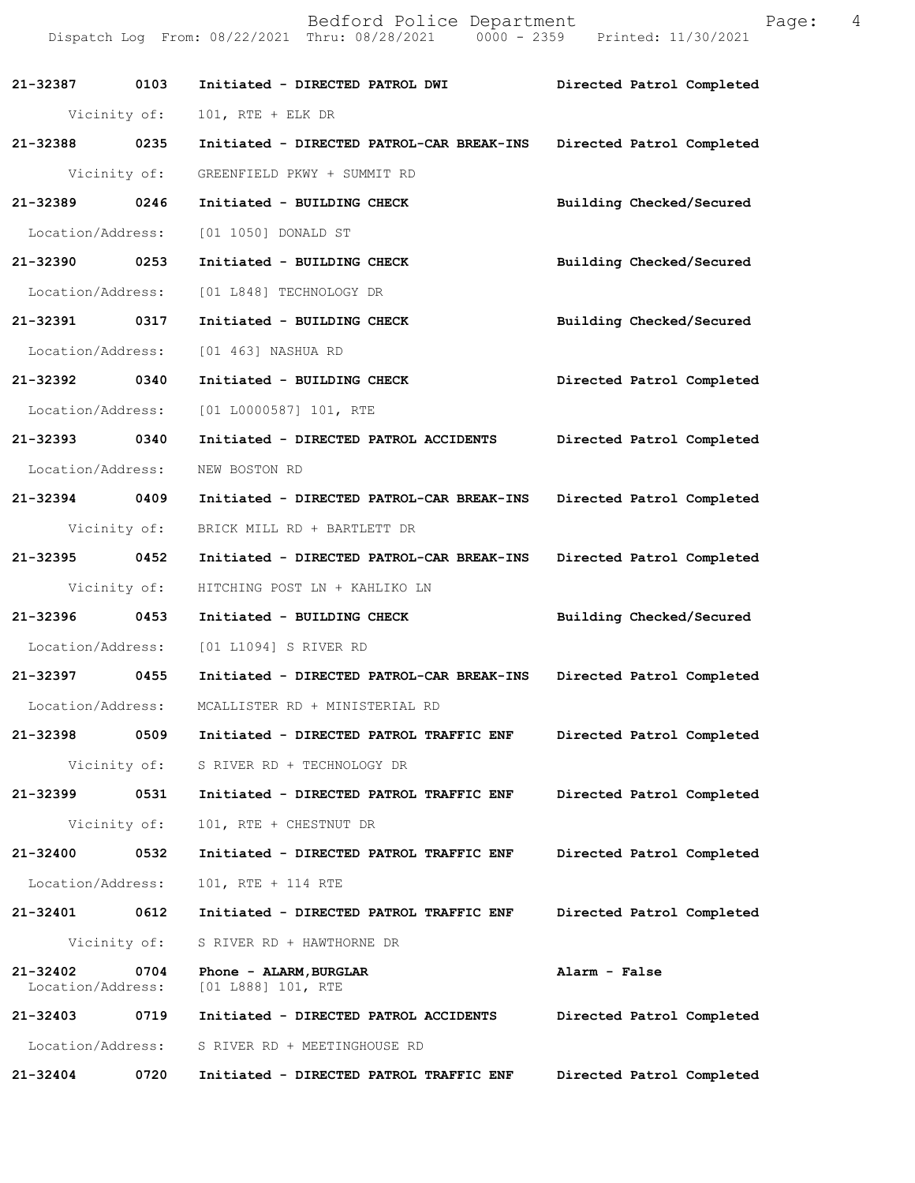**21-32387 0103 Initiated - DIRECTED PATROL DWI Directed Patrol Completed**  Vicinity of: 101, RTE + ELK DR **21-32388 0235 Initiated - DIRECTED PATROL-CAR BREAK-INS Directed Patrol Completed**  Vicinity of: GREENFIELD PKWY + SUMMIT RD **21-32389 0246 Initiated - BUILDING CHECK Building Checked/Secured**  Location/Address: [01 1050] DONALD ST **21-32390 0253 Initiated - BUILDING CHECK Building Checked/Secured**  Location/Address: [01 L848] TECHNOLOGY DR **21-32391 0317 Initiated - BUILDING CHECK Building Checked/Secured**  Location/Address: [01 463] NASHUA RD **21-32392 0340 Initiated - BUILDING CHECK Directed Patrol Completed**  Location/Address: [01 L0000587] 101, RTE **21-32393 0340 Initiated - DIRECTED PATROL ACCIDENTS Directed Patrol Completed**  Location/Address: NEW BOSTON RD **21-32394 0409 Initiated - DIRECTED PATROL-CAR BREAK-INS Directed Patrol Completed**  Vicinity of: BRICK MILL RD + BARTLETT DR **21-32395 0452 Initiated - DIRECTED PATROL-CAR BREAK-INS Directed Patrol Completed**  Vicinity of: HITCHING POST LN + KAHLIKO LN **21-32396 0453 Initiated - BUILDING CHECK Building Checked/Secured**  Location/Address: [01 L1094] S RIVER RD **21-32397 0455 Initiated - DIRECTED PATROL-CAR BREAK-INS Directed Patrol Completed**  Location/Address: MCALLISTER RD + MINISTERIAL RD **21-32398 0509 Initiated - DIRECTED PATROL TRAFFIC ENF Directed Patrol Completed**  Vicinity of: S RIVER RD + TECHNOLOGY DR **21-32399 0531 Initiated - DIRECTED PATROL TRAFFIC ENF Directed Patrol Completed**  Vicinity of: 101, RTE + CHESTNUT DR **21-32400 0532 Initiated - DIRECTED PATROL TRAFFIC ENF Directed Patrol Completed**  Location/Address: 101, RTE + 114 RTE **21-32401 0612 Initiated - DIRECTED PATROL TRAFFIC ENF Directed Patrol Completed**  Vicinity of: S RIVER RD + HAWTHORNE DR **21-32402 0704 Phone - ALARM,BURGLAR Alarm - False**  Location/Address: [01 L888] 101, RTE **21-32403 0719 Initiated - DIRECTED PATROL ACCIDENTS Directed Patrol Completed**  Location/Address: S RIVER RD + MEETINGHOUSE RD **21-32404 0720 Initiated - DIRECTED PATROL TRAFFIC ENF Directed Patrol Completed** 

Dispatch Log From: 08/22/2021 Thru: 08/28/2021 0000 - 2359 Printed: 11/30/2021

Bedford Police Department Fage: 4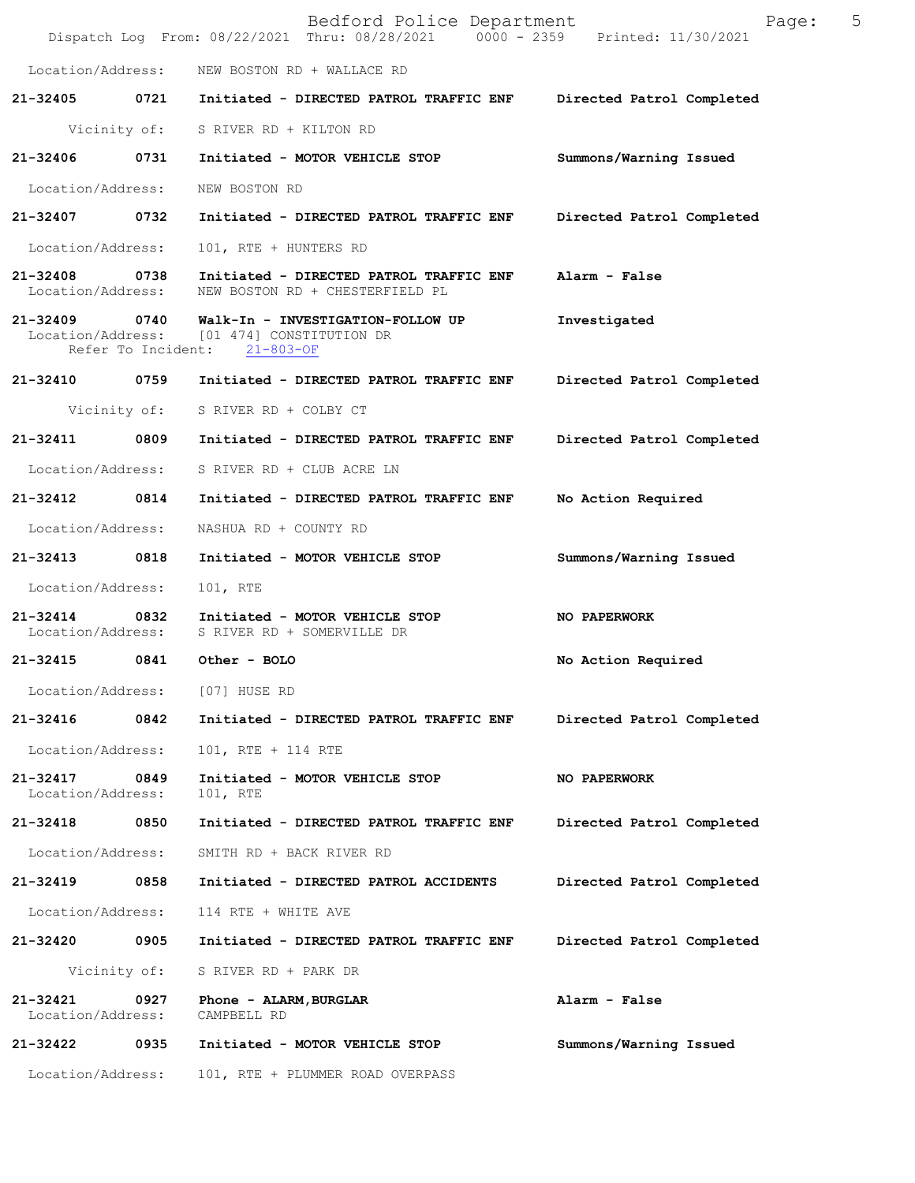|                                    |              | Bedford Police Department<br>Dispatch Log From: 08/22/2021 Thru: 08/28/2021 0000 - 2359 Printed: 11/30/2021                   | 5<br>Page:                |
|------------------------------------|--------------|-------------------------------------------------------------------------------------------------------------------------------|---------------------------|
|                                    |              | Location/Address: NEW BOSTON RD + WALLACE RD                                                                                  |                           |
|                                    |              | 21-32405 0721 Initiated - DIRECTED PATROL TRAFFIC ENF Directed Patrol Completed                                               |                           |
|                                    |              | Vicinity of: S RIVER RD + KILTON RD                                                                                           |                           |
|                                    |              | 21-32406 0731 Initiated - MOTOR VEHICLE STOP                                                                                  | Summons/Warning Issued    |
| Location/Address:                  |              | NEW BOSTON RD                                                                                                                 |                           |
|                                    |              | 21-32407 0732 Initiated - DIRECTED PATROL TRAFFIC ENF Directed Patrol Completed                                               |                           |
| Location/Address:                  |              | 101, RTE + HUNTERS RD                                                                                                         |                           |
| 21-32408 0738<br>Location/Address: |              | Initiated - DIRECTED PATROL TRAFFIC ENF<br>NEW BOSTON RD + CHESTERFIELD PL                                                    | Alarm - False             |
|                                    |              | 21-32409 0740 Walk-In - INVESTIGATION-FOLLOW UP<br>Location/Address: [01 474] CONSTITUTION DR<br>Refer To Incident: 21-803-OF | Investigated              |
|                                    |              | 21-32410 0759 Initiated - DIRECTED PATROL TRAFFIC ENF Directed Patrol Completed                                               |                           |
|                                    |              | Vicinity of: S RIVER RD + COLBY CT                                                                                            |                           |
|                                    |              | 21-32411 0809 Initiated - DIRECTED PATROL TRAFFIC ENF                                                                         | Directed Patrol Completed |
|                                    |              | Location/Address: S RIVER RD + CLUB ACRE LN                                                                                   |                           |
| 21-32412 0814                      |              | Initiated - DIRECTED PATROL TRAFFIC ENF                                                                                       | No Action Required        |
| Location/Address:                  |              | NASHUA RD + COUNTY RD                                                                                                         |                           |
| 21-32413 0818                      |              | Initiated - MOTOR VEHICLE STOP                                                                                                | Summons/Warning Issued    |
| Location/Address:                  |              | 101, RTE                                                                                                                      |                           |
|                                    |              | 21-32414 0832 Initiated - MOTOR VEHICLE STOP<br>Location/Address: S RIVER RD + SOMERVILLE DR                                  | <b>NO PAPERWORK</b>       |
| 21-32415                           |              | 0841 Other - BOLO                                                                                                             | No Action Required        |
| Location/Address:                  |              | [07] HUSE RD                                                                                                                  |                           |
| 21-32416                           | 0842         | Initiated - DIRECTED PATROL TRAFFIC ENF                                                                                       | Directed Patrol Completed |
| Location/Address:                  |              | 101, RTE + 114 RTE                                                                                                            |                           |
| 21-32417<br>Location/Address:      | 0849         | Initiated - MOTOR VEHICLE STOP<br>101, RTE                                                                                    | <b>NO PAPERWORK</b>       |
| 21-32418                           | 0850         | Initiated - DIRECTED PATROL TRAFFIC ENF                                                                                       | Directed Patrol Completed |
| Location/Address:                  |              | SMITH RD + BACK RIVER RD                                                                                                      |                           |
| 21-32419                           | 0858         | Initiated - DIRECTED PATROL ACCIDENTS                                                                                         | Directed Patrol Completed |
| Location/Address:                  |              | 114 RTE + WHITE AVE                                                                                                           |                           |
| 21-32420                           | 0905         | Initiated - DIRECTED PATROL TRAFFIC ENF                                                                                       | Directed Patrol Completed |
|                                    | Vicinity of: | S RIVER RD + PARK DR                                                                                                          |                           |
| 21-32421<br>Location/Address:      | 0927         | Phone - ALARM, BURGLAR<br>CAMPBELL RD                                                                                         | Alarm - False             |
| 21-32422                           | 0935         | Initiated - MOTOR VEHICLE STOP                                                                                                | Summons/Warning Issued    |
| Location/Address:                  |              | 101, RTE + PLUMMER ROAD OVERPASS                                                                                              |                           |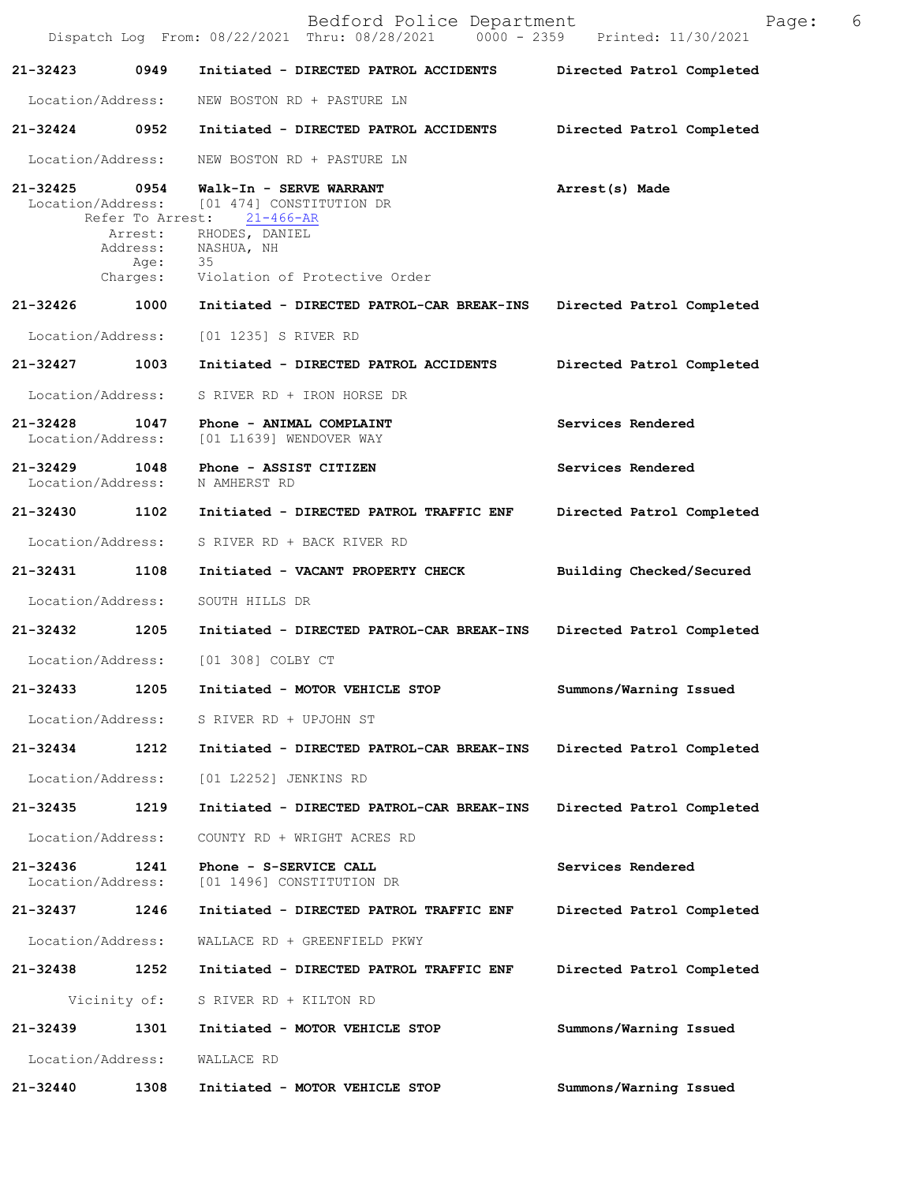|                                   |                                                                     | Bedford Police Department<br>$0000 - 2359$<br>Dispatch Log From: 08/22/2021 Thru: 08/28/2021                                                  | Page:<br>Printed: 11/30/2021 | 6 |
|-----------------------------------|---------------------------------------------------------------------|-----------------------------------------------------------------------------------------------------------------------------------------------|------------------------------|---|
| 21-32423                          | 0949                                                                | Initiated - DIRECTED PATROL ACCIDENTS                                                                                                         | Directed Patrol Completed    |   |
| Location/Address:                 |                                                                     | NEW BOSTON RD + PASTURE LN                                                                                                                    |                              |   |
| 21-32424                          | 0952                                                                | Initiated - DIRECTED PATROL ACCIDENTS                                                                                                         | Directed Patrol Completed    |   |
| Location/Address:                 |                                                                     | NEW BOSTON RD + PASTURE LN                                                                                                                    |                              |   |
| $21 - 32425$<br>Location/Address: | 0954<br>Refer To Arrest:<br>Arrest:<br>Address:<br>Age:<br>Charges: | Walk-In - SERVE WARRANT<br>[01 474] CONSTITUTION DR<br>$21 - 466 - AR$<br>RHODES, DANIEL<br>NASHUA, NH<br>35<br>Violation of Protective Order | Arrest(s) Made               |   |
| 21-32426                          | 1000                                                                | Initiated - DIRECTED PATROL-CAR BREAK-INS                                                                                                     | Directed Patrol Completed    |   |
| Location/Address:                 |                                                                     | [01 1235] S RIVER RD                                                                                                                          |                              |   |
| 21-32427                          | 1003                                                                | Initiated - DIRECTED PATROL ACCIDENTS                                                                                                         | Directed Patrol Completed    |   |
| Location/Address:                 |                                                                     | S RIVER RD + IRON HORSE DR                                                                                                                    |                              |   |
| 21-32428<br>Location/Address:     | 1047                                                                | Phone - ANIMAL COMPLAINT<br>[01 L1639] WENDOVER WAY                                                                                           | Services Rendered            |   |
| $21 - 32429$<br>Location/Address: | 1048                                                                | Phone - ASSIST CITIZEN<br>N AMHERST RD                                                                                                        | Services Rendered            |   |
| 21-32430                          | 1102                                                                | Initiated - DIRECTED PATROL TRAFFIC ENF                                                                                                       | Directed Patrol Completed    |   |
| Location/Address:                 |                                                                     | S RIVER RD + BACK RIVER RD                                                                                                                    |                              |   |
| 21-32431                          | 1108                                                                | Initiated - VACANT PROPERTY CHECK                                                                                                             | Building Checked/Secured     |   |
| Location/Address:                 |                                                                     | SOUTH HILLS DR                                                                                                                                |                              |   |
| 21-32432                          | 1205                                                                | Initiated - DIRECTED PATROL-CAR BREAK-INS                                                                                                     | Directed Patrol Completed    |   |
| Location/Address:                 |                                                                     | [01 308] COLBY CT                                                                                                                             |                              |   |
| 21-32433                          | 1205                                                                | Initiated - MOTOR VEHICLE STOP                                                                                                                | Summons/Warning Issued       |   |
| Location/Address:                 |                                                                     | S RIVER RD + UPJOHN ST                                                                                                                        |                              |   |
| 21-32434                          | 1212                                                                | Initiated - DIRECTED PATROL-CAR BREAK-INS                                                                                                     | Directed Patrol Completed    |   |
| Location/Address:                 |                                                                     | [01 L2252] JENKINS RD                                                                                                                         |                              |   |
| 21-32435                          | 1219                                                                | Initiated - DIRECTED PATROL-CAR BREAK-INS                                                                                                     | Directed Patrol Completed    |   |
| Location/Address:                 |                                                                     | COUNTY RD + WRIGHT ACRES RD                                                                                                                   |                              |   |
| 21-32436<br>Location/Address:     | 1241                                                                | Phone - S-SERVICE CALL<br>[01 1496] CONSTITUTION DR                                                                                           | Services Rendered            |   |
| 21-32437                          | 1246                                                                | Initiated - DIRECTED PATROL TRAFFIC ENF                                                                                                       | Directed Patrol Completed    |   |
| Location/Address:                 |                                                                     | WALLACE RD + GREENFIELD PKWY                                                                                                                  |                              |   |
| 21-32438                          | 1252                                                                | Initiated - DIRECTED PATROL TRAFFIC ENF                                                                                                       | Directed Patrol Completed    |   |
|                                   | Vicinity of:                                                        | S RIVER RD + KILTON RD                                                                                                                        |                              |   |
| 21-32439                          | 1301                                                                | Initiated - MOTOR VEHICLE STOP                                                                                                                | Summons/Warning Issued       |   |
| Location/Address:                 |                                                                     | WALLACE RD                                                                                                                                    |                              |   |
| 21-32440                          | 1308                                                                | Initiated - MOTOR VEHICLE STOP                                                                                                                | Summons/Warning Issued       |   |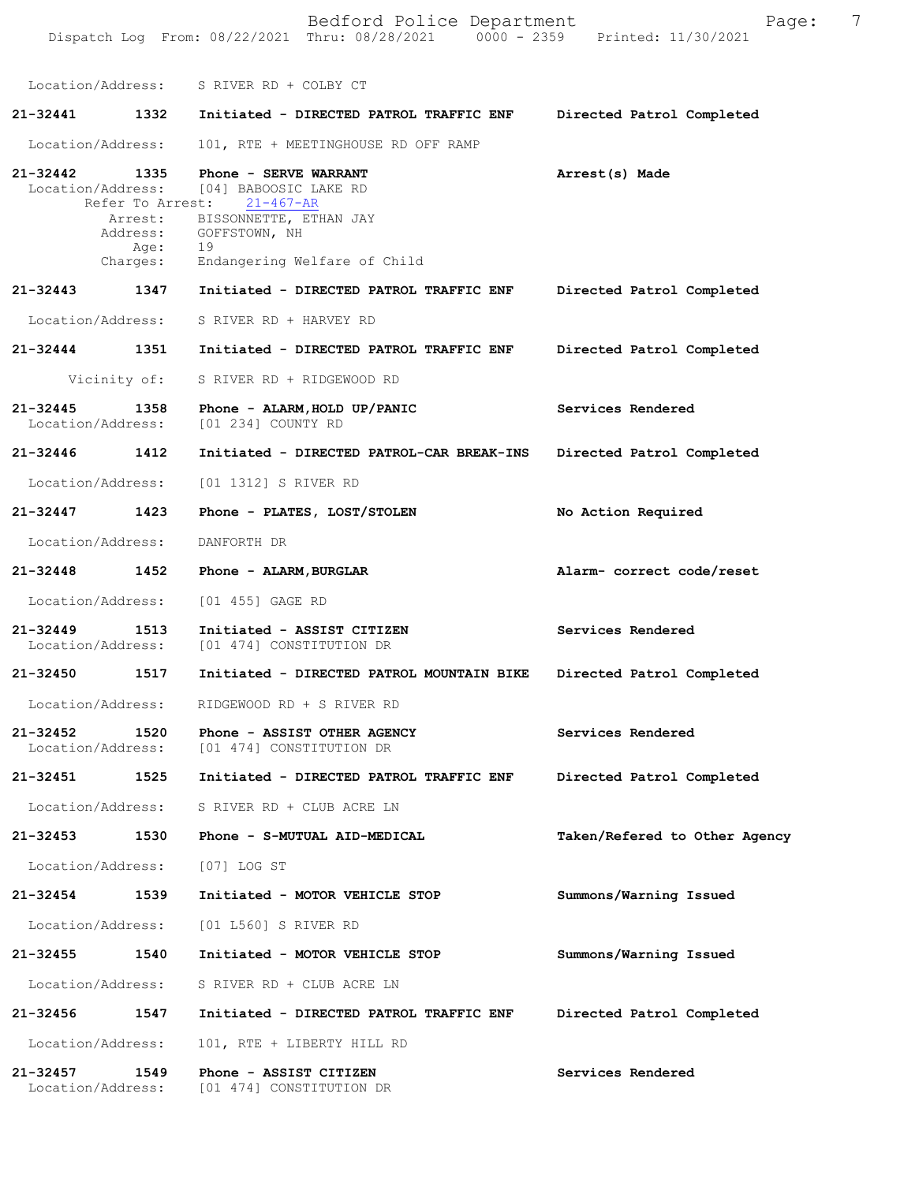|                                    |                          | Bedford Police Department<br>Dispatch Log From: 08/22/2021 Thru: 08/28/2021 0000 - 2359 Printed: 11/30/2021                                                                                                    | 7<br>Page:                    |
|------------------------------------|--------------------------|----------------------------------------------------------------------------------------------------------------------------------------------------------------------------------------------------------------|-------------------------------|
|                                    |                          | Location/Address: S RIVER RD + COLBY CT                                                                                                                                                                        |                               |
| 21-32441                           |                          | 1332 Initiated - DIRECTED PATROL TRAFFIC ENF                                                                                                                                                                   | Directed Patrol Completed     |
| Location/Address:                  |                          | 101, RTE + MEETINGHOUSE RD OFF RAMP                                                                                                                                                                            |                               |
|                                    | Age:<br>Age:<br>Charges: | 21-32442 1335 Phone - SERVE WARRANT<br>Location/Address: [04] BABOOSIC LAKE RD<br>Refer To Arrest: 21-467-AR<br>Arrest: BISSONNETTE, ETHAN JAY<br>Address: GOFFSTOWN, NH<br>19<br>Endangering Welfare of Child | Arrest(s) Made                |
| 21-32443 1347                      |                          | Initiated - DIRECTED PATROL TRAFFIC ENF                                                                                                                                                                        | Directed Patrol Completed     |
| Location/Address:                  |                          | S RIVER RD + HARVEY RD                                                                                                                                                                                         |                               |
| 21-32444 1351                      |                          | Initiated - DIRECTED PATROL TRAFFIC ENF                                                                                                                                                                        | Directed Patrol Completed     |
|                                    | Vicinity of:             | S RIVER RD + RIDGEWOOD RD                                                                                                                                                                                      |                               |
| 21-32445 1358<br>Location/Address: |                          | Phone - ALARM, HOLD UP/PANIC<br>[01 234] COUNTY RD                                                                                                                                                             | Services Rendered             |
| 21-32446 1412                      |                          | Initiated - DIRECTED PATROL-CAR BREAK-INS                                                                                                                                                                      | Directed Patrol Completed     |
| Location/Address:                  |                          | [01 1312] S RIVER RD                                                                                                                                                                                           |                               |
| 21-32447                           | 1423                     | Phone - PLATES, LOST/STOLEN                                                                                                                                                                                    | No Action Required            |
| Location/Address:                  |                          | DANFORTH DR                                                                                                                                                                                                    |                               |
| 21-32448 1452                      |                          | Phone - ALARM, BURGLAR                                                                                                                                                                                         | Alarm- correct code/reset     |
| Location/Address:                  |                          | [01 455] GAGE RD                                                                                                                                                                                               |                               |
| 21-32449                           | 1513                     | Initiated - ASSIST CITIZEN<br>Location/Address: [01 474] CONSTITUTION DR                                                                                                                                       | Services Rendered             |
|                                    |                          | 21-32450 1517 Initiated - DIRECTED PATROL MOUNTAIN BIKE Directed Patrol Completed                                                                                                                              |                               |
|                                    |                          | Location/Address: RIDGEWOOD RD + S RIVER RD                                                                                                                                                                    |                               |
|                                    |                          | 21-32452 1520 Phone - ASSIST OTHER AGENCY<br>Location/Address: [01 474] CONSTITUTION DR                                                                                                                        | Services Rendered             |
| 21-32451 1525                      |                          | Initiated - DIRECTED PATROL TRAFFIC ENF                                                                                                                                                                        | Directed Patrol Completed     |
| Location/Address:                  |                          | S RIVER RD + CLUB ACRE LN                                                                                                                                                                                      |                               |
|                                    |                          | 21-32453 1530 Phone - S-MUTUAL AID-MEDICAL                                                                                                                                                                     | Taken/Refered to Other Agency |
|                                    |                          | Location/Address: [07] LOG ST                                                                                                                                                                                  |                               |
| 21-32454                           | 1539                     | Initiated - MOTOR VEHICLE STOP                                                                                                                                                                                 | Summons/Warning Issued        |
|                                    |                          | Location/Address: [01 L560] S RIVER RD                                                                                                                                                                         |                               |
| 21-32455 1540                      |                          | Initiated - MOTOR VEHICLE STOP                                                                                                                                                                                 | Summons/Warning Issued        |
|                                    |                          | Location/Address: S RIVER RD + CLUB ACRE LN                                                                                                                                                                    |                               |
| 21-32456                           | 1547                     | Initiated - DIRECTED PATROL TRAFFIC ENF                                                                                                                                                                        | Directed Patrol Completed     |
| Location/Address:                  |                          | 101, RTE + LIBERTY HILL RD                                                                                                                                                                                     |                               |
| 21-32457 1549                      |                          | Phone - ASSIST CITIZEN<br>Location/Address: [01 474] CONSTITUTION DR                                                                                                                                           | Services Rendered             |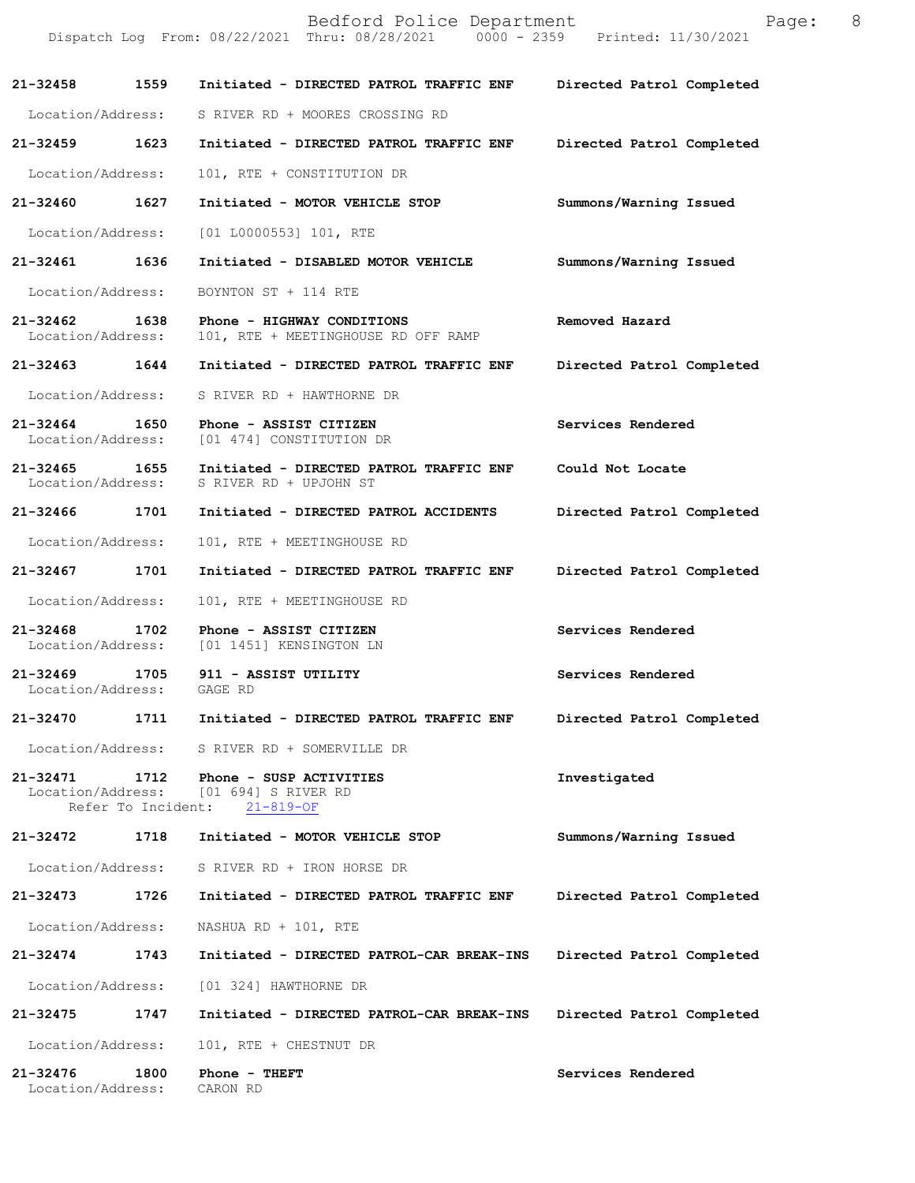|                                             |      | Bedford Police Department<br>Dispatch Log From: 08/22/2021 Thru: 08/28/2021 0000 - 2359 Printed: 11/30/2021    | Page: 8                   |  |
|---------------------------------------------|------|----------------------------------------------------------------------------------------------------------------|---------------------------|--|
| 21-32458 1559                               |      | Initiated - DIRECTED PATROL TRAFFIC ENF                                                                        | Directed Patrol Completed |  |
|                                             |      | Location/Address: S RIVER RD + MOORES CROSSING RD                                                              |                           |  |
| 21-32459 1623                               |      | Initiated - DIRECTED PATROL TRAFFIC ENF                                                                        | Directed Patrol Completed |  |
| Location/Address:                           |      | 101, RTE + CONSTITUTION DR                                                                                     |                           |  |
| 21-32460 1627                               |      | Initiated - MOTOR VEHICLE STOP                                                                                 | Summons/Warning Issued    |  |
| Location/Address:                           |      | $[01  L0000553] 101$ , RTE                                                                                     |                           |  |
| 21-32461 1636                               |      | Initiated - DISABLED MOTOR VEHICLE                                                                             | Summons/Warning Issued    |  |
| Location/Address:                           |      | BOYNTON ST + 114 RTE                                                                                           |                           |  |
| 21-32462 1638<br>Location/Address:          |      | Phone - HIGHWAY CONDITIONS<br>101, RTE + MEETINGHOUSE RD OFF RAMP                                              | Removed Hazard            |  |
| 21-32463 1644                               |      | Initiated - DIRECTED PATROL TRAFFIC ENF                                                                        | Directed Patrol Completed |  |
| Location/Address:                           |      | S RIVER RD + HAWTHORNE DR                                                                                      |                           |  |
| 21-32464 1650<br>Location/Address:          |      | Phone - ASSIST CITIZEN<br>[01 474] CONSTITUTION DR                                                             | Services Rendered         |  |
| 21-32465 1655<br>Location/Address:          |      | Initiated - DIRECTED PATROL TRAFFIC ENF<br>S RIVER RD + UPJOHN ST                                              | Could Not Locate          |  |
| 21-32466 1701                               |      | Initiated - DIRECTED PATROL ACCIDENTS                                                                          | Directed Patrol Completed |  |
| Location/Address:                           |      | 101, RTE + MEETINGHOUSE RD                                                                                     |                           |  |
| 21-32467 1701                               |      | Initiated - DIRECTED PATROL TRAFFIC ENF                                                                        | Directed Patrol Completed |  |
| Location/Address:                           |      | 101, RTE + MEETINGHOUSE RD                                                                                     |                           |  |
| 21-32468<br>Location/Address:               |      | 1702 Phone - ASSIST CITIZEN<br>[01 1451] KENSINGTON LN                                                         | Services Rendered         |  |
| Location/Address:                           |      | 21-32469 1705 911 - ASSIST UTILITY<br>GAGE RD                                                                  | Services Rendered         |  |
|                                             |      | 21-32470 1711 Initiated - DIRECTED PATROL TRAFFIC ENF                                                          | Directed Patrol Completed |  |
|                                             |      | Location/Address: S RIVER RD + SOMERVILLE DR                                                                   |                           |  |
|                                             |      | 21-32471 1712 Phone - SUSP ACTIVITIES<br>Location/Address: [01 694] S RIVER RD<br>Refer To Incident: 21-819-OF | Investigated              |  |
| 21-32472                                    | 1718 | Initiated - MOTOR VEHICLE STOP                                                                                 | Summons/Warning Issued    |  |
|                                             |      | Location/Address: S RIVER RD + IRON HORSE DR                                                                   |                           |  |
| 21-32473 1726                               |      | Initiated - DIRECTED PATROL TRAFFIC ENF                                                                        | Directed Patrol Completed |  |
| Location/Address:                           |      | NASHUA RD + 101, RTE                                                                                           |                           |  |
| 21-32474 1743                               |      | Initiated - DIRECTED PATROL-CAR BREAK-INS                                                                      | Directed Patrol Completed |  |
| Location/Address:                           |      | [01 324] HAWTHORNE DR                                                                                          |                           |  |
| 21-32475                                    | 1747 | Initiated - DIRECTED PATROL-CAR BREAK-INS                                                                      | Directed Patrol Completed |  |
| Location/Address:                           |      | 101, RTE + CHESTNUT DR                                                                                         |                           |  |
| 21-32476 1800<br>Location/Address: CARON RD |      | Phone - THEFT                                                                                                  | Services Rendered         |  |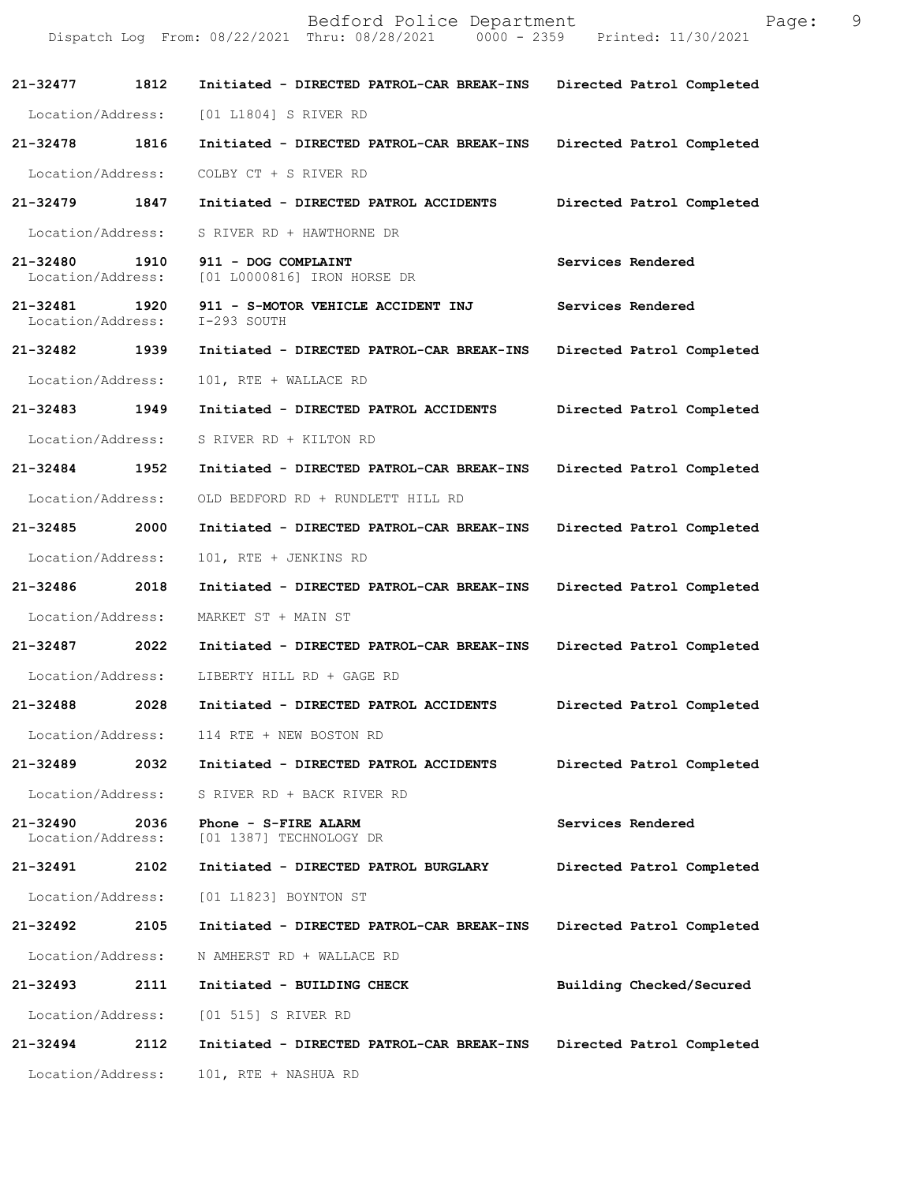Bedford Police Department Page: 9 Dispatch Log From: 08/22/2021 Thru: 08/28/2021 **21-32477 1812 Initiated - DIRECTED PATROL-CAR BREAK-INS Directed Patrol Completed**  Location/Address: [01 L1804] S RIVER RD **21-32478 1816 Initiated - DIRECTED PATROL-CAR BREAK-INS Directed Patrol Completed**  Location/Address: COLBY CT + S RIVER RD **21-32479 1847 Initiated - DIRECTED PATROL ACCIDENTS Directed Patrol Completed**  Location/Address: S RIVER RD + HAWTHORNE DR **21-32480 1910 911 - DOG COMPLAINT Services Rendered**  [01 L0000816] IRON HORSE DR 21-32481 **1920 911 - S-MOTOR VEHICLE ACCIDENT INJ** Services Rendered Location/Address: I-293 SOUTH Location/Address: **21-32482 1939 Initiated - DIRECTED PATROL-CAR BREAK-INS Directed Patrol Completed**  Location/Address: 101, RTE + WALLACE RD **21-32483 1949 Initiated - DIRECTED PATROL ACCIDENTS Directed Patrol Completed**  Location/Address: S RIVER RD + KILTON RD **21-32484 1952 Initiated - DIRECTED PATROL-CAR BREAK-INS Directed Patrol Completed**  Location/Address: OLD BEDFORD RD + RUNDLETT HILL RD **21-32485 2000 Initiated - DIRECTED PATROL-CAR BREAK-INS Directed Patrol Completed**  Location/Address: 101, RTE + JENKINS RD **21-32486 2018 Initiated - DIRECTED PATROL-CAR BREAK-INS Directed Patrol Completed**  Location/Address: MARKET ST + MAIN ST **21-32487 2022 Initiated - DIRECTED PATROL-CAR BREAK-INS Directed Patrol Completed**  Location/Address: LIBERTY HILL RD + GAGE RD **21-32488 2028 Initiated - DIRECTED PATROL ACCIDENTS Directed Patrol Completed**  Location/Address: 114 RTE + NEW BOSTON RD **21-32489 2032 Initiated - DIRECTED PATROL ACCIDENTS Directed Patrol Completed**  Location/Address: S RIVER RD + BACK RIVER RD **21-32490 2036 Phone - S-FIRE ALARM Services Rendered Location/Address:** [01 1387] TECHNOLOGY DR [01 1387] TECHNOLOGY DR **21-32491 2102 Initiated - DIRECTED PATROL BURGLARY Directed Patrol Completed**  Location/Address: [01 L1823] BOYNTON ST **21-32492 2105 Initiated - DIRECTED PATROL-CAR BREAK-INS Directed Patrol Completed**  Location/Address: N AMHERST RD + WALLACE RD **21-32493 2111 Initiated - BUILDING CHECK Building Checked/Secured**  Location/Address: [01 515] S RIVER RD **21-32494 2112 Initiated - DIRECTED PATROL-CAR BREAK-INS Directed Patrol Completed**  Location/Address: 101, RTE + NASHUA RD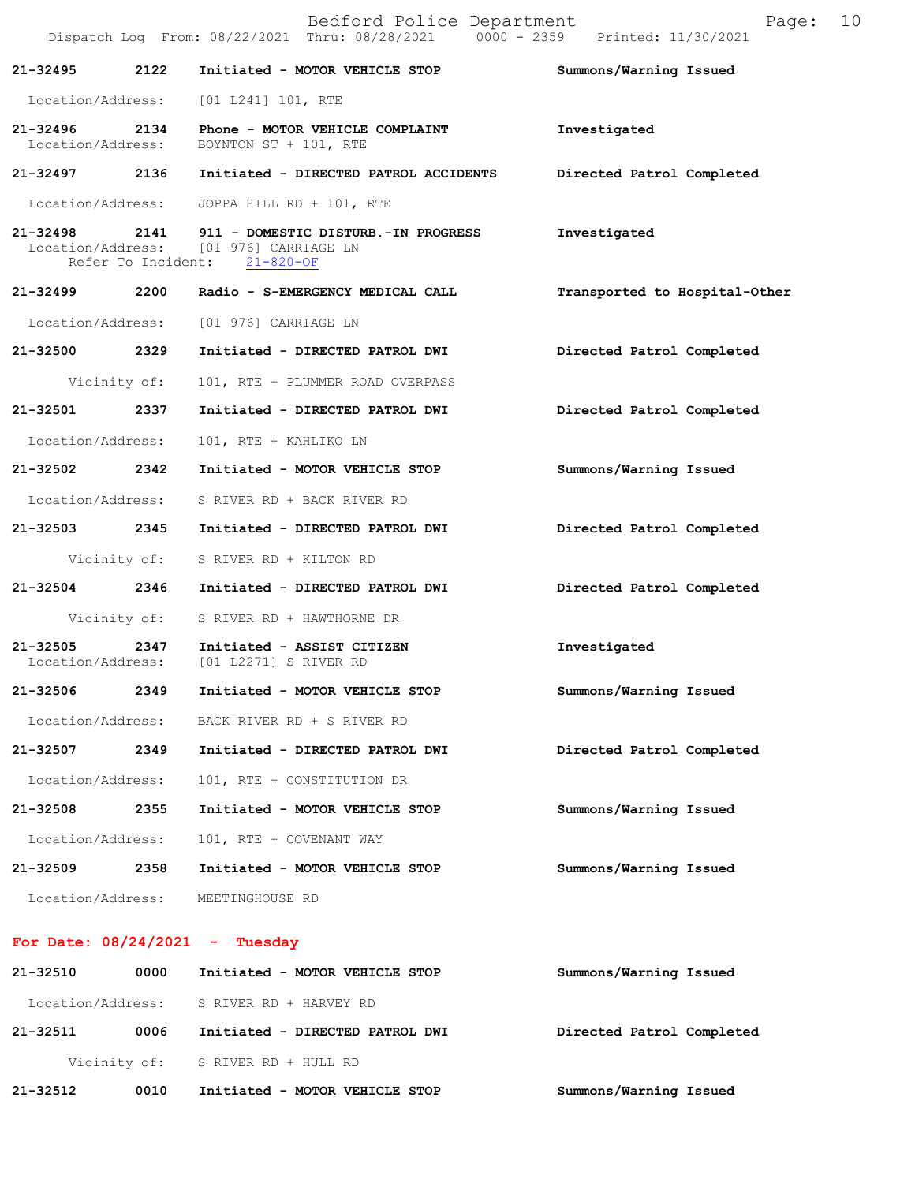|                   |      | Bedford Police Department<br>Dispatch Log From: 08/22/2021 Thru: 08/28/2021 0000 - 2359 Printed: 11/30/2021                 | Page:                         | 10 |
|-------------------|------|-----------------------------------------------------------------------------------------------------------------------------|-------------------------------|----|
| 21-32495 2122     |      | Initiated - MOTOR VEHICLE STOP                                                                                              | Summons/Warning Issued        |    |
|                   |      | Location/Address: [01 L241] 101, RTE                                                                                        |                               |    |
|                   |      | 21-32496 2134 Phone - MOTOR VEHICLE COMPLAINT<br>Location/Address: BOYNTON ST + 101, RTE                                    | Investigated                  |    |
|                   |      | 21-32497 2136 Initiated - DIRECTED PATROL ACCIDENTS Directed Patrol Completed                                               |                               |    |
|                   |      | Location/Address: JOPPA HILL RD + 101, RTE                                                                                  |                               |    |
|                   |      | 21-32498 2141 911 - DOMESTIC DISTURB.-IN PROGRESS<br>Location/Address: [01 976] CARRIAGE LN<br>Refer To Incident: 21-820-OF | Investigated                  |    |
|                   |      | 21-32499 2200 Radio - S-EMERGENCY MEDICAL CALL                                                                              | Transported to Hospital-Other |    |
|                   |      | Location/Address: [01 976] CARRIAGE LN                                                                                      |                               |    |
| 21-32500 2329     |      | Initiated - DIRECTED PATROL DWI                                                                                             | Directed Patrol Completed     |    |
| Vicinity of:      |      | 101, RTE + PLUMMER ROAD OVERPASS                                                                                            |                               |    |
| 21-32501 2337     |      | Initiated - DIRECTED PATROL DWI                                                                                             | Directed Patrol Completed     |    |
| Location/Address: |      | 101, RTE + KAHLIKO LN                                                                                                       |                               |    |
| 21-32502 2342     |      | Initiated - MOTOR VEHICLE STOP                                                                                              | Summons/Warning Issued        |    |
|                   |      | Location/Address: S RIVER RD + BACK RIVER RD                                                                                |                               |    |
|                   |      | 21-32503 2345 Initiated - DIRECTED PATROL DWI                                                                               | Directed Patrol Completed     |    |
|                   |      | Vicinity of: S RIVER RD + KILTON RD                                                                                         |                               |    |
|                   |      | 21-32504 2346 Initiated - DIRECTED PATROL DWI                                                                               | Directed Patrol Completed     |    |
|                   |      | Vicinity of: S RIVER RD + HAWTHORNE DR                                                                                      |                               |    |
|                   |      | 21-32505 2347 Initiated - ASSIST CITIZEN<br>Location/Address: [01 L2271] S RIVER RD                                         | Investigated                  |    |
| 21-32506          | 2349 | Initiated - MOTOR VEHICLE STOP                                                                                              | Summons/Warning Issued        |    |
| Location/Address: |      | BACK RIVER RD + S RIVER RD                                                                                                  |                               |    |
| 21-32507          | 2349 | Initiated - DIRECTED PATROL DWI                                                                                             | Directed Patrol Completed     |    |
| Location/Address: |      | 101, RTE + CONSTITUTION DR                                                                                                  |                               |    |
| 21-32508          | 2355 | Initiated - MOTOR VEHICLE STOP                                                                                              | Summons/Warning Issued        |    |
| Location/Address: |      | 101, RTE + COVENANT WAY                                                                                                     |                               |    |
| 21-32509          | 2358 | Initiated - MOTOR VEHICLE STOP                                                                                              | Summons/Warning Issued        |    |
| Location/Address: |      | MEETINGHOUSE RD                                                                                                             |                               |    |

## **For Date: 08/24/2021 - Tuesday**

| 21-32510          | 0000         | Initiated - MOTOR VEHICLE STOP  | Summons/Warning Issued    |
|-------------------|--------------|---------------------------------|---------------------------|
| Location/Address: |              | S RIVER RD + HARVEY RD          |                           |
| 21-32511          | 0006         | Initiated - DIRECTED PATROL DWI | Directed Patrol Completed |
|                   | Vicinity of: | S RIVER RD + HULL RD            |                           |
| 21-32512          | 0010         | Initiated - MOTOR VEHICLE STOP  | Summons/Warning Issued    |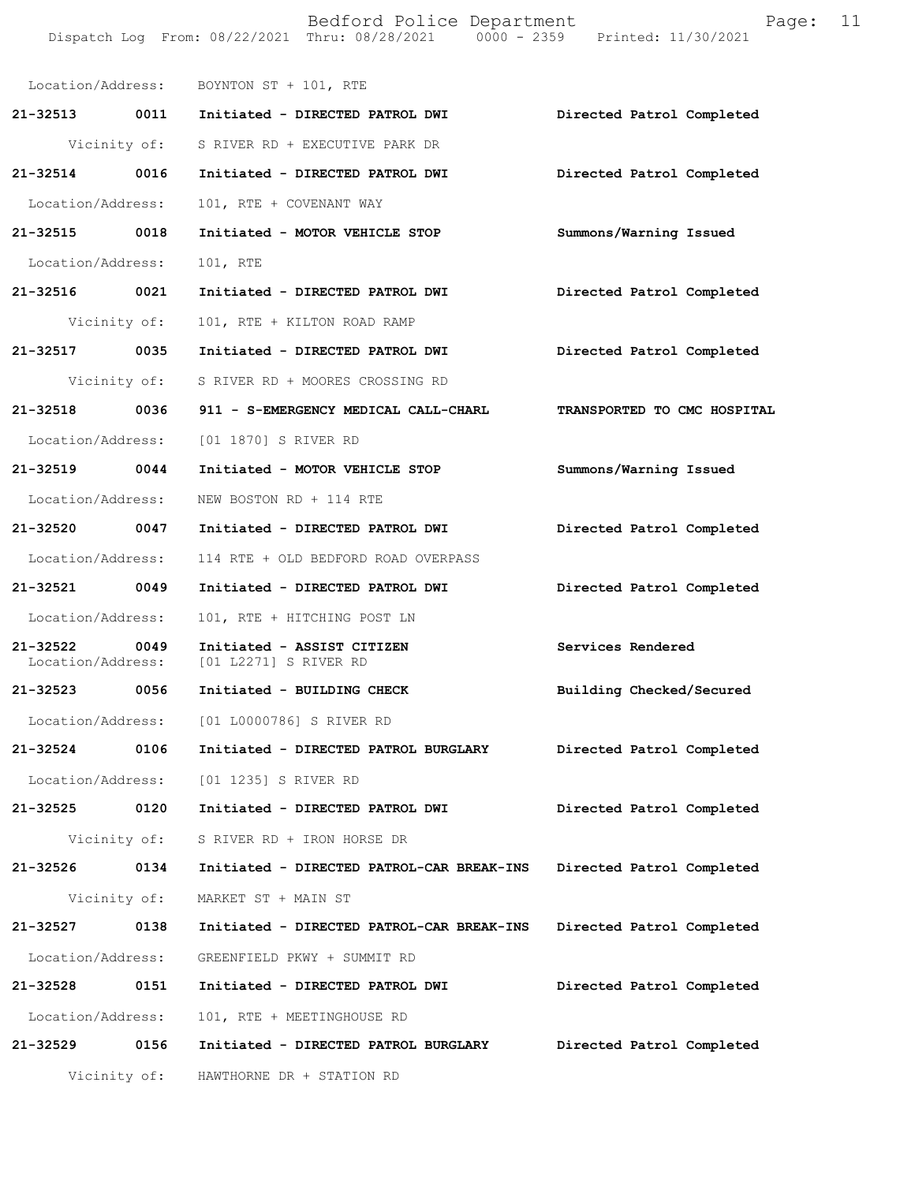Dispatch Log From: 08/22/2021 Thru: 08/28/2021 0000 - 2359 Printed: 11/30/2021 Location/Address: BOYNTON ST + 101, RTE **21-32513 0011 Initiated - DIRECTED PATROL DWI Directed Patrol Completed**  Vicinity of: S RIVER RD + EXECUTIVE PARK DR **21-32514 0016 Initiated - DIRECTED PATROL DWI Directed Patrol Completed**  Location/Address: 101, RTE + COVENANT WAY **21-32515 0018 Initiated - MOTOR VEHICLE STOP Summons/Warning Issued**  Location/Address: 101, RTE **21-32516 0021 Initiated - DIRECTED PATROL DWI Directed Patrol Completed**  Vicinity of: 101, RTE + KILTON ROAD RAMP **21-32517 0035 Initiated - DIRECTED PATROL DWI Directed Patrol Completed**  Vicinity of: S RIVER RD + MOORES CROSSING RD **21-32518 0036 911 - S-EMERGENCY MEDICAL CALL-CHARL TRANSPORTED TO CMC HOSPITAL**  Location/Address: [01 1870] S RIVER RD **21-32519 0044 Initiated - MOTOR VEHICLE STOP Summons/Warning Issued**  Location/Address: NEW BOSTON RD + 114 RTE **21-32520 0047 Initiated - DIRECTED PATROL DWI Directed Patrol Completed**  Location/Address: 114 RTE + OLD BEDFORD ROAD OVERPASS **21-32521 0049 Initiated - DIRECTED PATROL DWI Directed Patrol Completed**  Location/Address: 101, RTE + HITCHING POST LN **21-32522 0049 Initiated - ASSIST CITIZEN Services Rendered** Location/Address: [01 L2271] S RIVER RD [01 L2271] S RIVER RD **21-32523 0056 Initiated - BUILDING CHECK Building Checked/Secured**  Location/Address: [01 L0000786] S RIVER RD **21-32524 0106 Initiated - DIRECTED PATROL BURGLARY Directed Patrol Completed**  Location/Address: [01 1235] S RIVER RD **21-32525 0120 Initiated - DIRECTED PATROL DWI Directed Patrol Completed**  Vicinity of: S RIVER RD + IRON HORSE DR **21-32526 0134 Initiated - DIRECTED PATROL-CAR BREAK-INS Directed Patrol Completed**  Vicinity of: MARKET ST + MAIN ST **21-32527 0138 Initiated - DIRECTED PATROL-CAR BREAK-INS Directed Patrol Completed**  Location/Address: GREENFIELD PKWY + SUMMIT RD **21-32528 0151 Initiated - DIRECTED PATROL DWI Directed Patrol Completed**  Location/Address: 101, RTE + MEETINGHOUSE RD **21-32529 0156 Initiated - DIRECTED PATROL BURGLARY Directed Patrol Completed**  Vicinity of: HAWTHORNE DR + STATION RD

Bedford Police Department Fage: 11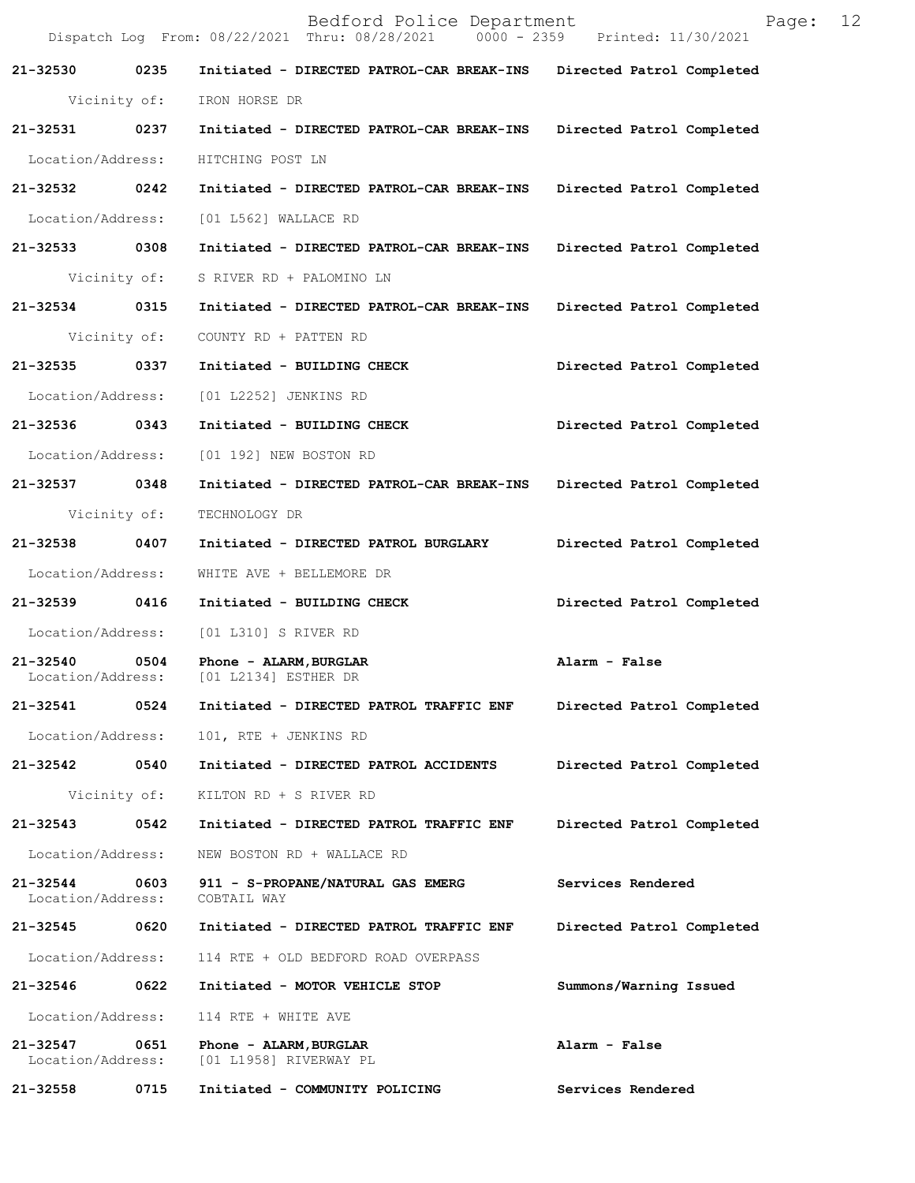|                               |              | Bedford Police Department<br>Dispatch Log From: 08/22/2021 Thru: 08/28/2021 0000 - 2359 Printed: 11/30/2021 | 12<br>Page:               |
|-------------------------------|--------------|-------------------------------------------------------------------------------------------------------------|---------------------------|
| 21-32530                      | 0235         | Initiated - DIRECTED PATROL-CAR BREAK-INS Directed Patrol Completed                                         |                           |
|                               | Vicinity of: | IRON HORSE DR                                                                                               |                           |
| 21-32531                      | 0237         | Initiated - DIRECTED PATROL-CAR BREAK-INS                                                                   | Directed Patrol Completed |
| Location/Address:             |              | HITCHING POST LN                                                                                            |                           |
| 21-32532 0242                 |              | Initiated - DIRECTED PATROL-CAR BREAK-INS                                                                   | Directed Patrol Completed |
| Location/Address:             |              | [01 L562] WALLACE RD                                                                                        |                           |
| 21-32533 0308                 |              | Initiated - DIRECTED PATROL-CAR BREAK-INS Directed Patrol Completed                                         |                           |
|                               | Vicinity of: | S RIVER RD + PALOMINO LN                                                                                    |                           |
| 21-32534 0315                 |              | Initiated - DIRECTED PATROL-CAR BREAK-INS                                                                   | Directed Patrol Completed |
|                               | Vicinity of: | COUNTY RD + PATTEN RD                                                                                       |                           |
| 21-32535 0337                 |              | Initiated - BUILDING CHECK                                                                                  | Directed Patrol Completed |
| Location/Address:             |              | [01 L2252] JENKINS RD                                                                                       |                           |
| 21-32536                      | 0343         | Initiated - BUILDING CHECK                                                                                  | Directed Patrol Completed |
| Location/Address:             |              | [01 192] NEW BOSTON RD                                                                                      |                           |
| 21-32537 0348                 |              | Initiated - DIRECTED PATROL-CAR BREAK-INS                                                                   | Directed Patrol Completed |
|                               | Vicinity of: | TECHNOLOGY DR                                                                                               |                           |
| 21-32538 0407                 |              | Initiated - DIRECTED PATROL BURGLARY                                                                        | Directed Patrol Completed |
| Location/Address:             |              | WHITE AVE + BELLEMORE DR                                                                                    |                           |
| 21-32539                      | 0416         | Initiated - BUILDING CHECK                                                                                  | Directed Patrol Completed |
| Location/Address:             |              | [01 L310] S RIVER RD                                                                                        |                           |
| 21-32540<br>Location/Address: | 0504         | Phone - ALARM, BURGLAR<br>[01 L2134] ESTHER DR                                                              | Alarm - False             |
| 21-32541                      | 0524         | Initiated - DIRECTED PATROL TRAFFIC ENF                                                                     | Directed Patrol Completed |
| Location/Address:             |              | 101, RTE + JENKINS RD                                                                                       |                           |
| 21-32542                      | 0540         | Initiated - DIRECTED PATROL ACCIDENTS                                                                       | Directed Patrol Completed |
| Vicinity of:                  |              | KILTON RD + S RIVER RD                                                                                      |                           |
| 21-32543                      | 0542         | Initiated - DIRECTED PATROL TRAFFIC ENF                                                                     | Directed Patrol Completed |
| Location/Address:             |              | NEW BOSTON RD + WALLACE RD                                                                                  |                           |
| 21-32544<br>Location/Address: | 0603         | 911 - S-PROPANE/NATURAL GAS EMERG<br>COBTAIL WAY                                                            | Services Rendered         |
| 21-32545                      | 0620         | Initiated - DIRECTED PATROL TRAFFIC ENF                                                                     | Directed Patrol Completed |
| Location/Address:             |              | 114 RTE + OLD BEDFORD ROAD OVERPASS                                                                         |                           |
| 21-32546                      | 0622         | Initiated - MOTOR VEHICLE STOP                                                                              | Summons/Warning Issued    |
| Location/Address:             |              | 114 RTE + WHITE AVE                                                                                         |                           |
| 21-32547<br>Location/Address: | 0651         | Phone - ALARM, BURGLAR<br>[01 L1958] RIVERWAY PL                                                            | Alarm - False             |
| 21-32558                      | 0715         | Initiated - COMMUNITY POLICING                                                                              | Services Rendered         |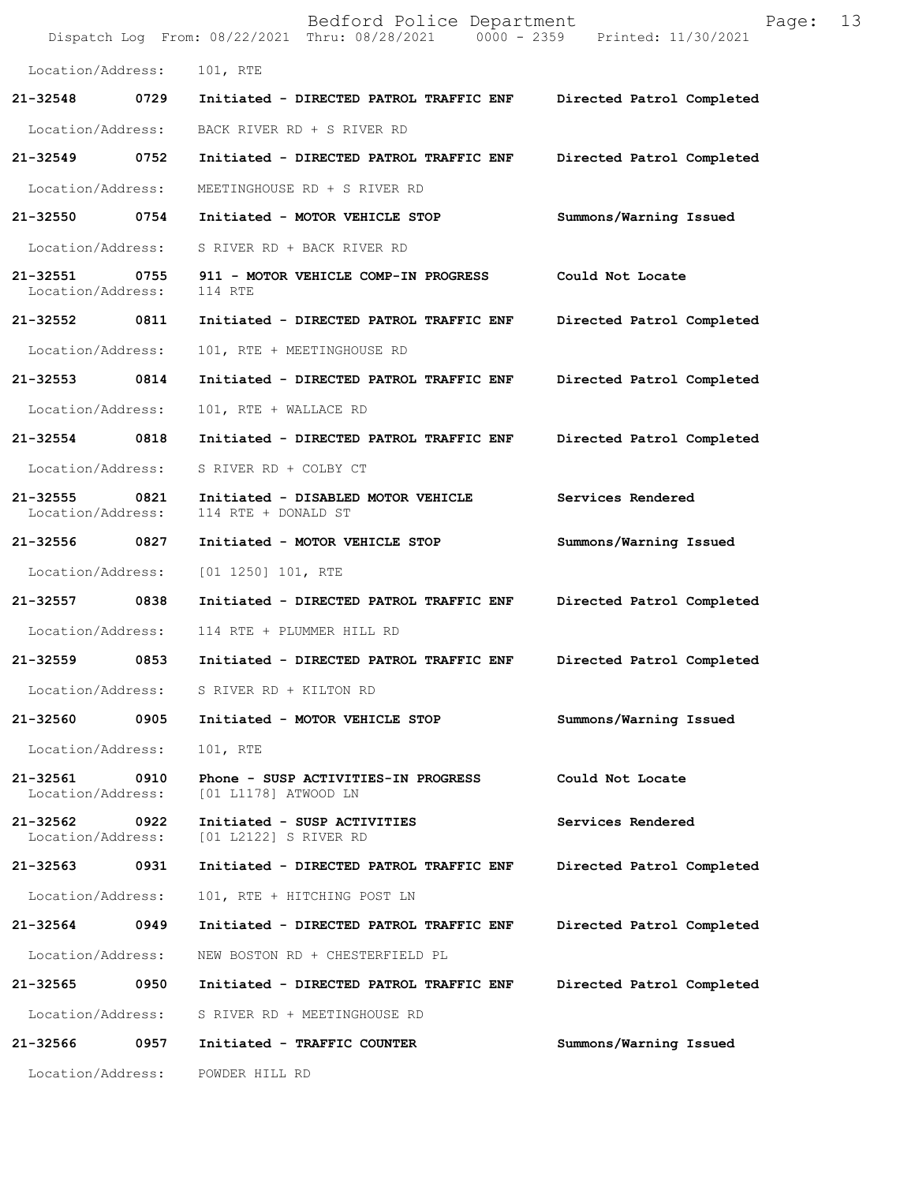|                               |      | Bedford Police Department<br>Dispatch Log From: 08/22/2021 Thru: 08/28/2021   0000 - 2359   Printed: 11/30/2021 | 13<br>Page:               |
|-------------------------------|------|-----------------------------------------------------------------------------------------------------------------|---------------------------|
| Location/Address:             |      | 101, RTE                                                                                                        |                           |
| 21-32548                      | 0729 | Initiated - DIRECTED PATROL TRAFFIC ENF                                                                         | Directed Patrol Completed |
| Location/Address:             |      | BACK RIVER RD + S RIVER RD                                                                                      |                           |
| 21-32549                      | 0752 | Initiated - DIRECTED PATROL TRAFFIC ENF                                                                         | Directed Patrol Completed |
| Location/Address:             |      | MEETINGHOUSE RD + S RIVER RD                                                                                    |                           |
| 21-32550                      | 0754 | Initiated - MOTOR VEHICLE STOP                                                                                  | Summons/Warning Issued    |
| Location/Address:             |      | S RIVER RD + BACK RIVER RD                                                                                      |                           |
| 21-32551<br>Location/Address: | 0755 | 911 - MOTOR VEHICLE COMP-IN PROGRESS<br>114 RTE                                                                 | Could Not Locate          |
| 21-32552 0811                 |      | Initiated - DIRECTED PATROL TRAFFIC ENF                                                                         | Directed Patrol Completed |
| Location/Address:             |      | 101, RTE + MEETINGHOUSE RD                                                                                      |                           |
| 21-32553                      | 0814 | Initiated - DIRECTED PATROL TRAFFIC ENF                                                                         | Directed Patrol Completed |
| Location/Address:             |      | 101, RTE + WALLACE RD                                                                                           |                           |
| 21-32554                      | 0818 | Initiated - DIRECTED PATROL TRAFFIC ENF                                                                         | Directed Patrol Completed |
| Location/Address:             |      | S RIVER RD + COLBY CT                                                                                           |                           |
| 21-32555<br>Location/Address: | 0821 | Initiated - DISABLED MOTOR VEHICLE<br>114 RTE + DONALD ST                                                       | Services Rendered         |
| 21-32556                      | 0827 | Initiated - MOTOR VEHICLE STOP                                                                                  | Summons/Warning Issued    |
| Location/Address:             |      | $[01 1250] 101$ , RTE                                                                                           |                           |
| 21-32557                      | 0838 | Initiated - DIRECTED PATROL TRAFFIC ENF                                                                         | Directed Patrol Completed |
| Location/Address:             |      | 114 RTE + PLUMMER HILL RD                                                                                       |                           |
| 21-32559                      | 0853 | Initiated - DIRECTED PATROL TRAFFIC ENF                                                                         | Directed Patrol Completed |
| Location/Address:             |      | S RIVER RD + KILTON RD                                                                                          |                           |
| 21-32560                      | 0905 | Initiated - MOTOR VEHICLE STOP                                                                                  | Summons/Warning Issued    |
| Location/Address:             |      | 101, RTE                                                                                                        |                           |
| 21-32561<br>Location/Address: | 0910 | Phone - SUSP ACTIVITIES-IN PROGRESS<br>[01 L1178] ATWOOD LN                                                     | Could Not Locate          |
| 21-32562<br>Location/Address: | 0922 | Initiated - SUSP ACTIVITIES<br>[01 L2122] S RIVER RD                                                            | Services Rendered         |
| 21-32563                      | 0931 | Initiated - DIRECTED PATROL TRAFFIC ENF                                                                         | Directed Patrol Completed |
| Location/Address:             |      | 101, RTE + HITCHING POST LN                                                                                     |                           |
| 21-32564                      | 0949 | Initiated - DIRECTED PATROL TRAFFIC ENF                                                                         | Directed Patrol Completed |
| Location/Address:             |      | NEW BOSTON RD + CHESTERFIELD PL                                                                                 |                           |
| 21-32565                      | 0950 | Initiated - DIRECTED PATROL TRAFFIC ENF                                                                         | Directed Patrol Completed |
| Location/Address:             |      | S RIVER RD + MEETINGHOUSE RD                                                                                    |                           |
| 21-32566                      | 0957 | Initiated - TRAFFIC COUNTER                                                                                     | Summons/Warning Issued    |
| Location/Address:             |      | POWDER HILL RD                                                                                                  |                           |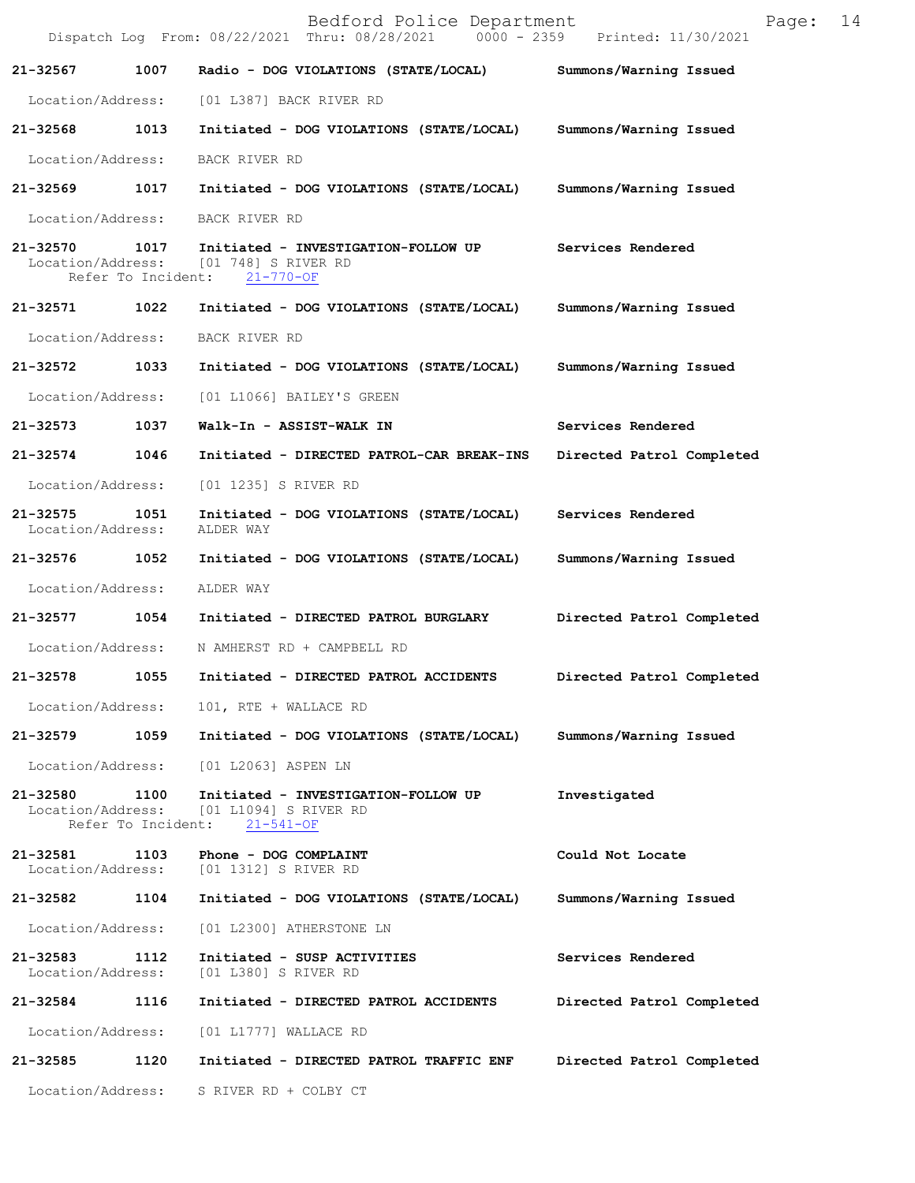|                                    |      | Bedford Police Department<br>Dispatch Log From: 08/22/2021 Thru: 08/28/2021 0000 - 2359 Printed: 11/30/2021                | Page:                     | 14 |
|------------------------------------|------|----------------------------------------------------------------------------------------------------------------------------|---------------------------|----|
| 21-32567                           | 1007 | Radio - DOG VIOLATIONS (STATE/LOCAL) Summons/Warning Issued                                                                |                           |    |
|                                    |      | Location/Address: [01 L387] BACK RIVER RD                                                                                  |                           |    |
| 21-32568 1013                      |      | Initiated - DOG VIOLATIONS (STATE/LOCAL)                                                                                   | Summons/Warning Issued    |    |
| Location/Address:                  |      | BACK RIVER RD                                                                                                              |                           |    |
| 21-32569                           |      | 1017 Initiated - DOG VIOLATIONS (STATE/LOCAL) Summons/Warning Issued                                                       |                           |    |
| Location/Address:                  |      | BACK RIVER RD                                                                                                              |                           |    |
|                                    |      | 21-32570 1017 Initiated - INVESTIGATION-FOLLOW UP<br>Location/Address: [01 748] S RIVER RD<br>Refer To Incident: 21-770-OF | Services Rendered         |    |
|                                    |      | 21-32571 1022 Initiated - DOG VIOLATIONS (STATE/LOCAL)                                                                     | Summons/Warning Issued    |    |
| Location/Address:                  |      | BACK RIVER RD                                                                                                              |                           |    |
| 21-32572                           | 1033 | Initiated - DOG VIOLATIONS (STATE/LOCAL)                                                                                   | Summons/Warning Issued    |    |
| Location/Address:                  |      | [01 L1066] BAILEY'S GREEN                                                                                                  |                           |    |
| 21-32573 1037                      |      | Walk-In - ASSIST-WALK IN                                                                                                   | Services Rendered         |    |
| 21-32574 1046                      |      | Initiated - DIRECTED PATROL-CAR BREAK-INS                                                                                  | Directed Patrol Completed |    |
| Location/Address:                  |      | [01 1235] S RIVER RD                                                                                                       |                           |    |
| 21-32575 1051<br>Location/Address: |      | Initiated - DOG VIOLATIONS (STATE/LOCAL) Services Rendered<br>ALDER WAY                                                    |                           |    |
| 21-32576 1052                      |      | Initiated - DOG VIOLATIONS (STATE/LOCAL)                                                                                   | Summons/Warning Issued    |    |
| Location/Address:                  |      | ALDER WAY                                                                                                                  |                           |    |
| 21-32577                           | 1054 | Initiated - DIRECTED PATROL BURGLARY                                                                                       | Directed Patrol Completed |    |
|                                    |      | Location/Address: N AMHERST RD + CAMPBELL RD                                                                               |                           |    |
| 21-32578 1055                      |      | Initiated - DIRECTED PATROL ACCIDENTS Directed Patrol Completed                                                            |                           |    |
|                                    |      | Location/Address: 101, RTE + WALLACE RD                                                                                    |                           |    |
| 21-32579                           | 1059 | Initiated - DOG VIOLATIONS (STATE/LOCAL)                                                                                   | Summons/Warning Issued    |    |
| Location/Address:                  |      | [01 L2063] ASPEN LN                                                                                                        |                           |    |
| 21-32580 1100                      |      | Initiated - INVESTIGATION-FOLLOW UP<br>Location/Address: [01 L1094] S RIVER RD<br>Refer To Incident: 21-541-OF             | Investigated              |    |
| 21-32581 1103                      |      | Phone - DOG COMPLAINT<br>Location/Address: [01 1312] S RIVER RD                                                            | Could Not Locate          |    |
| 21-32582                           | 1104 | Initiated - DOG VIOLATIONS (STATE/LOCAL)                                                                                   | Summons/Warning Issued    |    |
| Location/Address:                  |      | [01 L2300] ATHERSTONE LN                                                                                                   |                           |    |
| 21-32583<br>Location/Address:      | 1112 | Initiated - SUSP ACTIVITIES<br>[01 L380] S RIVER RD                                                                        | Services Rendered         |    |
| 21-32584                           | 1116 | Initiated - DIRECTED PATROL ACCIDENTS                                                                                      | Directed Patrol Completed |    |
| Location/Address:                  |      | $[01$ $L1777]$ WALLACE RD                                                                                                  |                           |    |
| 21-32585                           | 1120 | Initiated - DIRECTED PATROL TRAFFIC ENF                                                                                    | Directed Patrol Completed |    |
| Location/Address:                  |      | S RIVER RD + COLBY CT                                                                                                      |                           |    |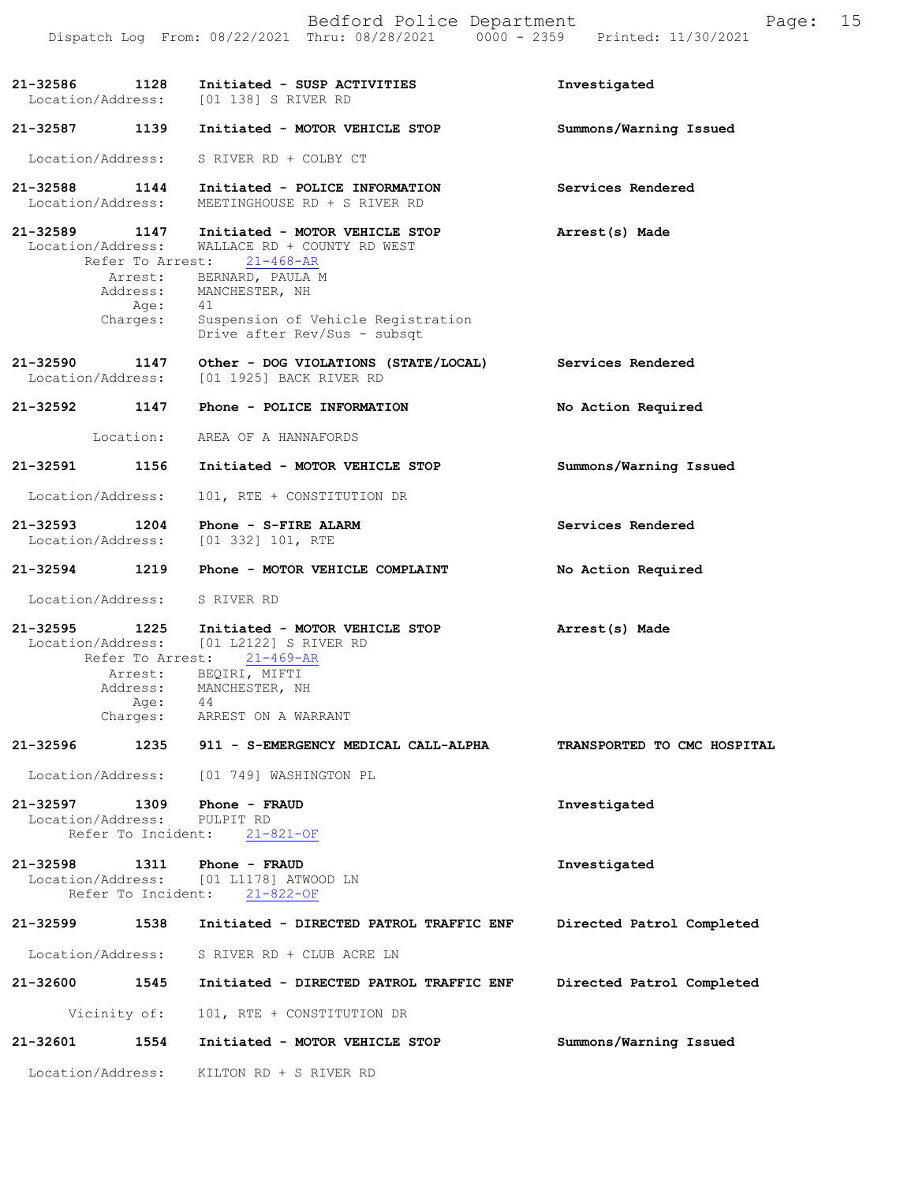|               |                                                 | Bedford Police Department<br>Dispatch Log From: 08/22/2021 Thru: 08/28/2021 0000 - 2359 Printed: 11/30/2021 | 15<br>Page:                 |
|---------------|-------------------------------------------------|-------------------------------------------------------------------------------------------------------------|-----------------------------|
|               | 21-32586 1128                                   | Initiated - SUSP ACTIVITIES<br>Location/Address: [01 138] S RIVER RD                                        | Investigated                |
| 21-32587      | 1139                                            | Initiated - MOTOR VEHICLE STOP                                                                              | Summons/Warning Issued      |
|               | Location/Address:                               | S RIVER RD + COLBY CT                                                                                       |                             |
|               | 21-32588 1144<br>Location/Address:              | Initiated - POLICE INFORMATION<br>MEETINGHOUSE RD + S RIVER RD                                              | Services Rendered           |
|               | 21-32589 1147<br>Location/Address:              | Initiated - MOTOR VEHICLE STOP<br>WALLACE RD + COUNTY RD WEST<br>Refer To Arrest: 21-468-AR                 | Arrest(s) Made              |
|               | Arrest:<br>Age:                                 | BERNARD, PAULA M<br>Address: MANCHESTER, NH<br>41                                                           |                             |
|               | Charges:                                        | Suspension of Vehicle Registration<br>Drive after Rev/Sus - subsqt                                          |                             |
|               | 21-32590 1147<br>Location/Address:              | Other - DOG VIOLATIONS (STATE/LOCAL)<br>[01 1925] BACK RIVER RD                                             | Services Rendered           |
|               | 21-32592 1147                                   | Phone - POLICE INFORMATION                                                                                  | No Action Required          |
|               | Location:                                       | AREA OF A HANNAFORDS                                                                                        |                             |
| 21-32591 1156 |                                                 | Initiated - MOTOR VEHICLE STOP                                                                              | Summons/Warning Issued      |
|               | Location/Address:                               | 101, RTE + CONSTITUTION DR                                                                                  |                             |
|               | 21-32593 1204                                   | Phone - S-FIRE ALARM<br>Location/Address: [01 332] 101, RTE                                                 | Services Rendered           |
|               | 21-32594 1219                                   | Phone - MOTOR VEHICLE COMPLAINT                                                                             | No Action Required          |
|               |                                                 | Location/Address: S RIVER RD                                                                                |                             |
|               | Refer To Arrest:                                | 21-32595 1225 Initiated - MOTOR VEHICLE STOP<br>Location/Address: [01 L2122] S RIVER RD<br>$21 - 469 - AR$  | Arrest(s) Made              |
|               | Address:<br>Age:                                | Arrest: BEQIRI, MIFTI<br>MANCHESTER, NH<br>44                                                               |                             |
|               | Charges:                                        | ARREST ON A WARRANT                                                                                         |                             |
| 21-32596      | 1235                                            | 911 - S-EMERGENCY MEDICAL CALL-ALPHA                                                                        | TRANSPORTED TO CMC HOSPITAL |
|               | Location/Address:                               | [01 749] WASHINGTON PL                                                                                      |                             |
| 21-32597      | 1309<br>Location/Address:<br>Refer To Incident: | Phone - FRAUD<br>PULPIT RD<br>$21 - 821 - OF$                                                               | Investigated                |
| 21-32598      | 1311                                            | Phone - FRAUD<br>Location/Address: [01 L1178] ATWOOD LN<br>Refer To Incident: 21-822-OF                     | Investigated                |
| 21-32599      | 1538                                            | Initiated - DIRECTED PATROL TRAFFIC ENF                                                                     | Directed Patrol Completed   |
|               | Location/Address:                               | S RIVER RD + CLUB ACRE LN                                                                                   |                             |
| 21-32600      | 1545                                            | Initiated - DIRECTED PATROL TRAFFIC ENF                                                                     | Directed Patrol Completed   |
|               | Vicinity of:                                    | 101, RTE + CONSTITUTION DR                                                                                  |                             |
| 21-32601      | 1554                                            | Initiated - MOTOR VEHICLE STOP                                                                              | Summons/Warning Issued      |
|               | Location/Address:                               | KILTON RD + S RIVER RD                                                                                      |                             |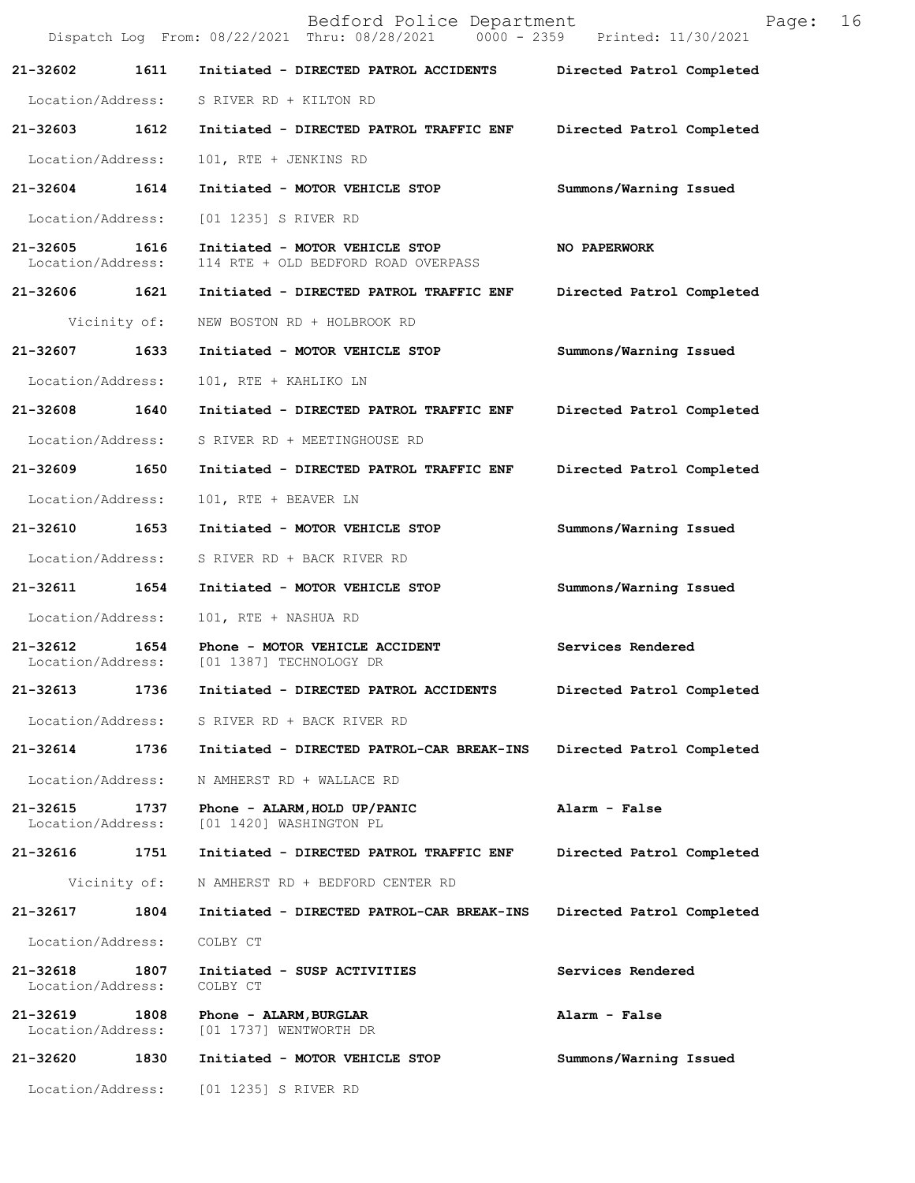|                                    |              | Bedford Police Department<br>Dispatch Log From: 08/22/2021 Thru: 08/28/2021 0000 - 2359 Printed: 11/30/2021 | 16<br>Page:               |
|------------------------------------|--------------|-------------------------------------------------------------------------------------------------------------|---------------------------|
| 21-32602                           | 1611         | Initiated - DIRECTED PATROL ACCIDENTS Directed Patrol Completed                                             |                           |
|                                    |              | Location/Address: S RIVER RD + KILTON RD                                                                    |                           |
|                                    |              | 21-32603 1612 Initiated - DIRECTED PATROL TRAFFIC ENF                                                       | Directed Patrol Completed |
| Location/Address:                  |              | 101, RTE + JENKINS RD                                                                                       |                           |
| 21-32604 1614                      |              | Initiated - MOTOR VEHICLE STOP                                                                              | Summons/Warning Issued    |
| Location/Address:                  |              | [01 1235] S RIVER RD                                                                                        |                           |
| 21-32605 1616<br>Location/Address: |              | Initiated - MOTOR VEHICLE STOP<br>114 RTE + OLD BEDFORD ROAD OVERPASS                                       | <b>NO PAPERWORK</b>       |
|                                    |              | 21-32606 1621 Initiated - DIRECTED PATROL TRAFFIC ENF                                                       | Directed Patrol Completed |
|                                    | Vicinity of: | NEW BOSTON RD + HOLBROOK RD                                                                                 |                           |
| 21-32607 1633                      |              | Initiated - MOTOR VEHICLE STOP                                                                              | Summons/Warning Issued    |
| Location/Address:                  |              | 101, RTE + KAHLIKO LN                                                                                       |                           |
|                                    |              | 21-32608 1640 Initiated - DIRECTED PATROL TRAFFIC ENF                                                       | Directed Patrol Completed |
|                                    |              | Location/Address: S RIVER RD + MEETINGHOUSE RD                                                              |                           |
| 21-32609 1650                      |              | Initiated - DIRECTED PATROL TRAFFIC ENF                                                                     | Directed Patrol Completed |
| Location/Address:                  |              | 101, RTE + BEAVER LN                                                                                        |                           |
| 21-32610 1653                      |              | Initiated - MOTOR VEHICLE STOP                                                                              | Summons/Warning Issued    |
|                                    |              | Location/Address: S RIVER RD + BACK RIVER RD                                                                |                           |
| 21-32611 1654                      |              | Initiated - MOTOR VEHICLE STOP                                                                              | Summons/Warning Issued    |
| Location/Address:                  |              | 101, RTE + NASHUA RD                                                                                        |                           |
|                                    |              | 21-32612 1654 Phone - MOTOR VEHICLE ACCIDENT<br>Location/Address: [01 1387] TECHNOLOGY DR                   | Services Rendered         |
| 21-32613                           | 1736         | Initiated - DIRECTED PATROL ACCIDENTS                                                                       | Directed Patrol Completed |
| Location/Address:                  |              | S RIVER RD + BACK RIVER RD                                                                                  |                           |
| 21-32614                           | 1736         | Initiated - DIRECTED PATROL-CAR BREAK-INS                                                                   | Directed Patrol Completed |
| Location/Address:                  |              | N AMHERST RD + WALLACE RD                                                                                   |                           |
| 21-32615<br>Location/Address:      | 1737         | Phone - ALARM, HOLD UP/PANIC<br>[01 1420] WASHINGTON PL                                                     | Alarm - False             |
| 21-32616 1751                      |              | Initiated - DIRECTED PATROL TRAFFIC ENF                                                                     | Directed Patrol Completed |
|                                    | Vicinity of: | N AMHERST RD + BEDFORD CENTER RD                                                                            |                           |
| 21-32617                           | 1804         | Initiated - DIRECTED PATROL-CAR BREAK-INS                                                                   | Directed Patrol Completed |
| Location/Address:                  |              | COLBY CT                                                                                                    |                           |
| 21-32618<br>Location/Address:      | 1807         | Initiated - SUSP ACTIVITIES<br>COLBY CT                                                                     | Services Rendered         |
| 21-32619<br>Location/Address:      | 1808         | Phone - ALARM, BURGLAR<br>[01 1737] WENTWORTH DR                                                            | Alarm - False             |
| 21-32620                           | 1830         | Initiated - MOTOR VEHICLE STOP                                                                              | Summons/Warning Issued    |
| Location/Address:                  |              | [01 1235] S RIVER RD                                                                                        |                           |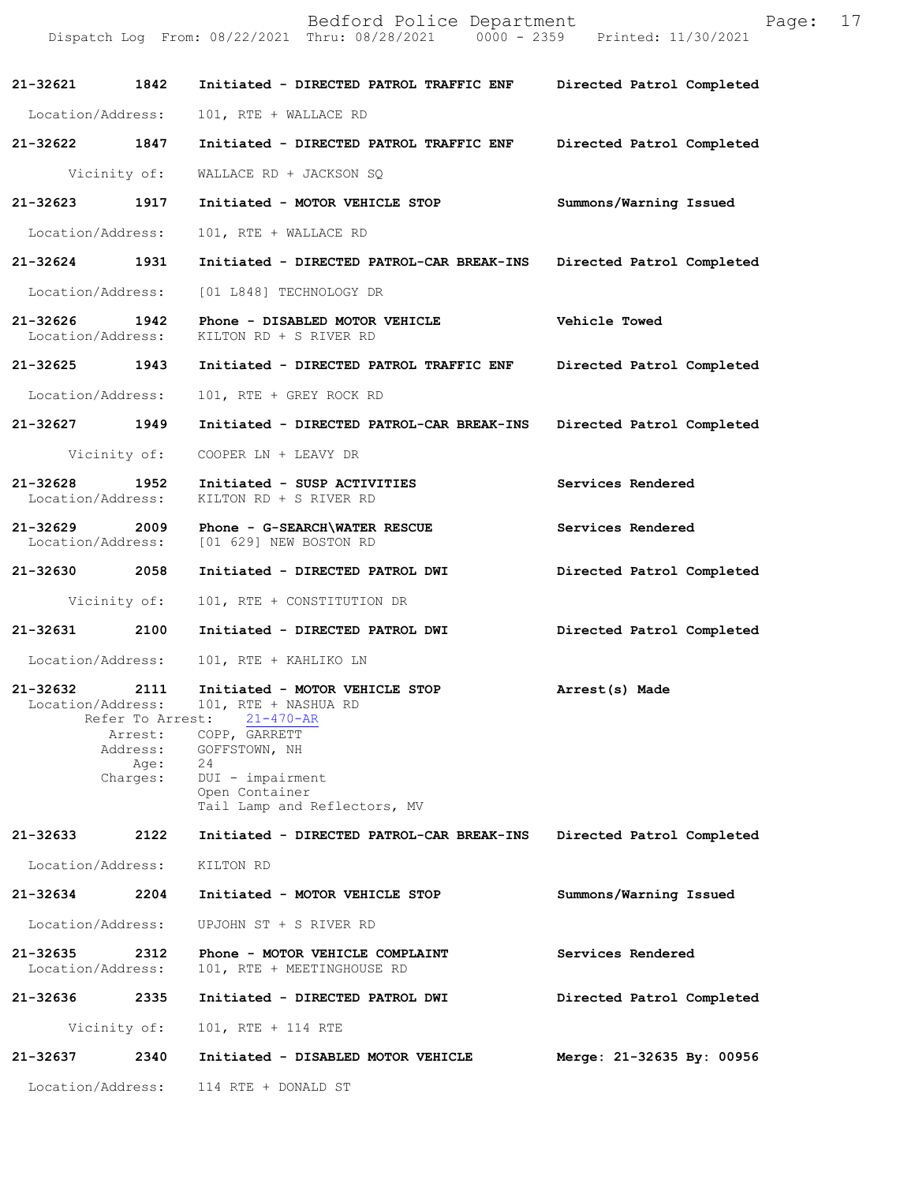|                                    |                                                                     | Bedford Police Department<br>Dispatch Log From: 08/22/2021 Thru: 08/28/2021 0000 - 2359 Printed: 11/30/2021                                                                             | Page:                     | 17 |
|------------------------------------|---------------------------------------------------------------------|-----------------------------------------------------------------------------------------------------------------------------------------------------------------------------------------|---------------------------|----|
| 21-32621 1842                      |                                                                     | Initiated - DIRECTED PATROL TRAFFIC ENF                                                                                                                                                 | Directed Patrol Completed |    |
| Location/Address:                  |                                                                     | 101, RTE + WALLACE RD                                                                                                                                                                   |                           |    |
| 21-32622 1847                      |                                                                     | Initiated - DIRECTED PATROL TRAFFIC ENF                                                                                                                                                 | Directed Patrol Completed |    |
|                                    | Vicinity of:                                                        | WALLACE RD + JACKSON SQ                                                                                                                                                                 |                           |    |
| 21-32623                           | 1917                                                                | Initiated - MOTOR VEHICLE STOP                                                                                                                                                          | Summons/Warning Issued    |    |
| Location/Address:                  |                                                                     | 101, RTE + WALLACE RD                                                                                                                                                                   |                           |    |
| 21-32624 1931                      |                                                                     | Initiated - DIRECTED PATROL-CAR BREAK-INS                                                                                                                                               | Directed Patrol Completed |    |
| Location/Address:                  |                                                                     | [01 L848] TECHNOLOGY DR                                                                                                                                                                 |                           |    |
| 21-32626 1942<br>Location/Address: |                                                                     | Phone - DISABLED MOTOR VEHICLE<br>KILTON RD + S RIVER RD                                                                                                                                | Vehicle Towed             |    |
| 21-32625 1943                      |                                                                     | Initiated - DIRECTED PATROL TRAFFIC ENF                                                                                                                                                 | Directed Patrol Completed |    |
| Location/Address:                  |                                                                     | 101, RTE + GREY ROCK RD                                                                                                                                                                 |                           |    |
| 21-32627 1949                      |                                                                     | Initiated - DIRECTED PATROL-CAR BREAK-INS                                                                                                                                               | Directed Patrol Completed |    |
|                                    | Vicinity of:                                                        | COOPER LN + LEAVY DR                                                                                                                                                                    |                           |    |
| 21-32628<br>Location/Address:      | 1952                                                                | Initiated - SUSP ACTIVITIES<br>KILTON RD + S RIVER RD                                                                                                                                   | Services Rendered         |    |
| 21-32629<br>Location/Address:      |                                                                     | 2009 Phone - G-SEARCH\WATER RESCUE<br>[01 629] NEW BOSTON RD                                                                                                                            | Services Rendered         |    |
| 21-32630 2058                      |                                                                     | Initiated - DIRECTED PATROL DWI                                                                                                                                                         | Directed Patrol Completed |    |
|                                    | Vicinity of:                                                        | 101, RTE + CONSTITUTION DR                                                                                                                                                              |                           |    |
| 21-32631 2100                      |                                                                     | Initiated - DIRECTED PATROL DWI                                                                                                                                                         | Directed Patrol Completed |    |
| Location/Address:                  |                                                                     | 101, RTE + KAHLIKO LN                                                                                                                                                                   |                           |    |
| 21-32632<br>Location/Address:      | 2111<br>Refer To Arrest:<br>Arrest:<br>Address:<br>Age:<br>Charges: | Initiated - MOTOR VEHICLE STOP<br>101, RTE + NASHUA RD<br>$21 - 470 - AR$<br>COPP, GARRETT<br>GOFFSTOWN, NH<br>24<br>DUI - impairment<br>Open Container<br>Tail Lamp and Reflectors, MV | Arrest(s) Made            |    |
| 21-32633                           | 2122                                                                | Initiated - DIRECTED PATROL-CAR BREAK-INS                                                                                                                                               | Directed Patrol Completed |    |
| Location/Address:                  |                                                                     | KILTON RD                                                                                                                                                                               |                           |    |
| 21-32634                           | 2204                                                                | Initiated - MOTOR VEHICLE STOP                                                                                                                                                          | Summons/Warning Issued    |    |
| Location/Address:                  |                                                                     | UPJOHN ST + S RIVER RD                                                                                                                                                                  |                           |    |
| 21-32635<br>Location/Address:      | 2312                                                                | Phone - MOTOR VEHICLE COMPLAINT<br>101, RTE + MEETINGHOUSE RD                                                                                                                           | Services Rendered         |    |
| 21-32636                           | 2335                                                                | Initiated - DIRECTED PATROL DWI                                                                                                                                                         | Directed Patrol Completed |    |
|                                    | Vicinity of:                                                        | 101, RTE + 114 RTE                                                                                                                                                                      |                           |    |
| 21-32637                           | 2340                                                                | Initiated - DISABLED MOTOR VEHICLE                                                                                                                                                      | Merge: 21-32635 By: 00956 |    |
| Location/Address:                  |                                                                     | 114 RTE + DONALD ST                                                                                                                                                                     |                           |    |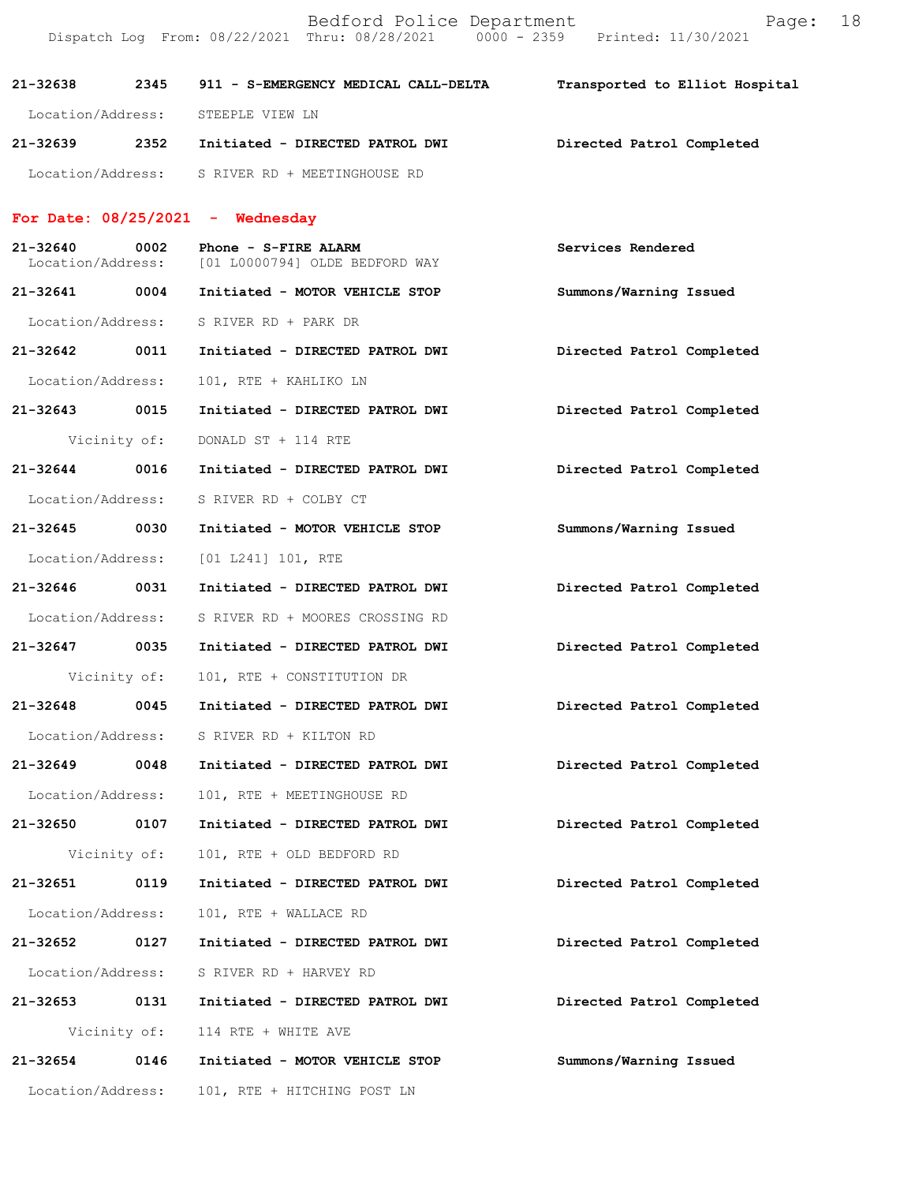| 21-32638          | 2345         | 911 - S-EMERGENCY MEDICAL CALL-DELTA                                         | Transported to Elliot Hospital |
|-------------------|--------------|------------------------------------------------------------------------------|--------------------------------|
| Location/Address: |              | STEEPLE VIEW LN                                                              |                                |
| 21-32639 2352     |              | Initiated - DIRECTED PATROL DWI                                              | Directed Patrol Completed      |
|                   |              | Location/Address: S RIVER RD + MEETINGHOUSE RD                               |                                |
|                   |              | For Date: $08/25/2021$ - Wednesday                                           |                                |
| 21-32640          | 0002         | $Phone - S - FIRE$ ALARM<br>Location/Address: [01 L0000794] OLDE BEDFORD WAY | Services Rendered              |
| 21-32641 0004     |              | Initiated - MOTOR VEHICLE STOP                                               | Summons/Warning Issued         |
| Location/Address: |              | S RIVER RD + PARK DR                                                         |                                |
| 21-32642 0011     |              | Initiated - DIRECTED PATROL DWI                                              | Directed Patrol Completed      |
| Location/Address: |              | 101, RTE + KAHLIKO LN                                                        |                                |
| 21-32643 0015     |              | Initiated - DIRECTED PATROL DWI                                              | Directed Patrol Completed      |
|                   | Vicinity of: | DONALD ST + 114 RTE                                                          |                                |
| 21-32644 0016     |              | Initiated - DIRECTED PATROL DWI                                              | Directed Patrol Completed      |
| Location/Address: |              | S RIVER RD + COLBY CT                                                        |                                |
| 21-32645 0030     |              | Initiated - MOTOR VEHICLE STOP                                               | Summons/Warning Issued         |
|                   |              | Location/Address: [01 L241] 101, RTE                                         |                                |
| 21-32646 0031     |              | Initiated - DIRECTED PATROL DWI                                              | Directed Patrol Completed      |
| Location/Address: |              | S RIVER RD + MOORES CROSSING RD                                              |                                |
| 21-32647 0035     |              | Initiated - DIRECTED PATROL DWI                                              | Directed Patrol Completed      |
|                   | Vicinity of: | 101, RTE + CONSTITUTION DR                                                   |                                |
| 21-32648          | 0045         | Initiated - DIRECTED PATROL DWI                                              | Directed Patrol Completed      |
| Location/Address: |              | S RIVER RD + KILTON RD                                                       |                                |
| 21-32649          | 0048         | Initiated - DIRECTED PATROL DWI                                              | Directed Patrol Completed      |
| Location/Address: |              | 101, RTE + MEETINGHOUSE RD                                                   |                                |
| 21-32650          | 0107         | Initiated - DIRECTED PATROL DWI                                              | Directed Patrol Completed      |
|                   | Vicinity of: | 101, RTE + OLD BEDFORD RD                                                    |                                |
| $21 - 32651$      | 0119         | Initiated - DIRECTED PATROL DWI                                              | Directed Patrol Completed      |
| Location/Address: |              | 101, RTE + WALLACE RD                                                        |                                |
| 21-32652          | 0127         | Initiated - DIRECTED PATROL DWI                                              | Directed Patrol Completed      |
| Location/Address: |              | S RIVER RD + HARVEY RD                                                       |                                |
| 21-32653          | 0131         | Initiated - DIRECTED PATROL DWI                                              | Directed Patrol Completed      |
|                   |              | Vicinity of: 114 RTE + WHITE AVE                                             |                                |
| 21-32654          | 0146         | Initiated - MOTOR VEHICLE STOP                                               | Summons/Warning Issued         |
| Location/Address: |              | 101, RTE + HITCHING POST LN                                                  |                                |

Bedford Police Department Fage: 18

Dispatch Log From: 08/22/2021 Thru: 08/28/2021 0000 - 2359 Printed: 11/30/2021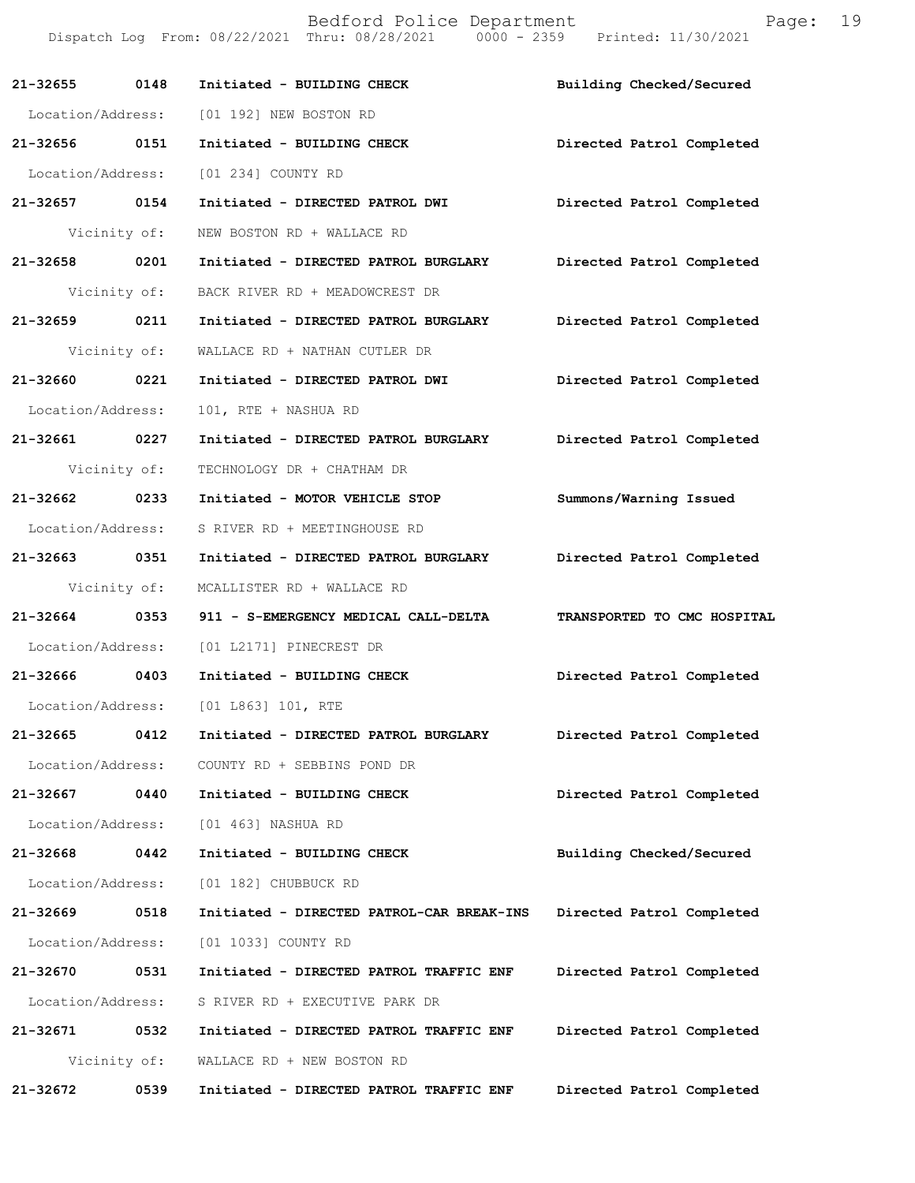**21-32655 0148 Initiated - BUILDING CHECK Building Checked/Secured**  Location/Address: [01 192] NEW BOSTON RD **21-32656 0151 Initiated - BUILDING CHECK Directed Patrol Completed**  Location/Address: [01 234] COUNTY RD **21-32657 0154 Initiated - DIRECTED PATROL DWI Directed Patrol Completed**  Vicinity of: NEW BOSTON RD + WALLACE RD **21-32658 0201 Initiated - DIRECTED PATROL BURGLARY Directed Patrol Completed**  Vicinity of: BACK RIVER RD + MEADOWCREST DR **21-32659 0211 Initiated - DIRECTED PATROL BURGLARY Directed Patrol Completed**  Vicinity of: WALLACE RD + NATHAN CUTLER DR **21-32660 0221 Initiated - DIRECTED PATROL DWI Directed Patrol Completed**  Location/Address: 101, RTE + NASHUA RD **21-32661 0227 Initiated - DIRECTED PATROL BURGLARY Directed Patrol Completed**  Vicinity of: TECHNOLOGY DR + CHATHAM DR **21-32662 0233 Initiated - MOTOR VEHICLE STOP Summons/Warning Issued**  Location/Address: S RIVER RD + MEETINGHOUSE RD **21-32663 0351 Initiated - DIRECTED PATROL BURGLARY Directed Patrol Completed**  Vicinity of: MCALLISTER RD + WALLACE RD **21-32664 0353 911 - S-EMERGENCY MEDICAL CALL-DELTA TRANSPORTED TO CMC HOSPITAL**  Location/Address: [01 L2171] PINECREST DR **21-32666 0403 Initiated - BUILDING CHECK Directed Patrol Completed**  Location/Address: [01 L863] 101, RTE **21-32665 0412 Initiated - DIRECTED PATROL BURGLARY Directed Patrol Completed**  Location/Address: COUNTY RD + SEBBINS POND DR **21-32667 0440 Initiated - BUILDING CHECK Directed Patrol Completed**  Location/Address: [01 463] NASHUA RD **21-32668 0442 Initiated - BUILDING CHECK Building Checked/Secured**  Location/Address: [01 182] CHUBBUCK RD **21-32669 0518 Initiated - DIRECTED PATROL-CAR BREAK-INS Directed Patrol Completed**  Location/Address: [01 1033] COUNTY RD **21-32670 0531 Initiated - DIRECTED PATROL TRAFFIC ENF Directed Patrol Completed**  Location/Address: S RIVER RD + EXECUTIVE PARK DR **21-32671 0532 Initiated - DIRECTED PATROL TRAFFIC ENF Directed Patrol Completed**  Vicinity of: WALLACE RD + NEW BOSTON RD **21-32672 0539 Initiated - DIRECTED PATROL TRAFFIC ENF Directed Patrol Completed** 

Bedford Police Department Fage: 19

Dispatch Log From: 08/22/2021 Thru: 08/28/2021 0000 - 2359 Printed: 11/30/2021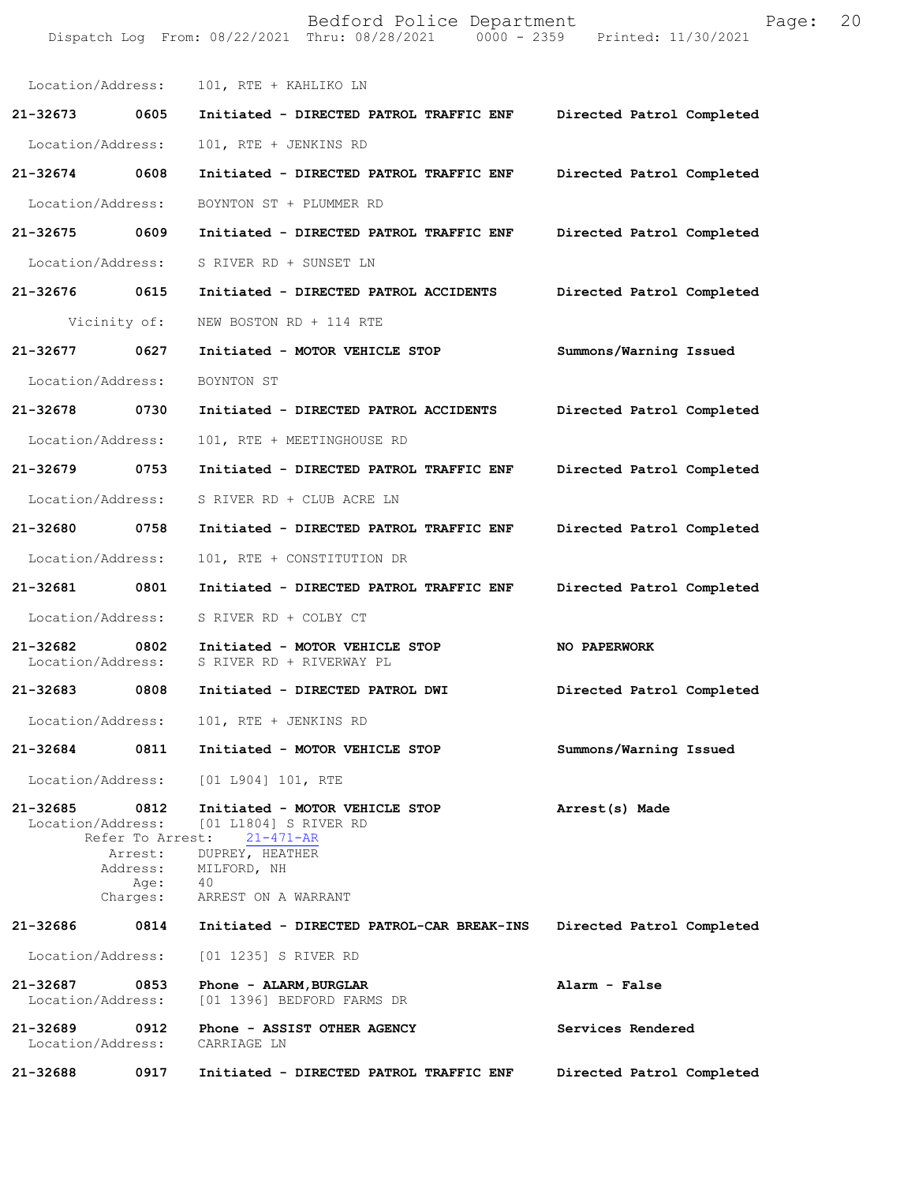|                               |                                     | Bedford Police Department<br>Dispatch Log From: 08/22/2021 Thru: 08/28/2021 0000 - 2359 Printed: 11/30/2021 | Page:                     | 20 |
|-------------------------------|-------------------------------------|-------------------------------------------------------------------------------------------------------------|---------------------------|----|
| Location/Address:             |                                     | 101, RTE + KAHLIKO LN                                                                                       |                           |    |
| 21-32673                      | 0605                                | Initiated - DIRECTED PATROL TRAFFIC ENF Directed Patrol Completed                                           |                           |    |
| Location/Address:             |                                     | 101, RTE + JENKINS RD                                                                                       |                           |    |
| 21-32674 0608                 |                                     | Initiated - DIRECTED PATROL TRAFFIC ENF                                                                     | Directed Patrol Completed |    |
| Location/Address:             |                                     | BOYNTON ST + PLUMMER RD                                                                                     |                           |    |
| 21-32675 0609                 |                                     | Initiated - DIRECTED PATROL TRAFFIC ENF                                                                     | Directed Patrol Completed |    |
| Location/Address:             |                                     | S RIVER RD + SUNSET LN                                                                                      |                           |    |
| 21-32676 0615                 |                                     | Initiated - DIRECTED PATROL ACCIDENTS                                                                       | Directed Patrol Completed |    |
|                               | Vicinity of:                        | NEW BOSTON RD + 114 RTE                                                                                     |                           |    |
| 21-32677                      | 0627                                | Initiated - MOTOR VEHICLE STOP                                                                              | Summons/Warning Issued    |    |
| Location/Address:             |                                     | BOYNTON ST                                                                                                  |                           |    |
| 21-32678 0730                 |                                     | Initiated - DIRECTED PATROL ACCIDENTS                                                                       | Directed Patrol Completed |    |
| Location/Address:             |                                     | 101, RTE + MEETINGHOUSE RD                                                                                  |                           |    |
| 21-32679 0753                 |                                     | Initiated - DIRECTED PATROL TRAFFIC ENF                                                                     | Directed Patrol Completed |    |
| Location/Address:             |                                     | S RIVER RD + CLUB ACRE LN                                                                                   |                           |    |
| 21-32680                      | 0758                                | Initiated - DIRECTED PATROL TRAFFIC ENF                                                                     | Directed Patrol Completed |    |
| Location/Address:             |                                     | 101, RTE + CONSTITUTION DR                                                                                  |                           |    |
| 21-32681                      | 0801                                | Initiated - DIRECTED PATROL TRAFFIC ENF                                                                     | Directed Patrol Completed |    |
| Location/Address:             |                                     | S RIVER RD + COLBY CT                                                                                       |                           |    |
| 21-32682<br>Location/Address: | $\sim$ 0802                         | Initiated - MOTOR VEHICLE STOP<br>S RIVER RD + RIVERWAY PL                                                  | <b>NO PAPERWORK</b>       |    |
| 21-32683                      | 0808                                | Initiated - DIRECTED PATROL DWI                                                                             | Directed Patrol Completed |    |
| Location/Address:             |                                     | 101, RTE + JENKINS RD                                                                                       |                           |    |
| 21-32684                      | 0811                                | Initiated - MOTOR VEHICLE STOP                                                                              | Summons/Warning Issued    |    |
| Location/Address:             |                                     | $[01 1904] 101$ , RTE                                                                                       |                           |    |
| 21-32685<br>Location/Address: | 0812<br>Refer To Arrest:<br>Arrest: | Initiated - MOTOR VEHICLE STOP<br>[01 L1804] S RIVER RD<br>$21 - 471 - AR$<br>DUPREY, HEATHER               | Arrest(s) Made            |    |
|                               | Address:<br>Age:<br>Charges:        | MILFORD, NH<br>- 40<br>ARREST ON A WARRANT                                                                  |                           |    |
| 21-32686                      | 0814                                | Initiated - DIRECTED PATROL-CAR BREAK-INS                                                                   | Directed Patrol Completed |    |
| Location/Address:             |                                     | [01 1235] S RIVER RD                                                                                        |                           |    |
| 21-32687<br>Location/Address: | 0853                                | Phone - ALARM, BURGLAR<br>[01 1396] BEDFORD FARMS DR                                                        | Alarm - False             |    |
| 21-32689<br>Location/Address: | 0912                                | Phone - ASSIST OTHER AGENCY<br>CARRIAGE LN                                                                  | Services Rendered         |    |
| 21-32688                      | 0917                                | Initiated - DIRECTED PATROL TRAFFIC ENF                                                                     | Directed Patrol Completed |    |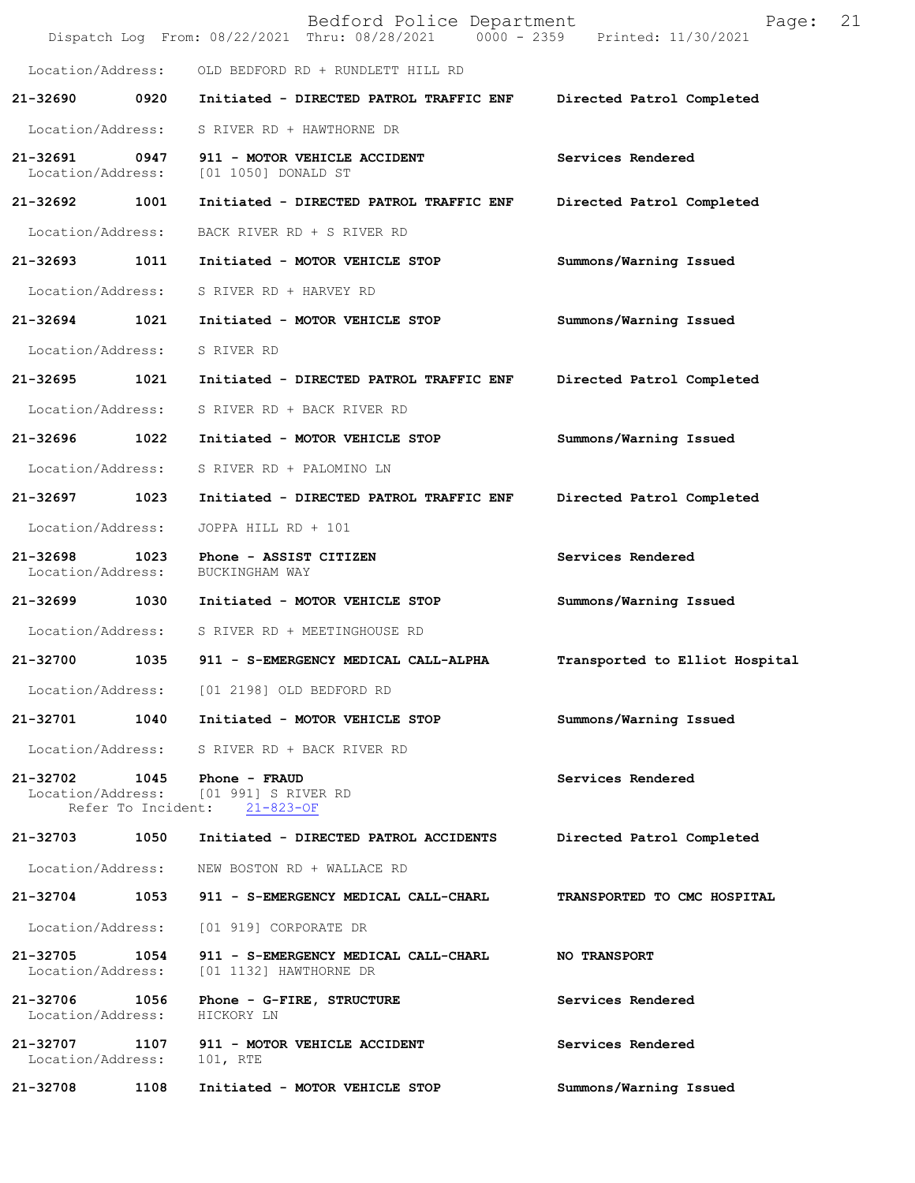| 21-32708                           | 1108 | Initiated - MOTOR VEHICLE STOP                                                                              | Summons/Warning Issued         |
|------------------------------------|------|-------------------------------------------------------------------------------------------------------------|--------------------------------|
| Location/Address:                  |      | 21-32707 1107 911 - MOTOR VEHICLE ACCIDENT<br>101, RTE                                                      | Services Rendered              |
| 21-32706 1056<br>Location/Address: |      | Phone - G-FIRE, STRUCTURE<br>HICKORY LN                                                                     | Services Rendered              |
| 21-32705 1054<br>Location/Address: |      | 911 - S-EMERGENCY MEDICAL CALL-CHARL<br>[01 1132] HAWTHORNE DR                                              | <b>NO TRANSPORT</b>            |
|                                    |      | Location/Address: [01 919] CORPORATE DR                                                                     |                                |
| 21-32704                           | 1053 | 911 - S-EMERGENCY MEDICAL CALL-CHARL                                                                        | TRANSPORTED TO CMC HOSPITAL    |
| Location/Address:                  |      | NEW BOSTON RD + WALLACE RD                                                                                  |                                |
| 21-32703 1050                      |      | Initiated - DIRECTED PATROL ACCIDENTS                                                                       | Directed Patrol Completed      |
| $21 - 32702$                       |      | 1045 Phone - FRAUD<br>Location/Address: [01 991] S RIVER RD<br>Refer To Incident: 21-823-OF                 | Services Rendered              |
|                                    |      | Location/Address: S RIVER RD + BACK RIVER RD                                                                |                                |
| 21-32701                           | 1040 | Initiated - MOTOR VEHICLE STOP                                                                              | Summons/Warning Issued         |
| Location/Address:                  |      | [01 2198] OLD BEDFORD RD                                                                                    |                                |
| 21-32700                           | 1035 | 911 - S-EMERGENCY MEDICAL CALL-ALPHA                                                                        | Transported to Elliot Hospital |
| Location/Address:                  |      | S RIVER RD + MEETINGHOUSE RD                                                                                |                                |
| 21-32699                           | 1030 | Initiated - MOTOR VEHICLE STOP                                                                              | Summons/Warning Issued         |
| 21-32698<br>Location/Address:      | 1023 | Phone - ASSIST CITIZEN<br>BUCKINGHAM WAY                                                                    | Services Rendered              |
| Location/Address:                  |      | JOPPA HILL RD + 101                                                                                         |                                |
| 21-32697                           | 1023 | Initiated - DIRECTED PATROL TRAFFIC ENF                                                                     | Directed Patrol Completed      |
| Location/Address:                  |      | S RIVER RD + PALOMINO LN                                                                                    |                                |
| 21-32696                           | 1022 | Initiated - MOTOR VEHICLE STOP                                                                              | Summons/Warning Issued         |
| Location/Address:                  |      | S RIVER RD + BACK RIVER RD                                                                                  |                                |
| 21-32695                           | 1021 | Initiated - DIRECTED PATROL TRAFFIC ENF                                                                     | Directed Patrol Completed      |
| Location/Address:                  |      | S RIVER RD                                                                                                  |                                |
| 21-32694                           | 1021 | Initiated - MOTOR VEHICLE STOP                                                                              | Summons/Warning Issued         |
| Location/Address:                  |      | S RIVER RD + HARVEY RD                                                                                      |                                |
| 21-32693                           | 1011 | Initiated - MOTOR VEHICLE STOP                                                                              | Summons/Warning Issued         |
| Location/Address:                  |      | BACK RIVER RD + S RIVER RD                                                                                  |                                |
| 21-32692 1001                      |      | Initiated - DIRECTED PATROL TRAFFIC ENF                                                                     | Directed Patrol Completed      |
| 21-32691<br>Location/Address:      | 0947 | 911 - MOTOR VEHICLE ACCIDENT<br>[01 1050] DONALD ST                                                         | Services Rendered              |
| Location/Address:                  |      | S RIVER RD + HAWTHORNE DR                                                                                   |                                |
| 21-32690                           | 0920 | Initiated - DIRECTED PATROL TRAFFIC ENF                                                                     | Directed Patrol Completed      |
| Location/Address:                  |      | OLD BEDFORD RD + RUNDLETT HILL RD                                                                           |                                |
|                                    |      | Bedford Police Department<br>Dispatch Log From: 08/22/2021 Thru: 08/28/2021 0000 - 2359 Printed: 11/30/2021 | 21<br>Page:                    |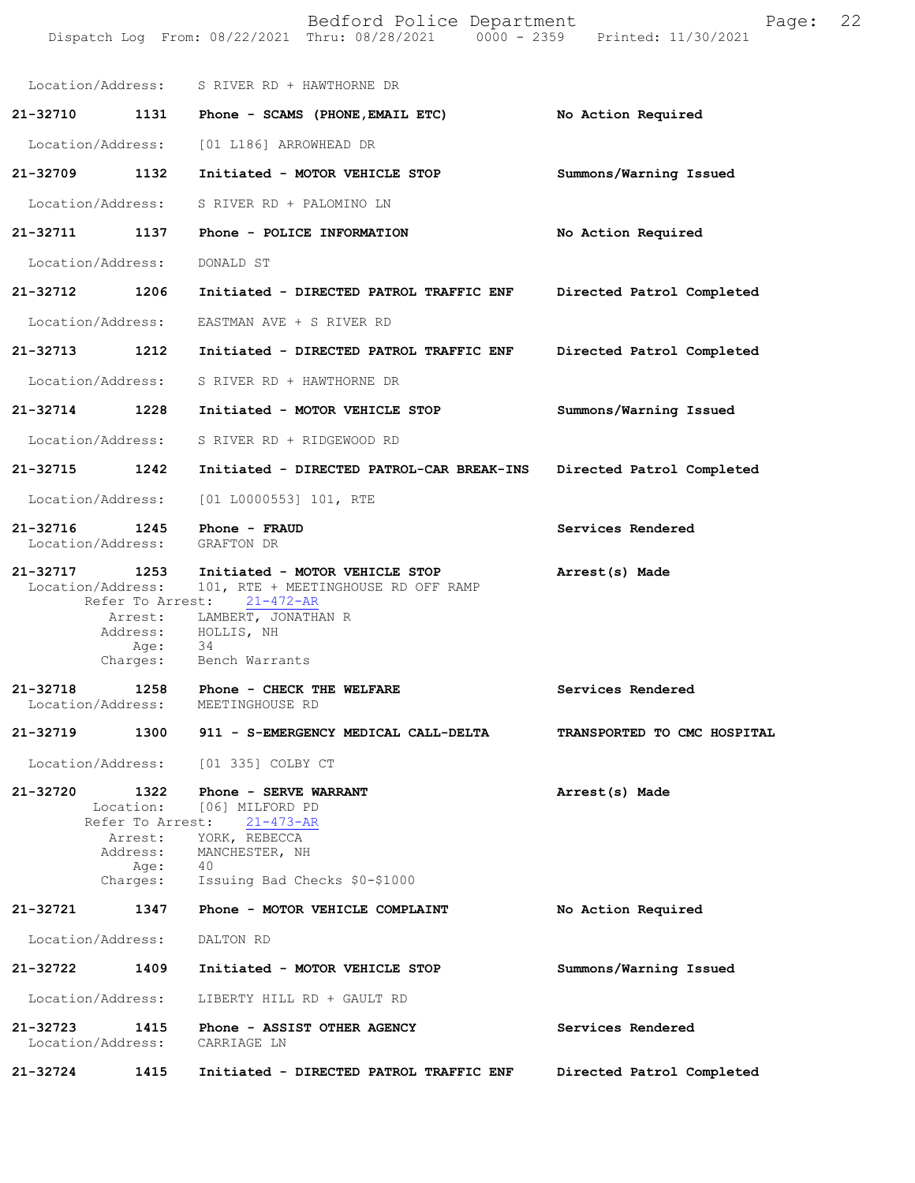|                               |                          | Bedford Police Department<br>Dispatch Log From: 08/22/2021 Thru: 08/28/2021 0000 - 2359 Printed: 11/30/2021                                                                          | Page:                       | 22 |
|-------------------------------|--------------------------|--------------------------------------------------------------------------------------------------------------------------------------------------------------------------------------|-----------------------------|----|
|                               |                          | Location/Address: S RIVER RD + HAWTHORNE DR                                                                                                                                          |                             |    |
| 21-32710                      |                          | 1131 Phone - SCAMS (PHONE, EMAIL ETC)                                                                                                                                                | No Action Required          |    |
| Location/Address:             |                          | [01 L186] ARROWHEAD DR                                                                                                                                                               |                             |    |
| 21-32709                      | 1132                     | Initiated - MOTOR VEHICLE STOP                                                                                                                                                       | Summons/Warning Issued      |    |
| Location/Address:             |                          | S RIVER RD + PALOMINO LN                                                                                                                                                             |                             |    |
| 21-32711 1137                 |                          | Phone - POLICE INFORMATION                                                                                                                                                           | No Action Required          |    |
| Location/Address:             |                          | DONALD ST                                                                                                                                                                            |                             |    |
| 21-32712 1206                 |                          | Initiated - DIRECTED PATROL TRAFFIC ENF                                                                                                                                              | Directed Patrol Completed   |    |
| Location/Address:             |                          | EASTMAN AVE + S RIVER RD                                                                                                                                                             |                             |    |
| 21-32713                      | 1212                     | Initiated - DIRECTED PATROL TRAFFIC ENF                                                                                                                                              | Directed Patrol Completed   |    |
| Location/Address:             |                          | S RIVER RD + HAWTHORNE DR                                                                                                                                                            |                             |    |
| 21-32714 1228                 |                          | Initiated - MOTOR VEHICLE STOP                                                                                                                                                       | Summons/Warning Issued      |    |
| Location/Address:             |                          | S RIVER RD + RIDGEWOOD RD                                                                                                                                                            |                             |    |
| 21-32715 1242                 |                          | Initiated - DIRECTED PATROL-CAR BREAK-INS                                                                                                                                            | Directed Patrol Completed   |    |
| Location/Address:             |                          | $[01 L0000553] 101$ , RTE                                                                                                                                                            |                             |    |
| 21-32716<br>Location/Address: | 1245                     | Phone - FRAUD<br>GRAFTON DR                                                                                                                                                          | Services Rendered           |    |
| 21-32717<br>Location/Address: | 1253<br>Refer To Arrest: | Initiated - MOTOR VEHICLE STOP<br>101, RTE + MEETINGHOUSE RD OFF RAMP<br>$21 - 472 - AR$<br>Arrest: LAMBERT, JONATHAN R<br>Address: HOLLIS, NH                                       | Arrest(s) Made              |    |
|                               | Age:<br>Charges:         | 34<br>Bench Warrants                                                                                                                                                                 |                             |    |
| 21-32718<br>Location/Address: | 1258                     | Phone - CHECK THE WELFARE<br>MEETINGHOUSE RD                                                                                                                                         | Services Rendered           |    |
|                               |                          | 21-32719 1300 911 - S-EMERGENCY MEDICAL CALL-DELTA                                                                                                                                   | TRANSPORTED TO CMC HOSPITAL |    |
|                               |                          | Location/Address: [01 335] COLBY CT                                                                                                                                                  |                             |    |
|                               | Arrest:<br>Age: $40$     | 21-32720 1322 Phone - SERVE WARRANT<br>Location: [06] MILFORD PD<br>Refer To Arrest: 21-473-AR<br>YORK, REBECCA<br>Address: MANCHESTER, NH<br>Charges: Issuing Bad Checks \$0-\$1000 | Arrest(s) Made              |    |
|                               |                          | 21-32721 1347 Phone - MOTOR VEHICLE COMPLAINT                                                                                                                                        | No Action Required          |    |
| Location/Address:             |                          | DALTON RD                                                                                                                                                                            |                             |    |
| 21-32722                      | 1409                     | Initiated - MOTOR VEHICLE STOP                                                                                                                                                       | Summons/Warning Issued      |    |
| Location/Address:             |                          | LIBERTY HILL RD + GAULT RD                                                                                                                                                           |                             |    |
| 21-32723<br>Location/Address: | 1415                     | Phone - ASSIST OTHER AGENCY<br>CARRIAGE LN                                                                                                                                           | Services Rendered           |    |
| 21-32724                      | 1415                     | Initiated - DIRECTED PATROL TRAFFIC ENF                                                                                                                                              | Directed Patrol Completed   |    |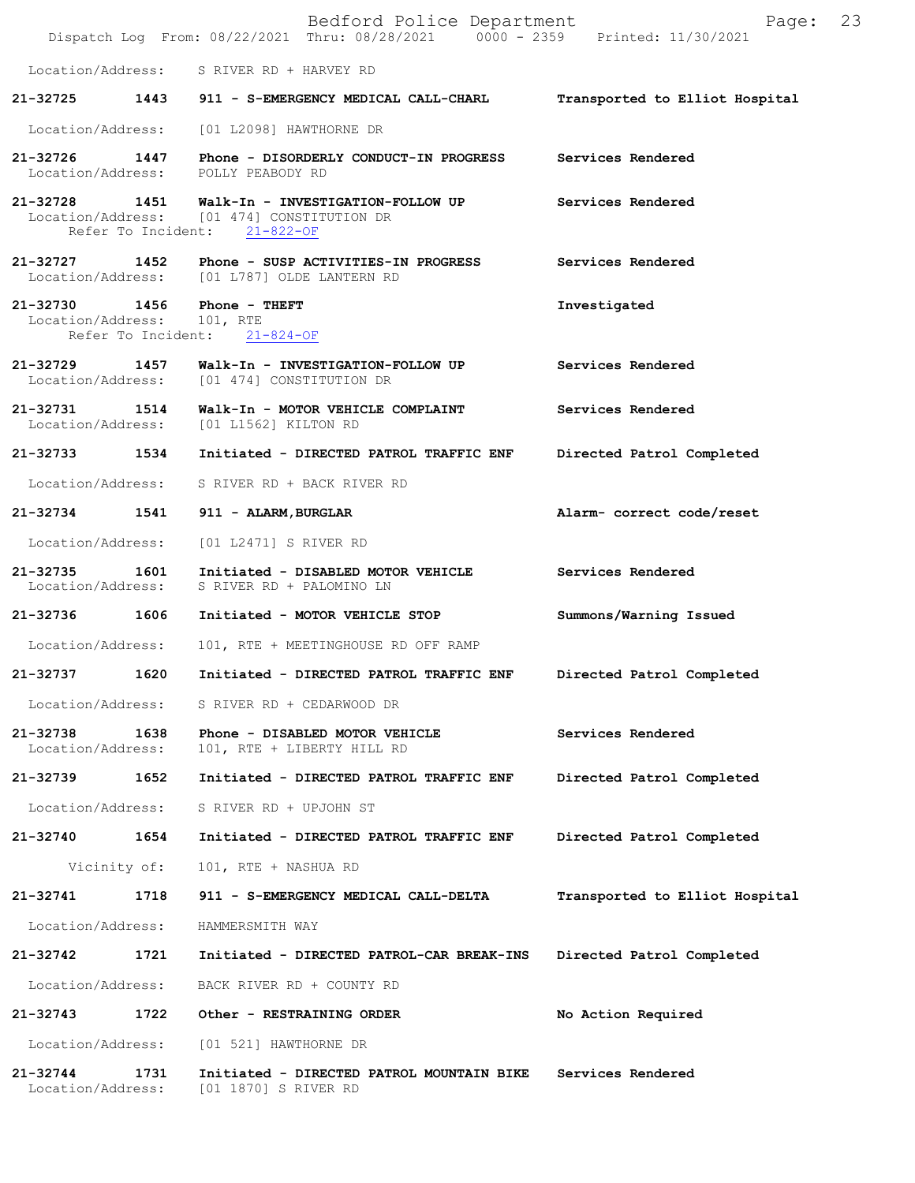|                               |              | Bedford Police Department<br>Dispatch Log From: 08/22/2021 Thru: 08/28/2021 0000 - 2359 Printed: 11/30/2021     | Page:                          | 23 |
|-------------------------------|--------------|-----------------------------------------------------------------------------------------------------------------|--------------------------------|----|
| Location/Address:             |              | S RIVER RD + HARVEY RD                                                                                          |                                |    |
| 21-32725                      |              | 1443 911 - S-EMERGENCY MEDICAL CALL-CHARL                                                                       | Transported to Elliot Hospital |    |
| Location/Address:             |              | [01 L2098] HAWTHORNE DR                                                                                         |                                |    |
| 21-32726 1447                 |              | Phone - DISORDERLY CONDUCT-IN PROGRESS<br>Location/Address: POLLY PEABODY RD                                    | Services Rendered              |    |
| 21-32728 1451                 |              | Walk-In - INVESTIGATION-FOLLOW UP<br>Location/Address: [01 474] CONSTITUTION DR<br>Refer To Incident: 21-822-OF | Services Rendered              |    |
|                               |              | 21-32727 1452 Phone - SUSP ACTIVITIES-IN PROGRESS<br>Location/Address: [01 L787] OLDE LANTERN RD                | Services Rendered              |    |
| Location/Address: 101, RTE    |              | 21-32730 1456 Phone - THEFT<br>Refer To Incident: 21-824-OF                                                     | Investigated                   |    |
| 21–32729 1457                 |              | Walk-In - INVESTIGATION-FOLLOW UP<br>Location/Address: [01 474] CONSTITUTION DR                                 | Services Rendered              |    |
| 21-32731 1514                 |              | Walk-In - MOTOR VEHICLE COMPLAINT<br>Location/Address: [01 L1562] KILTON RD                                     | Services Rendered              |    |
| 21-32733 1534                 |              | Initiated - DIRECTED PATROL TRAFFIC ENF                                                                         | Directed Patrol Completed      |    |
| Location/Address:             |              | S RIVER RD + BACK RIVER RD                                                                                      |                                |    |
| 21-32734                      | 1541         | 911 - ALARM, BURGLAR                                                                                            | Alarm- correct code/reset      |    |
| Location/Address:             |              | [01 L2471] S RIVER RD                                                                                           |                                |    |
| 21-32735<br>Location/Address: | 1601         | Initiated - DISABLED MOTOR VEHICLE<br>S RIVER RD + PALOMINO LN                                                  | Services Rendered              |    |
| 21-32736 1606                 |              | Initiated - MOTOR VEHICLE STOP                                                                                  | Summons/Warning Issued         |    |
| Location/Address:             |              | 101, RTE + MEETINGHOUSE RD OFF RAMP                                                                             |                                |    |
| 21-32737                      | 1620         | Initiated - DIRECTED PATROL TRAFFIC ENF                                                                         | Directed Patrol Completed      |    |
| Location/Address:             |              | S RIVER RD + CEDARWOOD DR                                                                                       |                                |    |
| 21-32738<br>Location/Address: | 1638         | Phone - DISABLED MOTOR VEHICLE<br>101, RTE + LIBERTY HILL RD                                                    | Services Rendered              |    |
| 21-32739                      | 1652         | Initiated - DIRECTED PATROL TRAFFIC ENF                                                                         | Directed Patrol Completed      |    |
| Location/Address:             |              | S RIVER RD + UPJOHN ST                                                                                          |                                |    |
| 21-32740                      | 1654         | Initiated - DIRECTED PATROL TRAFFIC ENF                                                                         | Directed Patrol Completed      |    |
|                               | Vicinity of: | 101, RTE + NASHUA RD                                                                                            |                                |    |
| 21-32741                      | 1718         | 911 - S-EMERGENCY MEDICAL CALL-DELTA                                                                            | Transported to Elliot Hospital |    |
| Location/Address:             |              | HAMMERSMITH WAY                                                                                                 |                                |    |
| 21-32742                      | 1721         | Initiated - DIRECTED PATROL-CAR BREAK-INS                                                                       | Directed Patrol Completed      |    |
| Location/Address:             |              | BACK RIVER RD + COUNTY RD                                                                                       |                                |    |
| 21-32743                      | 1722         | Other - RESTRAINING ORDER                                                                                       | No Action Required             |    |
| Location/Address:             |              | [01 521] HAWTHORNE DR                                                                                           |                                |    |
| 21-32744<br>Location/Address: | 1731         | Initiated - DIRECTED PATROL MOUNTAIN BIKE<br>[01 1870] S RIVER RD                                               | Services Rendered              |    |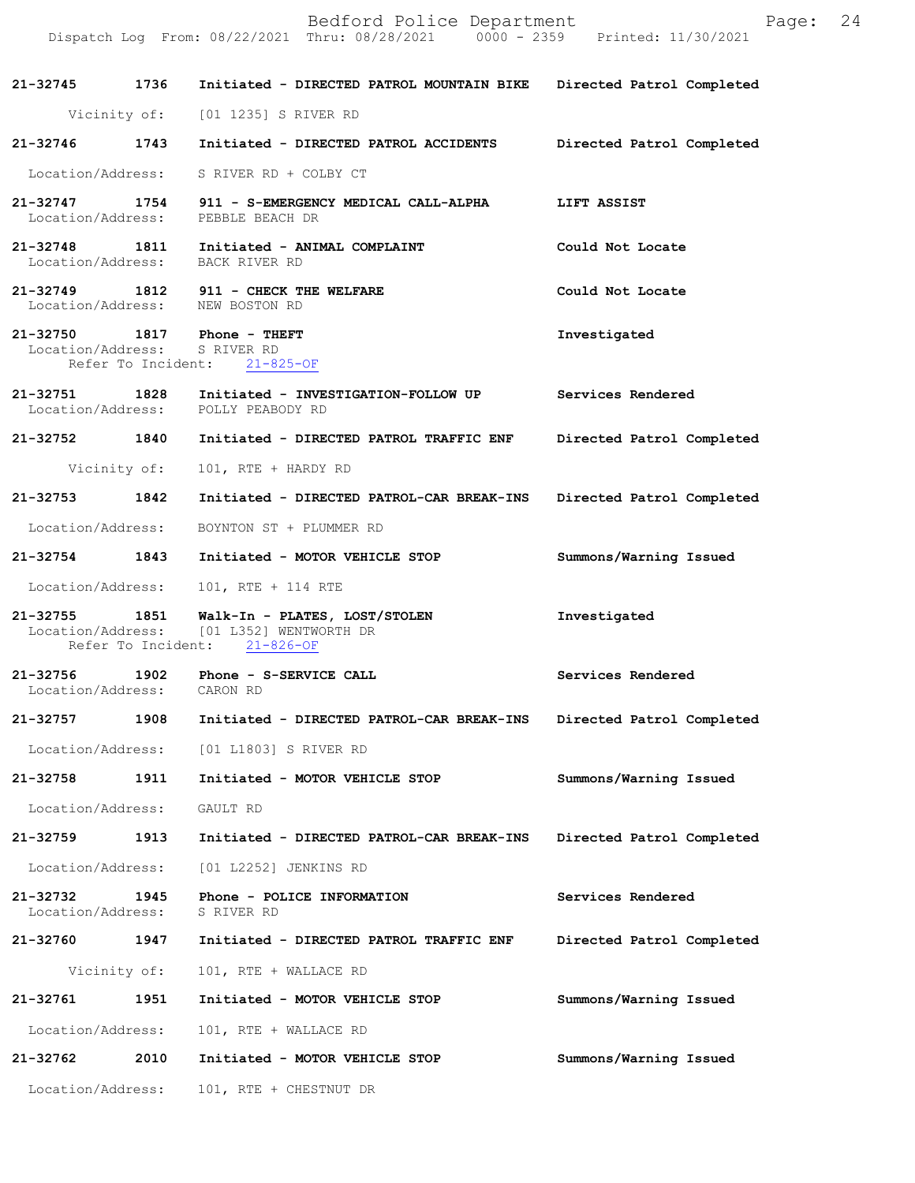Dispatch Log From: 08/22/2021 Thru: 08/28/2021 0000 - 2359 Printed: 11/30/2021 **21-32745 1736 Initiated - DIRECTED PATROL MOUNTAIN BIKE Directed Patrol Completed**  Vicinity of: [01 1235] S RIVER RD **21-32746 1743 Initiated - DIRECTED PATROL ACCIDENTS Directed Patrol Completed**  Location/Address: S RIVER RD + COLBY CT **21-32747 1754 911 - S-EMERGENCY MEDICAL CALL-ALPHA LIFT ASSIST**  Location/Address: PEBBLE BEACH DR **21-32748 1811 Initiated - ANIMAL COMPLAINT Could Not Locate**  Location/Address: BACK RIVER RD **21-32749 1812 911 - CHECK THE WELFARE Could Not Locate**  Location/Address: NEW BOSTON RD **21-32750 1817 Phone - THEFT Investigated**  Location/Address: S RIVER RD Refer To Incident: 21-825-OF **21-32751 1828 Initiated - INVESTIGATION-FOLLOW UP Services Rendered**  Location/Address: **21-32752 1840 Initiated - DIRECTED PATROL TRAFFIC ENF Directed Patrol Completed**  Vicinity of: 101, RTE + HARDY RD **21-32753 1842 Initiated - DIRECTED PATROL-CAR BREAK-INS Directed Patrol Completed**  Location/Address: BOYNTON ST + PLUMMER RD **21-32754 1843 Initiated - MOTOR VEHICLE STOP Summons/Warning Issued**  Location/Address: 101, RTE + 114 RTE **21-32755 1851 Walk-In - PLATES, LOST/STOLEN Investigated**  Location/Address: [01 L352] WENTWORTH DR Refer To Incident: 21-826-OF **21-32756 1902 Phone - S-SERVICE CALL Services Rendered**  Location/Address: CARON RD **21-32757 1908 Initiated - DIRECTED PATROL-CAR BREAK-INS Directed Patrol Completed**  Location/Address: [01 L1803] S RIVER RD **21-32758 1911 Initiated - MOTOR VEHICLE STOP Summons/Warning Issued**  Location/Address: GAULT RD **21-32759 1913 Initiated - DIRECTED PATROL-CAR BREAK-INS Directed Patrol Completed**  Location/Address: [01 L2252] JENKINS RD **21-32732 1945 Phone - POLICE INFORMATION Services Rendered**  Location/Address: **21-32760 1947 Initiated - DIRECTED PATROL TRAFFIC ENF Directed Patrol Completed**  Vicinity of: 101, RTE + WALLACE RD **21-32761 1951 Initiated - MOTOR VEHICLE STOP Summons/Warning Issued**  Location/Address: 101, RTE + WALLACE RD **21-32762 2010 Initiated - MOTOR VEHICLE STOP Summons/Warning Issued**  Location/Address: 101, RTE + CHESTNUT DR

Bedford Police Department Follow Page: 24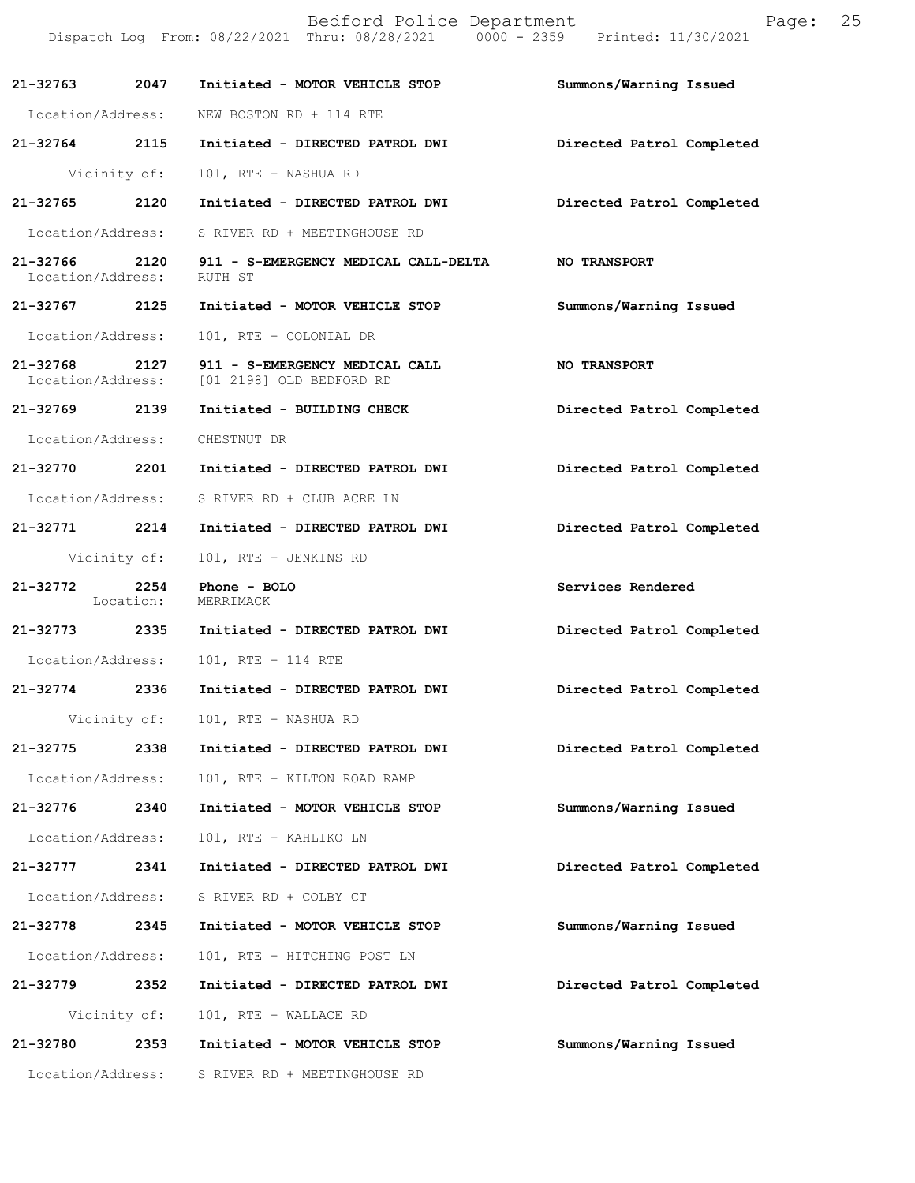Bedford Police Department Page: 25 Dispatch Log From: 08/22/2021 Thru: 08/28/2021 0000 - 2359 Printed: 11/30/2021 **21-32763 2047 Initiated - MOTOR VEHICLE STOP Summons/Warning Issued**  Location/Address: NEW BOSTON RD + 114 RTE **21-32764 2115 Initiated - DIRECTED PATROL DWI Directed Patrol Completed**  Vicinity of: 101, RTE + NASHUA RD **21-32765 2120 Initiated - DIRECTED PATROL DWI Directed Patrol Completed**  Location/Address: S RIVER RD + MEETINGHOUSE RD **21-32766 2120 911 - S-EMERGENCY MEDICAL CALL-DELTA NO TRANSPORT**  Location/Address: RUTH ST **21-32767 2125 Initiated - MOTOR VEHICLE STOP Summons/Warning Issued**  Location/Address: 101, RTE + COLONIAL DR 21-32768 2127 911 - S-EMERGENCY MEDICAL CALL **NO TRANSPORT** Location/Address: [01 2198] OLD BEDFORD RD [01 2198] OLD BEDFORD RD **21-32769 2139 Initiated - BUILDING CHECK Directed Patrol Completed**  Location/Address: CHESTNUT DR **21-32770 2201 Initiated - DIRECTED PATROL DWI Directed Patrol Completed**  Location/Address: S RIVER RD + CLUB ACRE LN **21-32771 2214 Initiated - DIRECTED PATROL DWI Directed Patrol Completed**  Vicinity of: 101, RTE + JENKINS RD **21-32772 2254 Phone - BOLO Services Rendered**  Location: **21-32773 2335 Initiated - DIRECTED PATROL DWI Directed Patrol Completed**  Location/Address: 101, RTE + 114 RTE **21-32774 2336 Initiated - DIRECTED PATROL DWI Directed Patrol Completed**  Vicinity of: 101, RTE + NASHUA RD **21-32775 2338 Initiated - DIRECTED PATROL DWI Directed Patrol Completed**  Location/Address: 101, RTE + KILTON ROAD RAMP **21-32776 2340 Initiated - MOTOR VEHICLE STOP Summons/Warning Issued**  Location/Address: 101, RTE + KAHLIKO LN **21-32777 2341 Initiated - DIRECTED PATROL DWI Directed Patrol Completed**  Location/Address: S RIVER RD + COLBY CT **21-32778 2345 Initiated - MOTOR VEHICLE STOP Summons/Warning Issued**  Location/Address: 101, RTE + HITCHING POST LN **21-32779 2352 Initiated - DIRECTED PATROL DWI Directed Patrol Completed**  Vicinity of: 101, RTE + WALLACE RD **21-32780 2353 Initiated - MOTOR VEHICLE STOP Summons/Warning Issued**  Location/Address: S RIVER RD + MEETINGHOUSE RD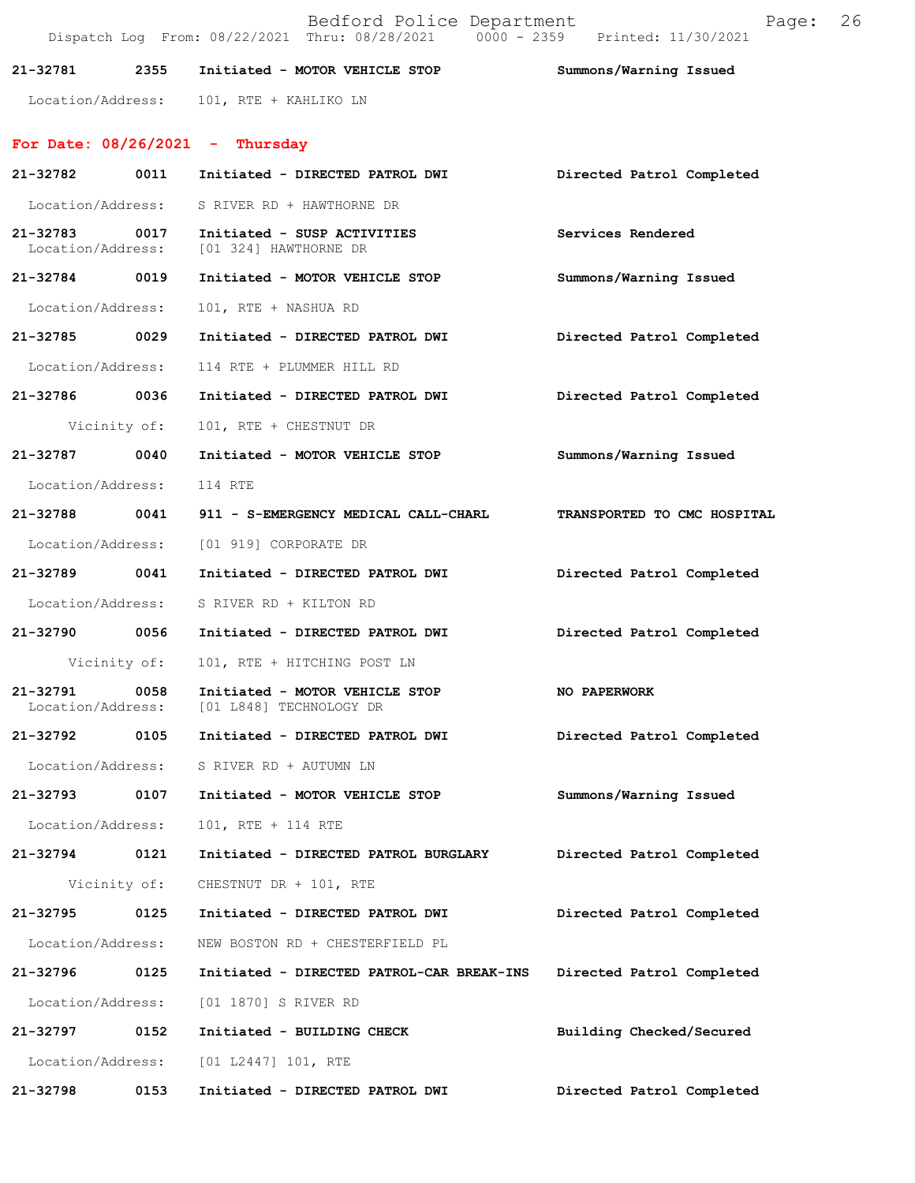|                               |              | Bedford Police Department<br>Dispatch Log From: 08/22/2021 Thru: 08/28/2021 0000 - 2359 Printed: 11/30/2021 | Page:                       | 26 |
|-------------------------------|--------------|-------------------------------------------------------------------------------------------------------------|-----------------------------|----|
| 21-32781                      | 2355         | Initiated - MOTOR VEHICLE STOP                                                                              | Summons/Warning Issued      |    |
|                               |              | Location/Address: 101, RTE + KAHLIKO LN                                                                     |                             |    |
|                               |              | For Date: $08/26/2021$ - Thursday                                                                           |                             |    |
| 21-32782                      | 0011         | Initiated - DIRECTED PATROL DWI                                                                             | Directed Patrol Completed   |    |
|                               |              | Location/Address: S RIVER RD + HAWTHORNE DR                                                                 |                             |    |
| 21-32783<br>Location/Address: | 0017         | Initiated - SUSP ACTIVITIES<br>[01 324] HAWTHORNE DR                                                        | Services Rendered           |    |
| 21-32784 0019                 |              | Initiated - MOTOR VEHICLE STOP                                                                              | Summons/Warning Issued      |    |
| Location/Address:             |              | 101, RTE + NASHUA RD                                                                                        |                             |    |
| 21-32785                      | 0029         | Initiated - DIRECTED PATROL DWI                                                                             | Directed Patrol Completed   |    |
| Location/Address:             |              | 114 RTE + PLUMMER HILL RD                                                                                   |                             |    |
| 21-32786 0036                 |              | Initiated - DIRECTED PATROL DWI                                                                             | Directed Patrol Completed   |    |
|                               | Vicinity of: | 101, RTE + CHESTNUT DR                                                                                      |                             |    |
| 21-32787 0040                 |              | Initiated - MOTOR VEHICLE STOP                                                                              | Summons/Warning Issued      |    |
| Location/Address:             |              | 114 RTE                                                                                                     |                             |    |
| 21-32788                      | 0041         | 911 - S-EMERGENCY MEDICAL CALL-CHARL                                                                        | TRANSPORTED TO CMC HOSPITAL |    |
| Location/Address:             |              | [01 919] CORPORATE DR                                                                                       |                             |    |
| 21-32789                      | 0041         | Initiated - DIRECTED PATROL DWI                                                                             | Directed Patrol Completed   |    |
| Location/Address:             |              | S RIVER RD + KILTON RD                                                                                      |                             |    |
| 21-32790 0056                 |              | Initiated - DIRECTED PATROL DWI                                                                             | Directed Patrol Completed   |    |
|                               |              | Vicinity of: 101, RTE + HITCHING POST LN                                                                    |                             |    |
| 21-32791<br>Location/Address: | 0058         | Initiated - MOTOR VEHICLE STOP<br>[01 L848] TECHNOLOGY DR                                                   | NO PAPERWORK                |    |
| 21-32792                      | 0105         | Initiated - DIRECTED PATROL DWI                                                                             | Directed Patrol Completed   |    |
| Location/Address:             |              | S RIVER RD + AUTUMN LN                                                                                      |                             |    |
| 21-32793                      | 0107         | Initiated - MOTOR VEHICLE STOP                                                                              | Summons/Warning Issued      |    |
| Location/Address:             |              | 101, RTE + 114 RTE                                                                                          |                             |    |
| 21-32794                      | 0121         | Initiated - DIRECTED PATROL BURGLARY                                                                        | Directed Patrol Completed   |    |
|                               | Vicinity of: | CHESTNUT DR + 101, RTE                                                                                      |                             |    |
| 21-32795                      | 0125         | Initiated - DIRECTED PATROL DWI                                                                             | Directed Patrol Completed   |    |
| Location/Address:             |              | NEW BOSTON RD + CHESTERFIELD PL                                                                             |                             |    |
| 21-32796                      | 0125         | Initiated - DIRECTED PATROL-CAR BREAK-INS                                                                   | Directed Patrol Completed   |    |
| Location/Address:             |              | [01 1870] S RIVER RD                                                                                        |                             |    |
| 21-32797                      | 0152         | Initiated - BUILDING CHECK                                                                                  | Building Checked/Secured    |    |
| Location/Address:             |              | [01 L2447] 101, RTE                                                                                         |                             |    |
| 21-32798                      | 0153         | Initiated - DIRECTED PATROL DWI                                                                             | Directed Patrol Completed   |    |
|                               |              |                                                                                                             |                             |    |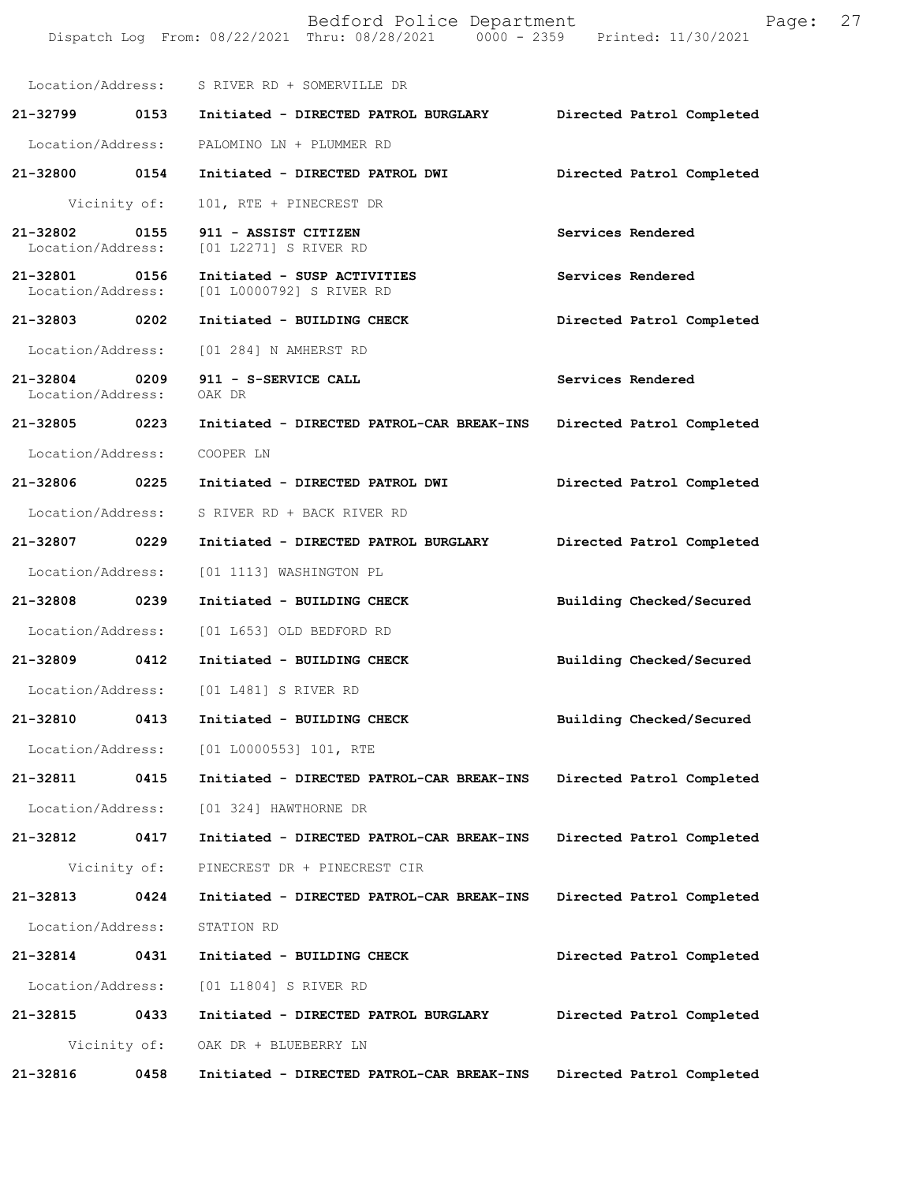|                                    |              | Bedford Police Department<br>Dispatch Log From: 08/22/2021 Thru: 08/28/2021 0000 - 2359 Printed: 11/30/2021 | Page:                     | 27 |
|------------------------------------|--------------|-------------------------------------------------------------------------------------------------------------|---------------------------|----|
|                                    |              | Location/Address: S RIVER RD + SOMERVILLE DR                                                                |                           |    |
|                                    |              |                                                                                                             | Directed Patrol Completed |    |
|                                    |              | Location/Address: PALOMINO LN + PLUMMER RD                                                                  |                           |    |
| 21-32800 0154                      |              | Initiated - DIRECTED PATROL DWI                                                                             | Directed Patrol Completed |    |
|                                    | Vicinity of: | 101, RTE + PINECREST DR                                                                                     |                           |    |
| 21-32802 0155<br>Location/Address: |              | 911 - ASSIST CITIZEN<br>[01 L2271] S RIVER RD                                                               | Services Rendered         |    |
| 21-32801 0156                      |              | Initiated - SUSP ACTIVITIES<br>Location/Address: [01 L0000792] S RIVER RD                                   | Services Rendered         |    |
| 21-32803 0202                      |              | Initiated - BUILDING CHECK                                                                                  | Directed Patrol Completed |    |
| Location/Address:                  |              | [01 284] N AMHERST RD                                                                                       |                           |    |
| 21-32804 0209<br>Location/Address: |              | 911 - S-SERVICE CALL<br>OAK DR                                                                              | Services Rendered         |    |
| 21-32805 0223                      |              | Initiated - DIRECTED PATROL-CAR BREAK-INS Directed Patrol Completed                                         |                           |    |
| Location/Address:                  |              | COOPER LN                                                                                                   |                           |    |
| 21-32806 0225                      |              | Initiated - DIRECTED PATROL DWI                                                                             | Directed Patrol Completed |    |
|                                    |              | Location/Address: S RIVER RD + BACK RIVER RD                                                                |                           |    |
| 21-32807 0229                      |              | Initiated - DIRECTED PATROL BURGLARY                                                                        | Directed Patrol Completed |    |
| Location/Address:                  |              | [01 1113] WASHINGTON PL                                                                                     |                           |    |
| 21-32808 0239                      |              | Initiated - BUILDING CHECK                                                                                  | Building Checked/Secured  |    |
|                                    |              | Location/Address: [01 L653] OLD BEDFORD RD                                                                  |                           |    |
| 21-32809 0412                      |              | Initiated - BUILDING CHECK                                                                                  | Building Checked/Secured  |    |
| Location/Address:                  |              | [01 L481] S RIVER RD                                                                                        |                           |    |
| 21-32810                           | 0413         | Initiated - BUILDING CHECK                                                                                  | Building Checked/Secured  |    |
| Location/Address:                  |              | [01 L0000553] 101, RTE                                                                                      |                           |    |
| 21-32811                           | 0415         | Initiated - DIRECTED PATROL-CAR BREAK-INS                                                                   | Directed Patrol Completed |    |
| Location/Address:                  |              | [01 324] HAWTHORNE DR                                                                                       |                           |    |
| 21-32812                           | 0417         | Initiated - DIRECTED PATROL-CAR BREAK-INS                                                                   | Directed Patrol Completed |    |
|                                    | Vicinity of: | PINECREST DR + PINECREST CIR                                                                                |                           |    |
| 21-32813                           | 0424         | Initiated - DIRECTED PATROL-CAR BREAK-INS                                                                   | Directed Patrol Completed |    |
| Location/Address:                  |              | STATION RD                                                                                                  |                           |    |
| 21-32814                           | 0431         | Initiated - BUILDING CHECK                                                                                  | Directed Patrol Completed |    |
| Location/Address:                  |              | [01 L1804] S RIVER RD                                                                                       |                           |    |
| 21-32815                           | 0433         | Initiated - DIRECTED PATROL BURGLARY                                                                        | Directed Patrol Completed |    |
|                                    | Vicinity of: | OAK DR + BLUEBERRY LN                                                                                       |                           |    |
| 21-32816                           | 0458         | Initiated - DIRECTED PATROL-CAR BREAK-INS                                                                   | Directed Patrol Completed |    |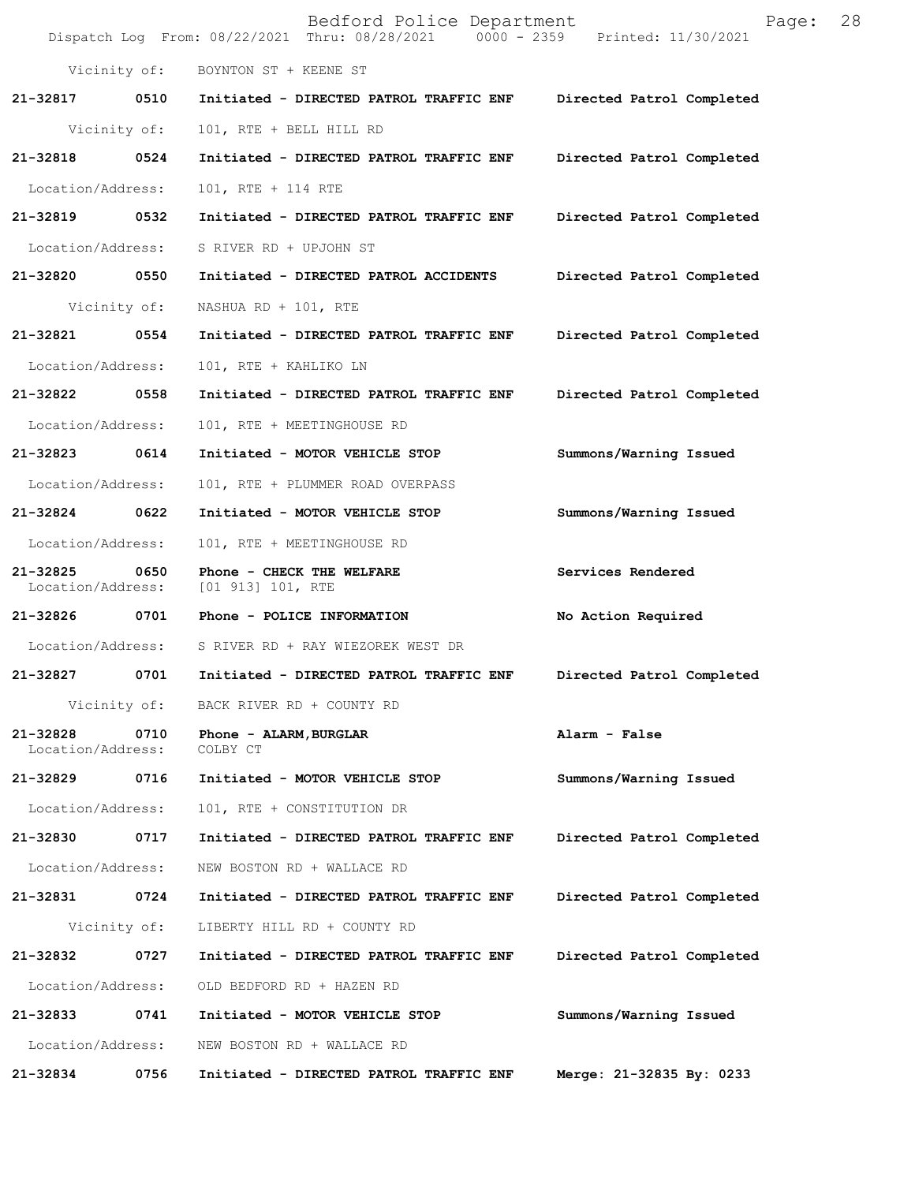|                               |              | Bedford Police Department<br>Dispatch Log From: 08/22/2021 Thru: 08/28/2021 0000 - 2359 Printed: 11/30/2021 | 28<br>Page:               |
|-------------------------------|--------------|-------------------------------------------------------------------------------------------------------------|---------------------------|
|                               |              | Vicinity of: BOYNTON ST + KEENE ST                                                                          |                           |
| 21-32817                      | 0510         | Initiated - DIRECTED PATROL TRAFFIC ENF Directed Patrol Completed                                           |                           |
|                               | Vicinity of: | 101, RTE + BELL HILL RD                                                                                     |                           |
| 21-32818                      | 0524         | Initiated - DIRECTED PATROL TRAFFIC ENF Directed Patrol Completed                                           |                           |
| Location/Address:             |              | 101, RTE + 114 RTE                                                                                          |                           |
| 21-32819 0532                 |              | Initiated - DIRECTED PATROL TRAFFIC ENF                                                                     | Directed Patrol Completed |
| Location/Address:             |              | S RIVER RD + UPJOHN ST                                                                                      |                           |
| 21-32820 0550                 |              | Initiated - DIRECTED PATROL ACCIDENTS                                                                       | Directed Patrol Completed |
|                               | Vicinity of: | NASHUA RD + $101$ , RTE                                                                                     |                           |
| 21-32821                      | 0554         | Initiated - DIRECTED PATROL TRAFFIC ENF                                                                     | Directed Patrol Completed |
| Location/Address:             |              | 101, RTE + KAHLIKO LN                                                                                       |                           |
| 21-32822                      | 0558         | Initiated - DIRECTED PATROL TRAFFIC ENF                                                                     | Directed Patrol Completed |
| Location/Address:             |              | 101, RTE + MEETINGHOUSE RD                                                                                  |                           |
| 21-32823 0614                 |              | Initiated - MOTOR VEHICLE STOP                                                                              | Summons/Warning Issued    |
| Location/Address:             |              | 101, RTE + PLUMMER ROAD OVERPASS                                                                            |                           |
| 21-32824                      | 0622         | Initiated - MOTOR VEHICLE STOP                                                                              | Summons/Warning Issued    |
| Location/Address:             |              | 101, RTE + MEETINGHOUSE RD                                                                                  |                           |
| 21-32825<br>Location/Address: | 0650         | Phone - CHECK THE WELFARE<br>[01 913] 101, RTE                                                              | Services Rendered         |
| 21-32826 0701                 |              | Phone - POLICE INFORMATION                                                                                  | No Action Required        |
| Location/Address:             |              | S RIVER RD + RAY WIEZOREK WEST DR                                                                           |                           |
| 21-32827                      | 0701         | Initiated - DIRECTED PATROL TRAFFIC ENF                                                                     | Directed Patrol Completed |
|                               |              | Vicinity of: BACK RIVER RD + COUNTY RD                                                                      |                           |
| 21-32828<br>Location/Address: | 0710         | Phone - ALARM, BURGLAR<br>COLBY CT                                                                          | Alarm - False             |
| 21-32829                      | 0716         | Initiated - MOTOR VEHICLE STOP                                                                              | Summons/Warning Issued    |
| Location/Address:             |              | 101, RTE + CONSTITUTION DR                                                                                  |                           |
| 21-32830                      | 0717         | Initiated - DIRECTED PATROL TRAFFIC ENF                                                                     | Directed Patrol Completed |
| Location/Address:             |              | NEW BOSTON RD + WALLACE RD                                                                                  |                           |
| 21-32831                      | 0724         | Initiated - DIRECTED PATROL TRAFFIC ENF                                                                     | Directed Patrol Completed |
|                               | Vicinity of: | LIBERTY HILL RD + COUNTY RD                                                                                 |                           |
| 21-32832                      | 0727         | Initiated - DIRECTED PATROL TRAFFIC ENF                                                                     | Directed Patrol Completed |
| Location/Address:             |              | OLD BEDFORD RD + HAZEN RD                                                                                   |                           |
| 21-32833                      | 0741         | Initiated - MOTOR VEHICLE STOP                                                                              | Summons/Warning Issued    |
| Location/Address:             |              | NEW BOSTON RD + WALLACE RD                                                                                  |                           |
| 21-32834                      | 0756         | Initiated - DIRECTED PATROL TRAFFIC ENF                                                                     | Merge: 21-32835 By: 0233  |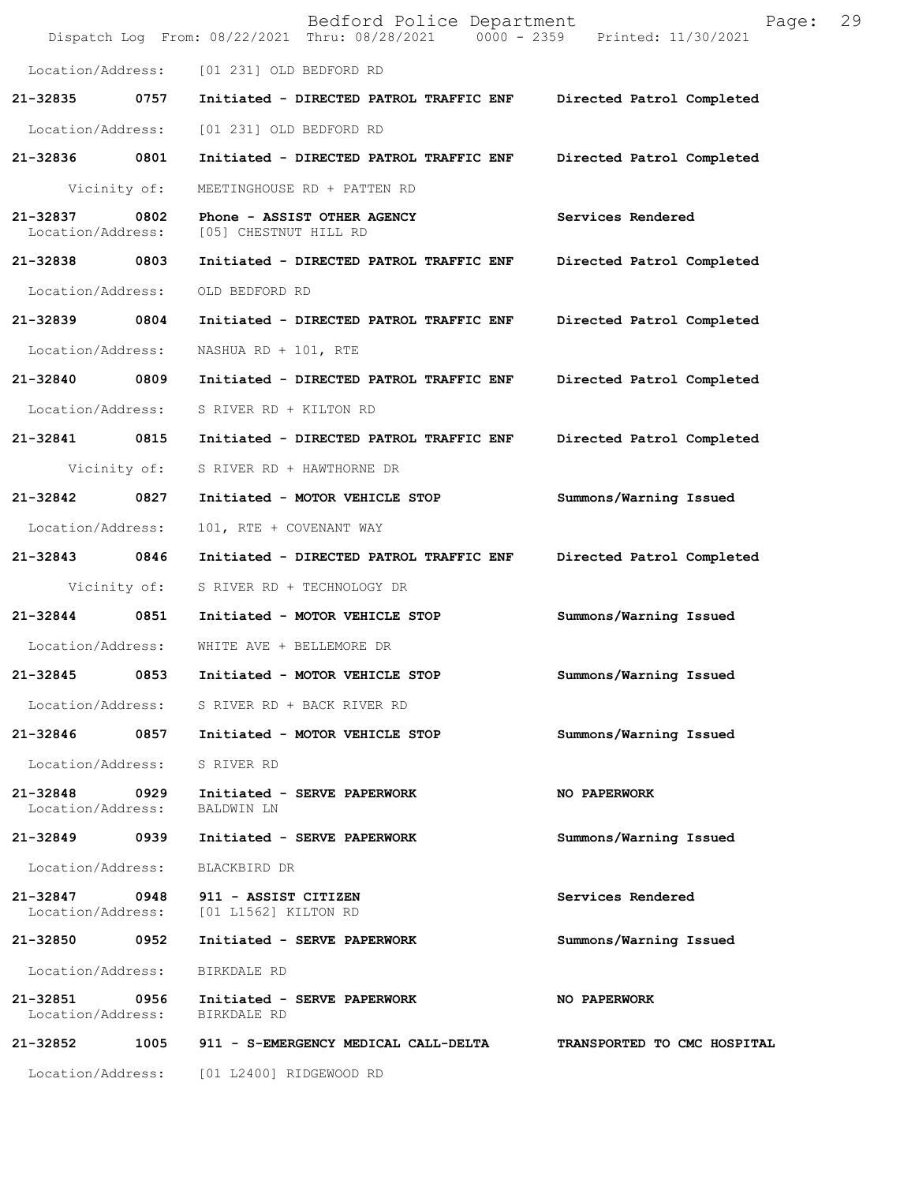|                               |              | Bedford Police Department<br>Dispatch Log From: 08/22/2021 Thru: 08/28/2021 0000 - 2359 Printed: 11/30/2021 | 29<br>Page:                 |
|-------------------------------|--------------|-------------------------------------------------------------------------------------------------------------|-----------------------------|
|                               |              | Location/Address: [01 231] OLD BEDFORD RD                                                                   |                             |
| 21-32835                      | 0757         | Initiated - DIRECTED PATROL TRAFFIC ENF Directed Patrol Completed                                           |                             |
| Location/Address:             |              | [01 231] OLD BEDFORD RD                                                                                     |                             |
| 21-32836 0801                 |              | Initiated - DIRECTED PATROL TRAFFIC ENF                                                                     | Directed Patrol Completed   |
| Vicinity of:                  |              | MEETINGHOUSE RD + PATTEN RD                                                                                 |                             |
| 21-32837<br>Location/Address: | 0802         | Phone - ASSIST OTHER AGENCY<br>[05] CHESTNUT HILL RD                                                        | Services Rendered           |
| 21-32838 0803                 |              | Initiated - DIRECTED PATROL TRAFFIC ENF                                                                     | Directed Patrol Completed   |
| Location/Address:             |              | OLD BEDFORD RD                                                                                              |                             |
| 21-32839 0804                 |              | Initiated - DIRECTED PATROL TRAFFIC ENF                                                                     | Directed Patrol Completed   |
| Location/Address:             |              | NASHUA RD + 101, RTE                                                                                        |                             |
| 21-32840 0809                 |              | Initiated - DIRECTED PATROL TRAFFIC ENF                                                                     | Directed Patrol Completed   |
| Location/Address:             |              | S RIVER RD + KILTON RD                                                                                      |                             |
| 21-32841 0815                 |              | Initiated - DIRECTED PATROL TRAFFIC ENF                                                                     | Directed Patrol Completed   |
|                               | Vicinity of: | S RIVER RD + HAWTHORNE DR                                                                                   |                             |
| 21-32842                      | 0827         | Initiated - MOTOR VEHICLE STOP                                                                              | Summons/Warning Issued      |
| Location/Address:             |              | 101, RTE + COVENANT WAY                                                                                     |                             |
| 21-32843 0846                 |              | Initiated - DIRECTED PATROL TRAFFIC ENF                                                                     | Directed Patrol Completed   |
|                               | Vicinity of: | S RIVER RD + TECHNOLOGY DR                                                                                  |                             |
| 21-32844 0851                 |              | Initiated - MOTOR VEHICLE STOP                                                                              | Summons/Warning Issued      |
|                               |              | Location/Address: WHITE AVE + BELLEMORE DR                                                                  |                             |
| 21-32845                      | 0853         | Initiated - MOTOR VEHICLE STOP                                                                              | Summons/Warning Issued      |
|                               |              | Location/Address: S RIVER RD + BACK RIVER RD                                                                |                             |
|                               |              | 21-32846 0857 Initiated - MOTOR VEHICLE STOP                                                                | Summons/Warning Issued      |
| Location/Address: S RIVER RD  |              |                                                                                                             |                             |
| 21-32848<br>Location/Address: | 0929         | Initiated - SERVE PAPERWORK<br>BALDWIN LN                                                                   | NO PAPERWORK                |
| 21-32849 0939                 |              | Initiated - SERVE PAPERWORK                                                                                 | Summons/Warning Issued      |
| Location/Address:             |              | BLACKBIRD DR                                                                                                |                             |
| 21-32847                      |              | 0948 911 - ASSIST CITIZEN<br>Location/Address: [01 L1562] KILTON RD                                         | Services Rendered           |
| 21-32850 0952                 |              | Initiated - SERVE PAPERWORK                                                                                 | Summons/Warning Issued      |
| Location/Address:             |              | BIRKDALE RD                                                                                                 |                             |
| 21-32851 0956                 |              | Initiated - SERVE PAPERWORK<br>Location/Address: BIRKDALE RD                                                | NO PAPERWORK                |
| 21-32852                      |              | 1005 911 - S-EMERGENCY MEDICAL CALL-DELTA                                                                   | TRANSPORTED TO CMC HOSPITAL |
|                               |              | Location/Address: [01 L2400] RIDGEWOOD RD                                                                   |                             |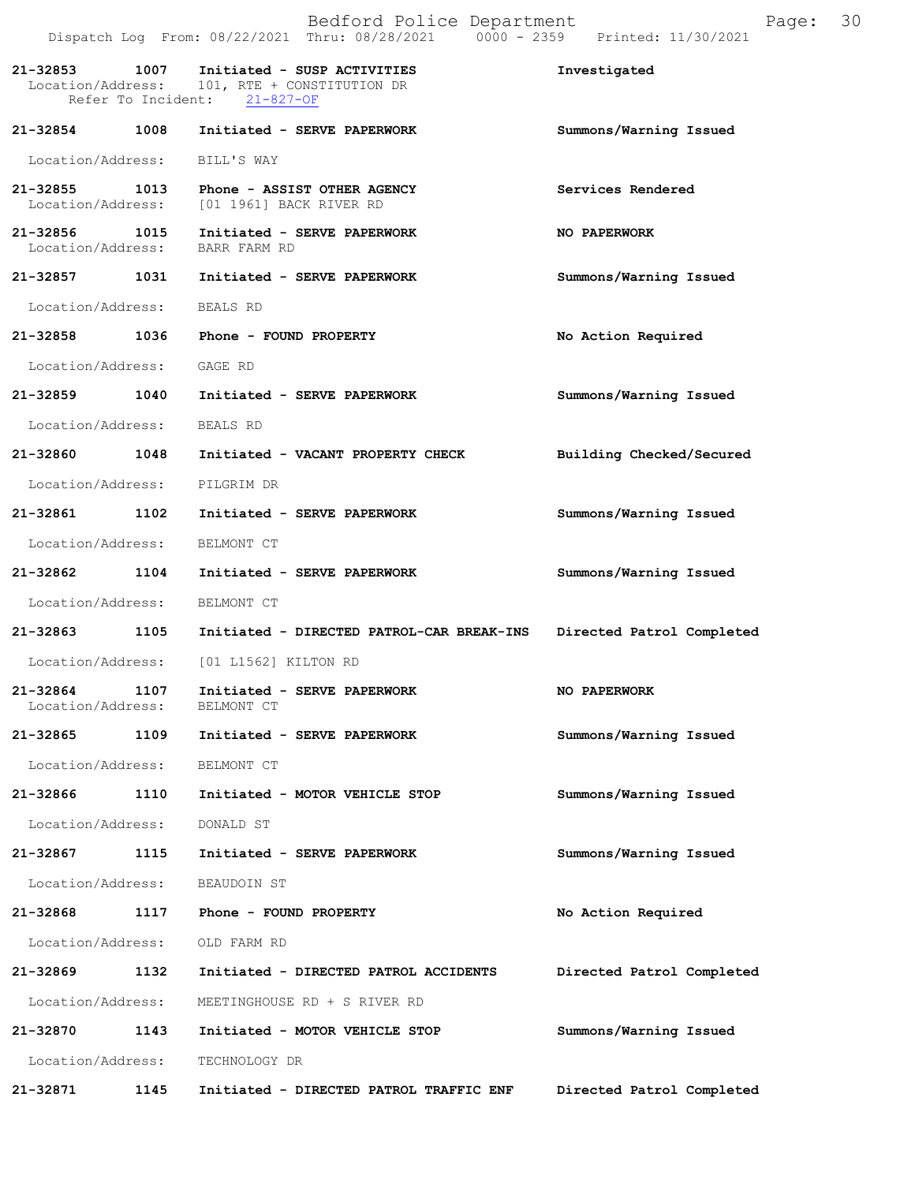|                                    |      | Bedford Police Department<br>Dispatch Log From: 08/22/2021 Thru: 08/28/2021   0000 - 2359   Printed: 11/30/2021 | Page:                     | 30 |
|------------------------------------|------|-----------------------------------------------------------------------------------------------------------------|---------------------------|----|
| 21-32853 1007                      |      | Initiated - SUSP ACTIVITIES<br>Location/Address: 101, RTE + CONSTITUTION DR<br>Refer To Incident: 21-827-OF     | Investigated              |    |
| 21-32854                           | 1008 | Initiated - SERVE PAPERWORK                                                                                     | Summons/Warning Issued    |    |
|                                    |      | Location/Address: BILL'S WAY                                                                                    |                           |    |
| 21-32855 1013<br>Location/Address: |      | Phone - ASSIST OTHER AGENCY<br>[01 1961] BACK RIVER RD                                                          | Services Rendered         |    |
|                                    |      | 21-32856 1015 Initiated - SERVE PAPERWORK<br>Location/Address: BARR FARM RD                                     | NO PAPERWORK              |    |
| 21-32857                           | 1031 | Initiated - SERVE PAPERWORK                                                                                     | Summons/Warning Issued    |    |
| Location/Address: BEALS RD         |      |                                                                                                                 |                           |    |
|                                    |      | 21-32858 1036 Phone - FOUND PROPERTY                                                                            | No Action Required        |    |
| Location/Address:                  |      | GAGE RD                                                                                                         |                           |    |
| 21-32859 1040                      |      | Initiated - SERVE PAPERWORK                                                                                     | Summons/Warning Issued    |    |
| Location/Address:                  |      | BEALS RD                                                                                                        |                           |    |
| 21-32860                           | 1048 | Initiated - VACANT PROPERTY CHECK                                                                               | Building Checked/Secured  |    |
|                                    |      | Location/Address: PILGRIM DR                                                                                    |                           |    |
| 21-32861 1102                      |      | Initiated - SERVE PAPERWORK                                                                                     | Summons/Warning Issued    |    |
| Location/Address:                  |      | BELMONT CT                                                                                                      |                           |    |
| 21-32862 1104                      |      | Initiated - SERVE PAPERWORK                                                                                     | Summons/Warning Issued    |    |
| Location/Address:                  |      | BELMONT CT                                                                                                      |                           |    |
| 21-32863                           | 1105 | Initiated - DIRECTED PATROL-CAR BREAK-INS                                                                       | Directed Patrol Completed |    |
| Location/Address:                  |      | [01 L1562] KILTON RD                                                                                            |                           |    |
| 21-32864<br>Location/Address:      | 1107 | Initiated - SERVE PAPERWORK<br>BELMONT CT                                                                       | <b>NO PAPERWORK</b>       |    |
| 21-32865                           | 1109 | Initiated - SERVE PAPERWORK                                                                                     | Summons/Warning Issued    |    |
| Location/Address:                  |      | BELMONT CT                                                                                                      |                           |    |
| 21-32866                           | 1110 | Initiated - MOTOR VEHICLE STOP                                                                                  | Summons/Warning Issued    |    |
| Location/Address:                  |      | DONALD ST                                                                                                       |                           |    |
| 21-32867                           | 1115 | Initiated - SERVE PAPERWORK                                                                                     | Summons/Warning Issued    |    |
| Location/Address:                  |      | BEAUDOIN ST                                                                                                     |                           |    |
| 21-32868                           | 1117 | Phone - FOUND PROPERTY                                                                                          | No Action Required        |    |
| Location/Address:                  |      | OLD FARM RD                                                                                                     |                           |    |
| 21-32869                           | 1132 | Initiated - DIRECTED PATROL ACCIDENTS                                                                           | Directed Patrol Completed |    |
| Location/Address:                  |      | MEETINGHOUSE RD + S RIVER RD                                                                                    |                           |    |
| 21-32870                           | 1143 | Initiated - MOTOR VEHICLE STOP                                                                                  | Summons/Warning Issued    |    |
| Location/Address:                  |      | TECHNOLOGY DR                                                                                                   |                           |    |
| 21-32871                           | 1145 | Initiated - DIRECTED PATROL TRAFFIC ENF                                                                         | Directed Patrol Completed |    |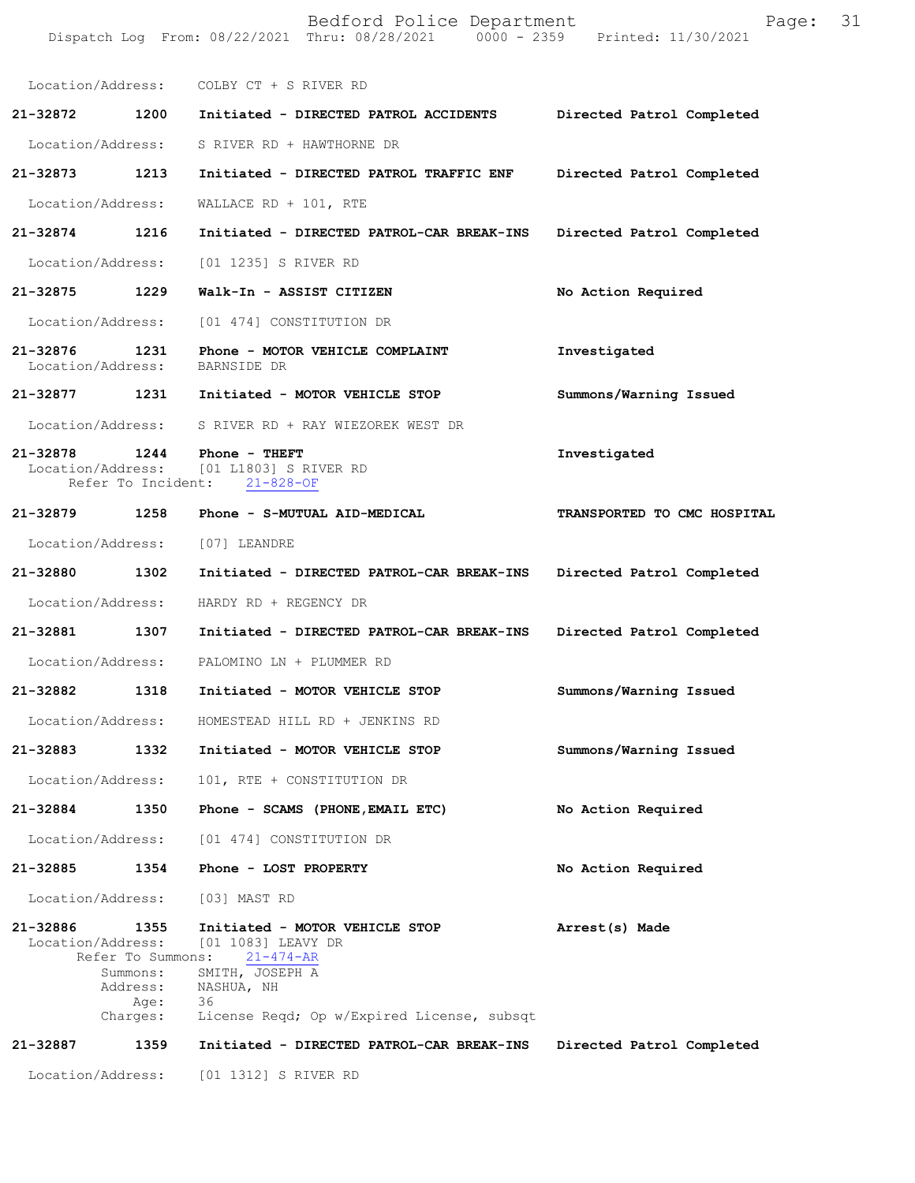|                               |                                                                       | Bedford Police Department<br>Dispatch Log From: 08/22/2021 Thru: 08/28/2021 0000 - 2359                                                                      | Page:<br>Printed: 11/30/2021 | 31 |
|-------------------------------|-----------------------------------------------------------------------|--------------------------------------------------------------------------------------------------------------------------------------------------------------|------------------------------|----|
|                               |                                                                       | Location/Address: COLBY CT + S RIVER RD                                                                                                                      |                              |    |
| 21-32872                      | 1200                                                                  | Initiated - DIRECTED PATROL ACCIDENTS                                                                                                                        | Directed Patrol Completed    |    |
| Location/Address:             |                                                                       | S RIVER RD + HAWTHORNE DR                                                                                                                                    |                              |    |
| 21-32873                      | 1213                                                                  | Initiated - DIRECTED PATROL TRAFFIC ENF                                                                                                                      | Directed Patrol Completed    |    |
| Location/Address:             |                                                                       | WALLACE $RD + 101$ , RTE                                                                                                                                     |                              |    |
| 21-32874                      | 1216                                                                  | Initiated - DIRECTED PATROL-CAR BREAK-INS                                                                                                                    | Directed Patrol Completed    |    |
| Location/Address:             |                                                                       | [01 1235] S RIVER RD                                                                                                                                         |                              |    |
| 21-32875                      | 1229                                                                  | Walk-In - ASSIST CITIZEN                                                                                                                                     | No Action Required           |    |
| Location/Address:             |                                                                       | [01 474] CONSTITUTION DR                                                                                                                                     |                              |    |
| 21-32876<br>Location/Address: | 1231                                                                  | Phone - MOTOR VEHICLE COMPLAINT<br>BARNSIDE DR                                                                                                               | Investigated                 |    |
| 21-32877                      | 1231                                                                  | Initiated - MOTOR VEHICLE STOP                                                                                                                               | Summons/Warning Issued       |    |
| Location/Address:             |                                                                       | S RIVER RD + RAY WIEZOREK WEST DR                                                                                                                            |                              |    |
| 21-32878                      | 1244<br>Refer To Incident:                                            | Phone - THEFT<br>Location/Address: [01 L1803] S RIVER RD<br>$21 - 828 - OF$                                                                                  | Investigated                 |    |
| 21-32879                      | 1258                                                                  | Phone - S-MUTUAL AID-MEDICAL                                                                                                                                 | TRANSPORTED TO CMC HOSPITAL  |    |
| Location/Address:             |                                                                       | [07] LEANDRE                                                                                                                                                 |                              |    |
| 21-32880                      | 1302                                                                  | Initiated - DIRECTED PATROL-CAR BREAK-INS                                                                                                                    | Directed Patrol Completed    |    |
| Location/Address:             |                                                                       | HARDY RD + REGENCY DR                                                                                                                                        |                              |    |
| 21-32881                      | 1307                                                                  | Initiated - DIRECTED PATROL-CAR BREAK-INS                                                                                                                    | Directed Patrol Completed    |    |
| Location/Address:             |                                                                       | PALOMINO LN + PLUMMER RD                                                                                                                                     |                              |    |
| 21-32882                      | 1318                                                                  | Initiated - MOTOR VEHICLE STOP                                                                                                                               | Summons/Warning Issued       |    |
| Location/Address:             |                                                                       | HOMESTEAD HILL RD + JENKINS RD                                                                                                                               |                              |    |
| 21-32883                      | 1332                                                                  | Initiated - MOTOR VEHICLE STOP                                                                                                                               | Summons/Warning Issued       |    |
| Location/Address:             |                                                                       | 101, RTE + CONSTITUTION DR                                                                                                                                   |                              |    |
| 21-32884                      | 1350                                                                  | Phone - SCAMS (PHONE, EMAIL ETC)                                                                                                                             | No Action Required           |    |
| Location/Address:             |                                                                       | [01 474] CONSTITUTION DR                                                                                                                                     |                              |    |
| 21-32885                      | 1354                                                                  | Phone - LOST PROPERTY                                                                                                                                        | No Action Required           |    |
| Location/Address:             |                                                                       | [03] MAST RD                                                                                                                                                 |                              |    |
| 21-32886<br>Location/Address: | 1355<br>Refer To Summons:<br>Summons:<br>Address:<br>Age:<br>Charges: | Initiated - MOTOR VEHICLE STOP<br>[01 1083] LEAVY DR<br>$21 - 474 - AR$<br>SMITH, JOSEPH A<br>NASHUA, NH<br>36<br>License Reqd; Op w/Expired License, subsqt | Arrest(s) Made               |    |
| 21-32887                      | 1359                                                                  | Initiated - DIRECTED PATROL-CAR BREAK-INS                                                                                                                    | Directed Patrol Completed    |    |
| Location/Address:             |                                                                       | [01 1312] S RIVER RD                                                                                                                                         |                              |    |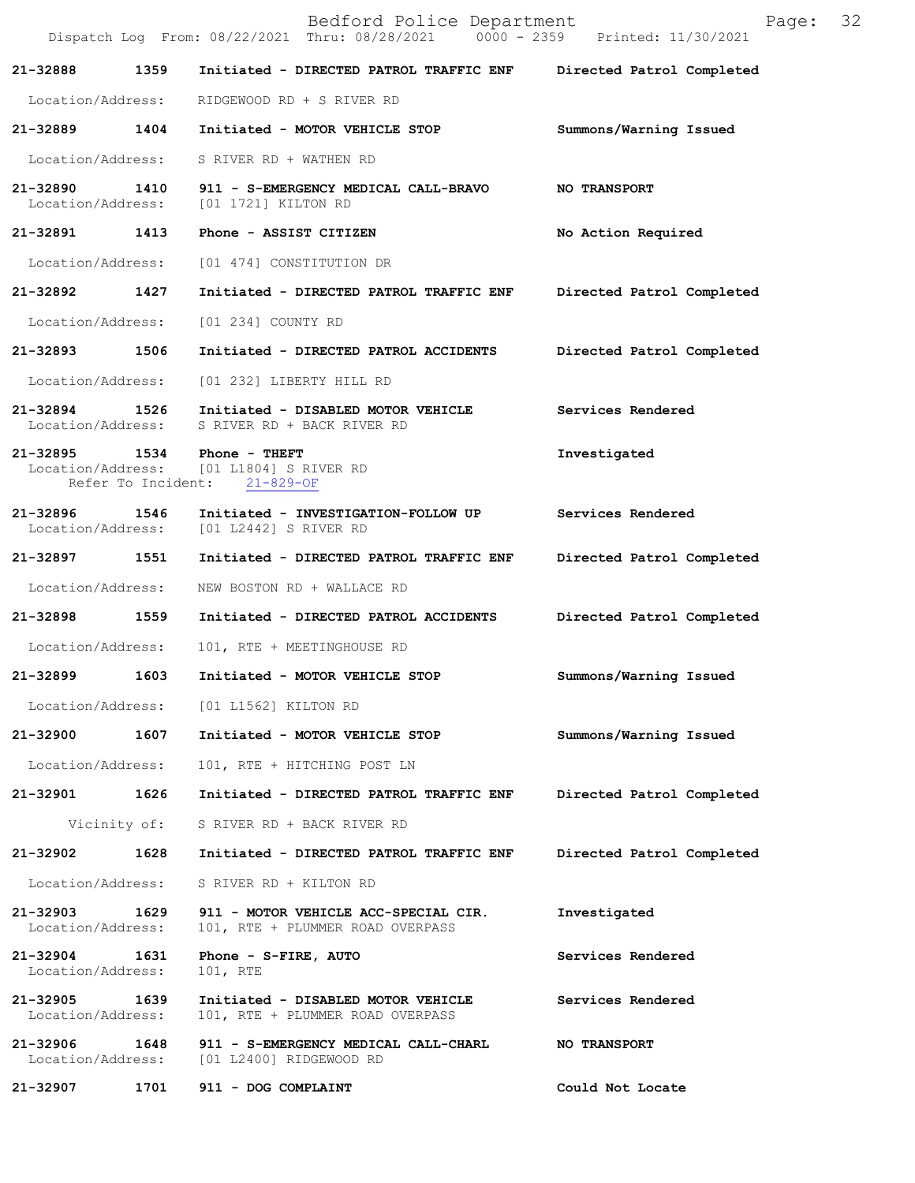|                                    |              | Bedford Police Department<br>Dispatch Log From: 08/22/2021 Thru: 08/28/2021 0000 - 2359 Printed: 11/30/2021 | Page: 32                  |  |
|------------------------------------|--------------|-------------------------------------------------------------------------------------------------------------|---------------------------|--|
| 21-32888                           | 1359         | Initiated - DIRECTED PATROL TRAFFIC ENF                                                                     | Directed Patrol Completed |  |
| Location/Address:                  |              | RIDGEWOOD RD + S RIVER RD                                                                                   |                           |  |
| 21-32889                           | 1404         | Initiated - MOTOR VEHICLE STOP                                                                              | Summons/Warning Issued    |  |
|                                    |              | Location/Address: S RIVER RD + WATHEN RD                                                                    |                           |  |
| 21-32890 1410<br>Location/Address: |              | 911 - S-EMERGENCY MEDICAL CALL-BRAVO<br>[01 1721] KILTON RD                                                 | <b>NO TRANSPORT</b>       |  |
|                                    |              | 21-32891 1413 Phone - ASSIST CITIZEN                                                                        | No Action Required        |  |
|                                    |              | Location/Address: [01 474] CONSTITUTION DR                                                                  |                           |  |
| 21-32892                           | 1427         | Initiated - DIRECTED PATROL TRAFFIC ENF                                                                     | Directed Patrol Completed |  |
| Location/Address:                  |              | [01 234] COUNTY RD                                                                                          |                           |  |
| 21-32893 1506                      |              | Initiated - DIRECTED PATROL ACCIDENTS                                                                       | Directed Patrol Completed |  |
| Location/Address:                  |              | [01 232] LIBERTY HILL RD                                                                                    |                           |  |
| 21-32894 1526                      |              | Initiated - DISABLED MOTOR VEHICLE<br>Location/Address: S RIVER RD + BACK RIVER RD                          | Services Rendered         |  |
|                                    |              | 21-32895 1534 Phone - THEFT<br>Location/Address: [01 L1804] S RIVER RD<br>Refer To Incident: 21-829-OF      | Investigated              |  |
| 21-32896 1546                      |              | Initiated - INVESTIGATION-FOLLOW UP<br>Location/Address: [01 L2442] S RIVER RD                              | Services Rendered         |  |
| 21-32897                           | 1551         | Initiated - DIRECTED PATROL TRAFFIC ENF                                                                     | Directed Patrol Completed |  |
| Location/Address:                  |              | NEW BOSTON RD + WALLACE RD                                                                                  |                           |  |
| 21-32898 1559                      |              | Initiated - DIRECTED PATROL ACCIDENTS                                                                       | Directed Patrol Completed |  |
| Location/Address:                  |              | 101, RTE + MEETINGHOUSE RD                                                                                  |                           |  |
| 21-32899                           | 1603         | Initiated - MOTOR VEHICLE STOP                                                                              | Summons/Warning Issued    |  |
| Location/Address:                  |              | [01 L1562] KILTON RD                                                                                        |                           |  |
| 21-32900                           | 1607         | Initiated - MOTOR VEHICLE STOP                                                                              | Summons/Warning Issued    |  |
| Location/Address:                  |              | 101, RTE + HITCHING POST LN                                                                                 |                           |  |
| 21-32901                           | 1626         | Initiated - DIRECTED PATROL TRAFFIC ENF                                                                     | Directed Patrol Completed |  |
|                                    | Vicinity of: | S RIVER RD + BACK RIVER RD                                                                                  |                           |  |
| 21-32902                           | 1628         | Initiated - DIRECTED PATROL TRAFFIC ENF                                                                     | Directed Patrol Completed |  |
| Location/Address:                  |              | S RIVER RD + KILTON RD                                                                                      |                           |  |
| 21-32903<br>Location/Address:      | 1629         | 911 - MOTOR VEHICLE ACC-SPECIAL CIR.<br>101, RTE + PLUMMER ROAD OVERPASS                                    | Investigated              |  |
| $21 - 32904$<br>Location/Address:  | 1631         | Phone - $S-FIRE$ , AUTO<br>101, RTE                                                                         | Services Rendered         |  |
| 21-32905<br>Location/Address:      | 1639         | Initiated - DISABLED MOTOR VEHICLE<br>101, RTE + PLUMMER ROAD OVERPASS                                      | Services Rendered         |  |
| 21-32906<br>Location/Address:      | 1648         | 911 - S-EMERGENCY MEDICAL CALL-CHARL<br>[01 L2400] RIDGEWOOD RD                                             | <b>NO TRANSPORT</b>       |  |
| 21-32907                           | 1701         | 911 - DOG COMPLAINT                                                                                         | Could Not Locate          |  |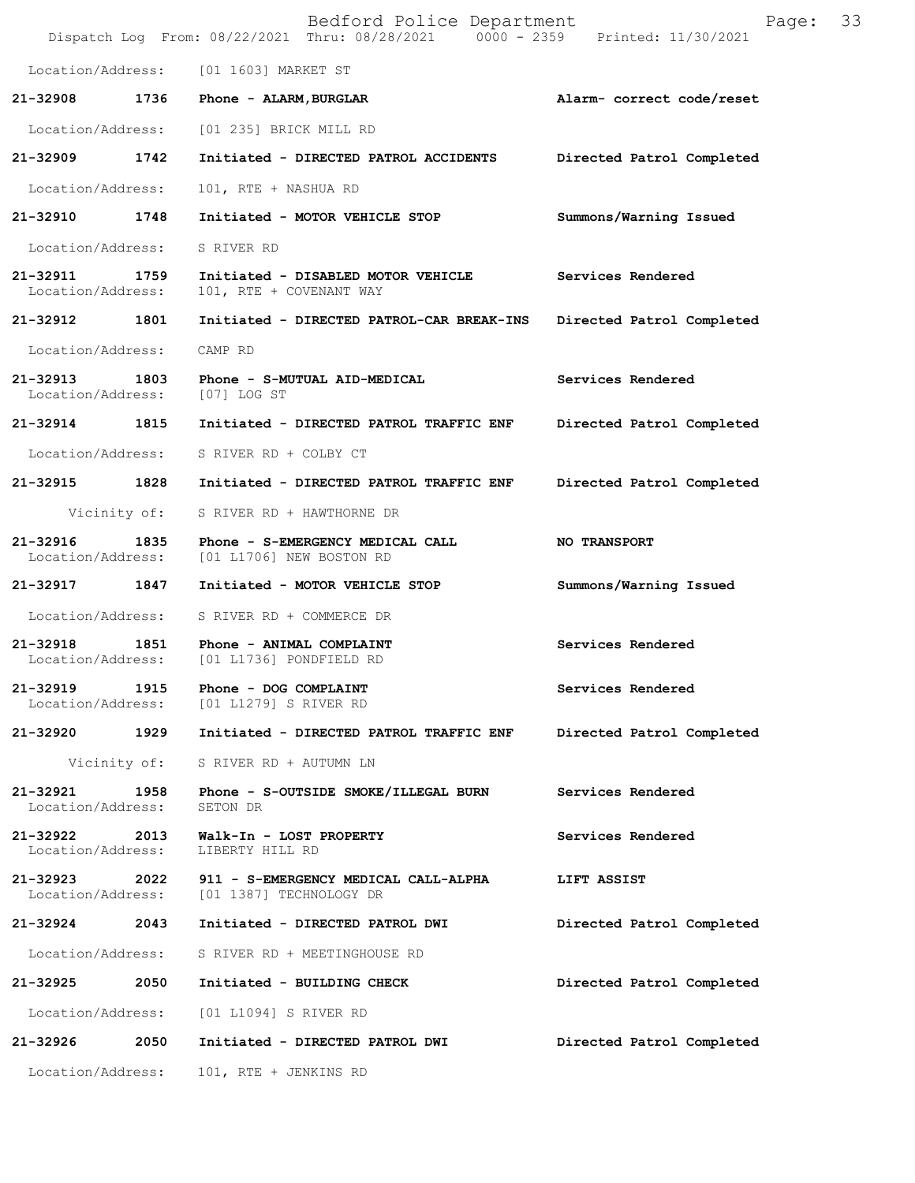|                                    |              | Bedford Police Department<br>Dispatch Log From: 08/22/2021 Thru: 08/28/2021 0000 - 2359 Printed: 11/30/2021 | Page:                     | 33 |
|------------------------------------|--------------|-------------------------------------------------------------------------------------------------------------|---------------------------|----|
|                                    |              | Location/Address: [01 1603] MARKET ST                                                                       |                           |    |
| 21-32908                           | 1736         | Phone - ALARM, BURGLAR                                                                                      | Alarm- correct code/reset |    |
|                                    |              | Location/Address: [01 235] BRICK MILL RD                                                                    |                           |    |
| 21-32909                           | 1742         | Initiated - DIRECTED PATROL ACCIDENTS                                                                       | Directed Patrol Completed |    |
| Location/Address:                  |              | 101, RTE + NASHUA RD                                                                                        |                           |    |
| 21-32910 1748                      |              | Initiated - MOTOR VEHICLE STOP                                                                              | Summons/Warning Issued    |    |
| Location/Address:                  |              | S RIVER RD                                                                                                  |                           |    |
| 21-32911 1759<br>Location/Address: |              | Initiated - DISABLED MOTOR VEHICLE<br>101, RTE + COVENANT WAY                                               | Services Rendered         |    |
| 21-32912                           | 1801         | Initiated - DIRECTED PATROL-CAR BREAK-INS                                                                   | Directed Patrol Completed |    |
| Location/Address:                  |              | CAMP RD                                                                                                     |                           |    |
| 21-32913 1803<br>Location/Address: |              | Phone - S-MUTUAL AID-MEDICAL<br>$[07]$ LOG ST                                                               | Services Rendered         |    |
| 21-32914 1815                      |              | Initiated - DIRECTED PATROL TRAFFIC ENF                                                                     | Directed Patrol Completed |    |
| Location/Address:                  |              | S RIVER RD + COLBY CT                                                                                       |                           |    |
| 21-32915                           | 1828         | Initiated - DIRECTED PATROL TRAFFIC ENF                                                                     | Directed Patrol Completed |    |
|                                    | Vicinity of: | S RIVER RD + HAWTHORNE DR                                                                                   |                           |    |
| 21-32916<br>Location/Address:      | 1835         | Phone - S-EMERGENCY MEDICAL CALL<br>[01 L1706] NEW BOSTON RD                                                | <b>NO TRANSPORT</b>       |    |
| 21-32917                           | 1847         | Initiated - MOTOR VEHICLE STOP                                                                              | Summons/Warning Issued    |    |
| Location/Address:                  |              | S RIVER RD + COMMERCE DR                                                                                    |                           |    |
| 21-32918                           |              | 1851 Phone - ANIMAL COMPLAINT<br>Location/Address: [01 L1736] PONDFIELD RD                                  | Services Rendered         |    |
| 21-32919<br>Location/Address:      | 1915         | Phone - DOG COMPLAINT<br>[01 L1279] S RIVER RD                                                              | Services Rendered         |    |
| 21-32920                           | 1929         | Initiated - DIRECTED PATROL TRAFFIC ENF                                                                     | Directed Patrol Completed |    |
|                                    | Vicinity of: | S RIVER RD + AUTUMN LN                                                                                      |                           |    |
| 21-32921<br>Location/Address:      | 1958         | Phone - S-OUTSIDE SMOKE/ILLEGAL BURN<br>SETON DR                                                            | Services Rendered         |    |
| 21-32922 2013<br>Location/Address: |              | Walk-In - LOST PROPERTY<br>LIBERTY HILL RD                                                                  | Services Rendered         |    |
| 21-32923                           | 2022         | 911 - S-EMERGENCY MEDICAL CALL-ALPHA<br>Location/Address: [01 1387] TECHNOLOGY DR                           | LIFT ASSIST               |    |
| 21-32924                           | 2043         | Initiated - DIRECTED PATROL DWI                                                                             | Directed Patrol Completed |    |
| Location/Address:                  |              | S RIVER RD + MEETINGHOUSE RD                                                                                |                           |    |
| 21-32925                           | 2050         | Initiated - BUILDING CHECK                                                                                  | Directed Patrol Completed |    |
| Location/Address:                  |              | [01 L1094] S RIVER RD                                                                                       |                           |    |
| 21-32926                           | 2050         | Initiated - DIRECTED PATROL DWI                                                                             | Directed Patrol Completed |    |
| Location/Address:                  |              | 101, RTE + JENKINS RD                                                                                       |                           |    |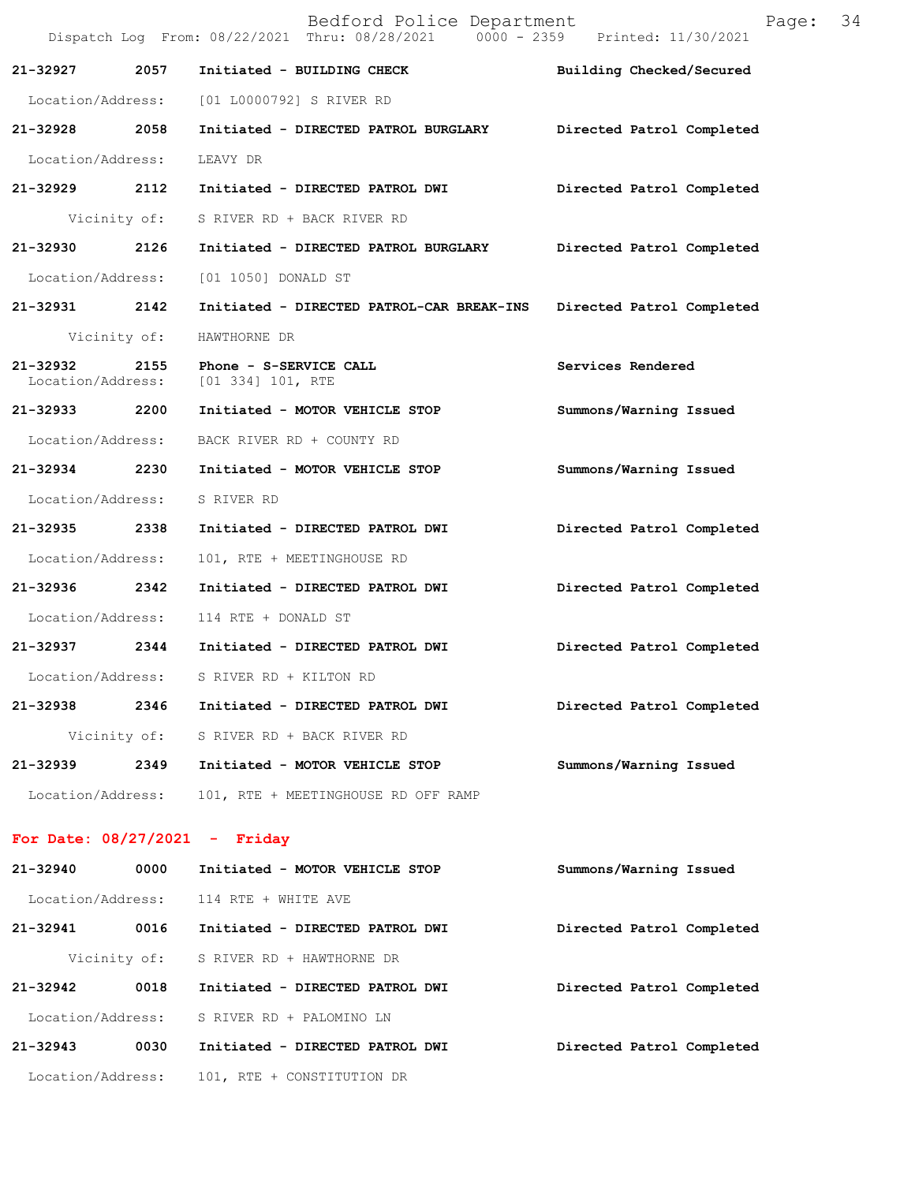|                               |              | Bedford Police Department<br>Dispatch Log From: 08/22/2021 Thru: 08/28/2021 0000 - 2359 Printed: 11/30/2021 | Page:                     | 34 |
|-------------------------------|--------------|-------------------------------------------------------------------------------------------------------------|---------------------------|----|
| 21-32927                      | 2057         | Initiated - BUILDING CHECK                                                                                  | Building Checked/Secured  |    |
|                               |              | Location/Address: [01 L0000792] S RIVER RD                                                                  |                           |    |
| 21-32928 2058                 |              | Initiated - DIRECTED PATROL BURGLARY                                                                        | Directed Patrol Completed |    |
| Location/Address:             |              | LEAVY DR                                                                                                    |                           |    |
| 21-32929 2112                 |              | Initiated - DIRECTED PATROL DWI                                                                             | Directed Patrol Completed |    |
|                               |              | Vicinity of: S RIVER RD + BACK RIVER RD                                                                     |                           |    |
| 21-32930                      | 2126         | Initiated - DIRECTED PATROL BURGLARY                                                                        | Directed Patrol Completed |    |
| Location/Address:             |              | [01 1050] DONALD ST                                                                                         |                           |    |
| 21-32931 2142                 |              | Initiated - DIRECTED PATROL-CAR BREAK-INS                                                                   | Directed Patrol Completed |    |
|                               | Vicinity of: | HAWTHORNE DR                                                                                                |                           |    |
| 21-32932<br>Location/Address: |              | 2155 Phone - S-SERVICE CALL<br>[01 334] 101, RTE                                                            | Services Rendered         |    |
| 21-32933 2200                 |              | Initiated - MOTOR VEHICLE STOP                                                                              | Summons/Warning Issued    |    |
|                               |              | Location/Address: BACK RIVER RD + COUNTY RD                                                                 |                           |    |
| 21-32934 2230                 |              | Initiated - MOTOR VEHICLE STOP                                                                              | Summons/Warning Issued    |    |
| Location/Address:             |              | S RIVER RD                                                                                                  |                           |    |
| 21-32935                      | 2338         | Initiated - DIRECTED PATROL DWI                                                                             | Directed Patrol Completed |    |
| Location/Address:             |              | 101, RTE + MEETINGHOUSE RD                                                                                  |                           |    |
| 21-32936 2342                 |              | Initiated - DIRECTED PATROL DWI                                                                             | Directed Patrol Completed |    |
| Location/Address:             |              | 114 RTE + DONALD ST                                                                                         |                           |    |
|                               |              | 21-32937 2344 Initiated - DIRECTED PATROL DWI                                                               | Directed Patrol Completed |    |
| Location/Address:             |              | S RIVER RD + KILTON RD                                                                                      |                           |    |
| 21-32938                      | 2346         | Initiated - DIRECTED PATROL DWI                                                                             | Directed Patrol Completed |    |
|                               | Vicinity of: | S RIVER RD + BACK RIVER RD                                                                                  |                           |    |
| 21-32939                      | 2349         | Initiated - MOTOR VEHICLE STOP                                                                              | Summons/Warning Issued    |    |
| Location/Address:             |              | 101, RTE + MEETINGHOUSE RD OFF RAMP                                                                         |                           |    |
|                               |              |                                                                                                             |                           |    |

## **For Date: 08/27/2021 - Friday**

| $21 - 32940$      | 0000 | Initiated - MOTOR VEHICLE STOP  | Summons/Warning Issued    |
|-------------------|------|---------------------------------|---------------------------|
| Location/Address: |      | 114 RTE + WHITE AVE             |                           |
| $21 - 32941$      | 0016 | Initiated - DIRECTED PATROL DWI | Directed Patrol Completed |
| Vicinity of:      |      | S RIVER RD + HAWTHORNE DR       |                           |
| $21 - 32942$      | 0018 | Initiated - DIRECTED PATROL DWI | Directed Patrol Completed |
| Location/Address: |      | S RIVER RD + PALOMINO LN        |                           |
| $21 - 32943$      | 0030 | Initiated - DIRECTED PATROL DWI | Directed Patrol Completed |
| Location/Address: |      | 101, RTE + CONSTITUTION DR      |                           |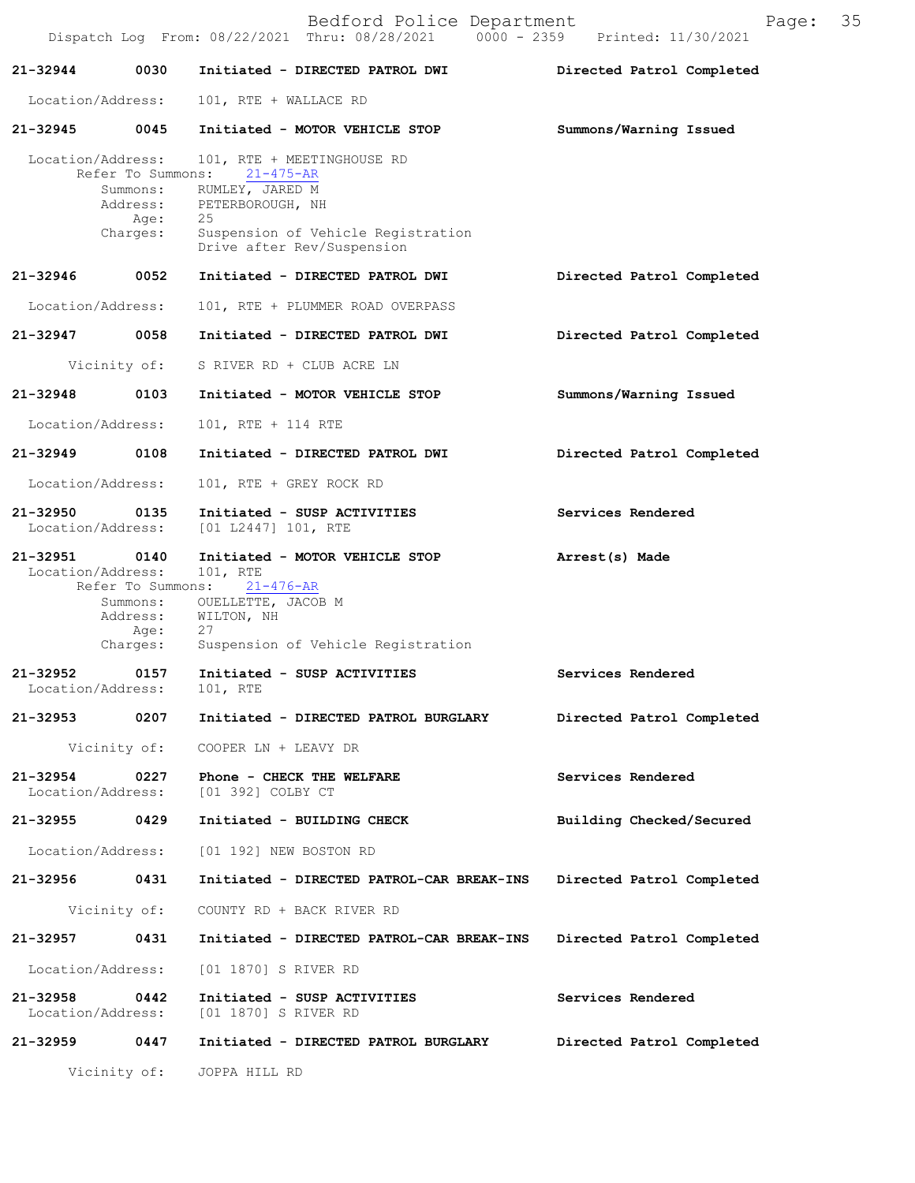|                                    |                                       | Bedford Police Department<br>Dispatch Log From: 08/22/2021 Thru: 08/28/2021 0000 - 2359 Printed: 11/30/2021                                                                | Page: 35                  |  |
|------------------------------------|---------------------------------------|----------------------------------------------------------------------------------------------------------------------------------------------------------------------------|---------------------------|--|
| 21-32944                           | 0030                                  | Initiated - DIRECTED PATROL DWI                                                                                                                                            | Directed Patrol Completed |  |
| Location/Address:                  |                                       | 101, RTE + WALLACE RD                                                                                                                                                      |                           |  |
| 21-32945                           | 0045                                  | Initiated - MOTOR VEHICLE STOP                                                                                                                                             | Summons/Warning Issued    |  |
| Location/Address:                  | Refer To Summons:<br>Age:<br>Charges: | 101, RTE + MEETINGHOUSE RD<br>21-475-AR<br>Summons: RUMLEY, JARED M<br>Address: PETERBOROUGH, NH<br>25<br>Suspension of Vehicle Registration<br>Drive after Rev/Suspension |                           |  |
| 21-32946                           | 0052                                  | Initiated - DIRECTED PATROL DWI                                                                                                                                            | Directed Patrol Completed |  |
| Location/Address:                  |                                       | 101, RTE + PLUMMER ROAD OVERPASS                                                                                                                                           |                           |  |
| 21-32947 0058                      |                                       | Initiated - DIRECTED PATROL DWI                                                                                                                                            | Directed Patrol Completed |  |
|                                    | Vicinity of:                          | S RIVER RD + CLUB ACRE LN                                                                                                                                                  |                           |  |
| 21-32948                           | 0103                                  | Initiated - MOTOR VEHICLE STOP                                                                                                                                             | Summons/Warning Issued    |  |
| Location/Address:                  |                                       | 101, RTE + 114 RTE                                                                                                                                                         |                           |  |
| 21-32949                           | 0108                                  | Initiated - DIRECTED PATROL DWI                                                                                                                                            | Directed Patrol Completed |  |
| Location/Address:                  |                                       | 101, RTE + GREY ROCK RD                                                                                                                                                    |                           |  |
| 21-32950<br>Location/Address:      | 0135                                  | Initiated - SUSP ACTIVITIES<br>[01 L2447] 101, RTE                                                                                                                         | Services Rendered         |  |
| 21-32951<br>Location/Address:      | 0140<br>Refer To Summons:<br>Age:     | Initiated - MOTOR VEHICLE STOP<br>101, RTE<br>21-476-AR<br>Summons: OUELLETTE, JACOB M<br>Address: WILTON, NH<br>27<br>Charges: Suspension of Vehicle Registration         | Arrest(s) Made            |  |
| 21-32952<br>Location/Address:      |                                       | 0157 Initiated - SUSP ACTIVITIES<br>101, RTE                                                                                                                               | Services Rendered         |  |
|                                    |                                       | 21-32953 0207 Initiated - DIRECTED PATROL BURGLARY                                                                                                                         | Directed Patrol Completed |  |
|                                    |                                       | Vicinity of: COOPER LN + LEAVY DR                                                                                                                                          |                           |  |
|                                    |                                       | 21-32954 0227 Phone - CHECK THE WELFARE<br>Location/Address: [01 392] COLBY CT                                                                                             | Services Rendered         |  |
| 21-32955 0429                      |                                       | Initiated - BUILDING CHECK                                                                                                                                                 | Building Checked/Secured  |  |
| Location/Address:                  |                                       | [01 192] NEW BOSTON RD                                                                                                                                                     |                           |  |
| 21-32956 0431                      |                                       | Initiated - DIRECTED PATROL-CAR BREAK-INS Directed Patrol Completed                                                                                                        |                           |  |
|                                    |                                       | Vicinity of: COUNTY RD + BACK RIVER RD                                                                                                                                     |                           |  |
| 21-32957 0431                      |                                       | Initiated - DIRECTED PATROL-CAR BREAK-INS                                                                                                                                  | Directed Patrol Completed |  |
| Location/Address:                  |                                       | [01 1870] S RIVER RD                                                                                                                                                       |                           |  |
| 21-32958 0442<br>Location/Address: |                                       | Initiated - SUSP ACTIVITIES<br>[01 1870] S RIVER RD                                                                                                                        | Services Rendered         |  |
|                                    |                                       | 21-32959 0447 Initiated - DIRECTED PATROL BURGLARY                                                                                                                         | Directed Patrol Completed |  |
|                                    |                                       | Vicinity of: JOPPA HILL RD                                                                                                                                                 |                           |  |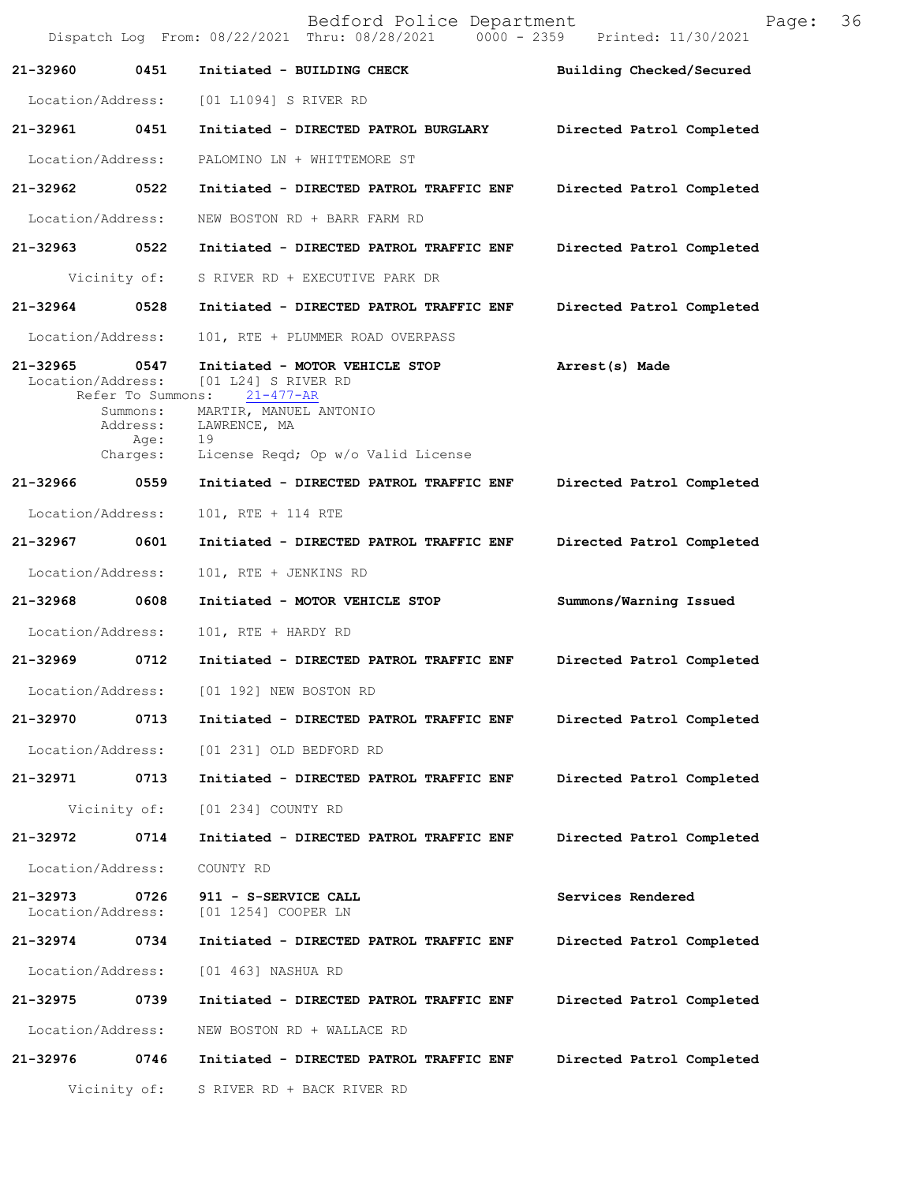|                               |                                                                       | Bedford Police Department<br>Dispatch Log From: 08/22/2021 Thru: 08/28/2021 0000 - 2359 Printed: 11/30/2021                                                      | 36<br>Page:               |
|-------------------------------|-----------------------------------------------------------------------|------------------------------------------------------------------------------------------------------------------------------------------------------------------|---------------------------|
| 21-32960                      | 0451                                                                  | Initiated - BUILDING CHECK                                                                                                                                       | Building Checked/Secured  |
| Location/Address:             |                                                                       | [01 L1094] S RIVER RD                                                                                                                                            |                           |
| 21-32961                      | 0451                                                                  | Initiated - DIRECTED PATROL BURGLARY                                                                                                                             | Directed Patrol Completed |
| Location/Address:             |                                                                       | PALOMINO LN + WHITTEMORE ST                                                                                                                                      |                           |
| 21-32962                      | 0522                                                                  | Initiated - DIRECTED PATROL TRAFFIC ENF                                                                                                                          | Directed Patrol Completed |
| Location/Address:             |                                                                       | NEW BOSTON RD + BARR FARM RD                                                                                                                                     |                           |
| 21-32963                      | 0522                                                                  | Initiated - DIRECTED PATROL TRAFFIC ENF                                                                                                                          | Directed Patrol Completed |
|                               | Vicinity of:                                                          | S RIVER RD + EXECUTIVE PARK DR                                                                                                                                   |                           |
| 21-32964                      | 0528                                                                  | Initiated - DIRECTED PATROL TRAFFIC ENF                                                                                                                          | Directed Patrol Completed |
| Location/Address:             |                                                                       | 101, RTE + PLUMMER ROAD OVERPASS                                                                                                                                 |                           |
| 21-32965<br>Location/Address: | 0547<br>Refer To Summons:<br>Summons:<br>Address:<br>Age:<br>Charges: | Initiated - MOTOR VEHICLE STOP<br>$[01 L24]$ S RIVER RD<br>$21 - 477 - AR$<br>MARTIR, MANUEL ANTONIO<br>LAWRENCE, MA<br>19<br>License Reqd; Op w/o Valid License | Arrest(s) Made            |
| 21-32966                      | 0559                                                                  | Initiated - DIRECTED PATROL TRAFFIC ENF                                                                                                                          | Directed Patrol Completed |
| Location/Address:             |                                                                       | 101, RTE + 114 RTE                                                                                                                                               |                           |
| 21-32967                      | 0601                                                                  | Initiated - DIRECTED PATROL TRAFFIC ENF                                                                                                                          | Directed Patrol Completed |
| Location/Address:             |                                                                       | 101, RTE + JENKINS RD                                                                                                                                            |                           |
| 21-32968                      | 0608                                                                  | Initiated - MOTOR VEHICLE STOP                                                                                                                                   | Summons/Warning Issued    |
| Location/Address:             |                                                                       | 101, RTE + HARDY RD                                                                                                                                              |                           |
| 21-32969                      | 0712                                                                  | Initiated - DIRECTED PATROL TRAFFIC ENF                                                                                                                          | Directed Patrol Completed |
| Location/Address:             |                                                                       | [01 192] NEW BOSTON RD                                                                                                                                           |                           |
| 21-32970                      | 0713                                                                  | Initiated - DIRECTED PATROL TRAFFIC ENF                                                                                                                          | Directed Patrol Completed |
| Location/Address:             |                                                                       | [01 231] OLD BEDFORD RD                                                                                                                                          |                           |
| 21-32971                      | 0713                                                                  | Initiated - DIRECTED PATROL TRAFFIC ENF                                                                                                                          | Directed Patrol Completed |
|                               | Vicinity of:                                                          | [01 234] COUNTY RD                                                                                                                                               |                           |
| 21-32972                      | 0714                                                                  | Initiated - DIRECTED PATROL TRAFFIC ENF                                                                                                                          | Directed Patrol Completed |
| Location/Address:             |                                                                       | COUNTY RD                                                                                                                                                        |                           |
| 21-32973<br>Location/Address: | 0726                                                                  | 911 - S-SERVICE CALL<br>[01 1254] COOPER LN                                                                                                                      | Services Rendered         |
| 21-32974                      | 0734                                                                  | Initiated - DIRECTED PATROL TRAFFIC ENF                                                                                                                          | Directed Patrol Completed |
| Location/Address:             |                                                                       | [01 463] NASHUA RD                                                                                                                                               |                           |
| 21-32975                      | 0739                                                                  | Initiated - DIRECTED PATROL TRAFFIC ENF                                                                                                                          | Directed Patrol Completed |
| Location/Address:             |                                                                       | NEW BOSTON RD + WALLACE RD                                                                                                                                       |                           |
| 21-32976                      | 0746                                                                  | Initiated - DIRECTED PATROL TRAFFIC ENF                                                                                                                          | Directed Patrol Completed |
|                               | Vicinity of:                                                          | S RIVER RD + BACK RIVER RD                                                                                                                                       |                           |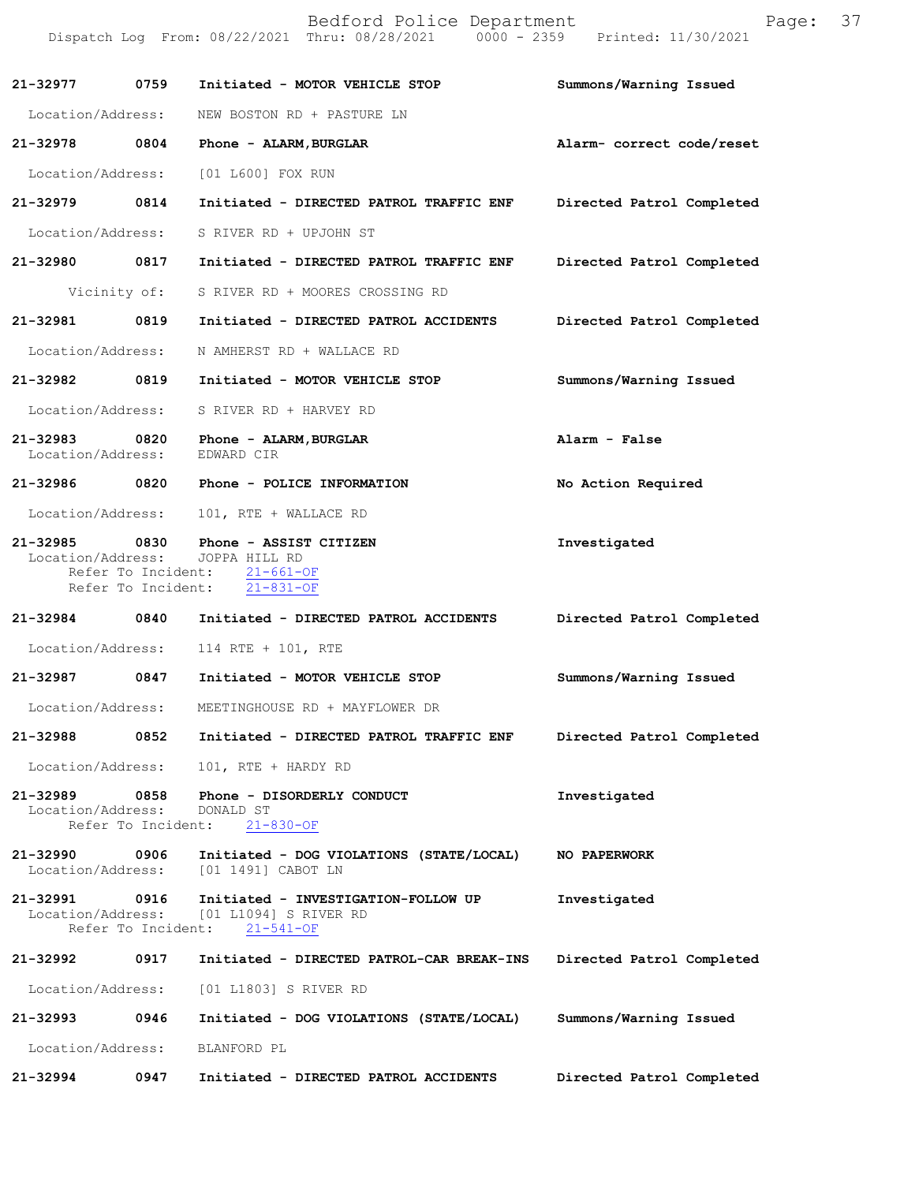|                                   |                                                  | Bedford Police Department<br>Dispatch Log From: 08/22/2021 Thru: 08/28/2021 0000 - 2359 Printed: 11/30/2021 | Page:                     | 37 |
|-----------------------------------|--------------------------------------------------|-------------------------------------------------------------------------------------------------------------|---------------------------|----|
| 21-32977                          | 0759                                             | Initiated - MOTOR VEHICLE STOP                                                                              | Summons/Warning Issued    |    |
|                                   | Location/Address:                                | NEW BOSTON RD + PASTURE LN                                                                                  |                           |    |
| 21-32978                          | 0804                                             | Phone - ALARM, BURGLAR                                                                                      | Alarm- correct code/reset |    |
| Location/Address:                 |                                                  | [01 L600] FOX RUN                                                                                           |                           |    |
| 21-32979                          | 0814                                             | Initiated - DIRECTED PATROL TRAFFIC ENF                                                                     | Directed Patrol Completed |    |
|                                   | Location/Address:                                | S RIVER RD + UPJOHN ST                                                                                      |                           |    |
| 21-32980                          | 0817                                             | Initiated - DIRECTED PATROL TRAFFIC ENF                                                                     | Directed Patrol Completed |    |
|                                   | Vicinity of:                                     | S RIVER RD + MOORES CROSSING RD                                                                             |                           |    |
| 21-32981                          | 0819                                             | Initiated - DIRECTED PATROL ACCIDENTS                                                                       | Directed Patrol Completed |    |
| Location/Address:                 |                                                  | N AMHERST RD + WALLACE RD                                                                                   |                           |    |
| 21-32982                          | 0819                                             | Initiated - MOTOR VEHICLE STOP                                                                              | Summons/Warning Issued    |    |
|                                   | Location/Address:                                | S RIVER RD + HARVEY RD                                                                                      |                           |    |
| 21-32983<br>Location/Address:     | 0820                                             | Phone - ALARM, BURGLAR<br>EDWARD CIR                                                                        | Alarm - False             |    |
| 21-32986                          | 0820                                             | Phone - POLICE INFORMATION                                                                                  | No Action Required        |    |
|                                   | Location/Address:                                | 101, RTE + WALLACE RD                                                                                       |                           |    |
| 21-32985<br>Location/Address:     | 0830<br>Refer To Incident:<br>Refer To Incident: | Phone - ASSIST CITIZEN<br>JOPPA HILL RD<br>$21 - 661 - OF$<br>$21 - 831 - OF$                               | Investigated              |    |
| 21-32984                          | 0840                                             | Initiated - DIRECTED PATROL ACCIDENTS                                                                       | Directed Patrol Completed |    |
|                                   | Location/Address:                                | 114 RTE + 101, RTE                                                                                          |                           |    |
| 21-32987                          | 0847                                             | Initiated - MOTOR VEHICLE STOP                                                                              | Summons/Warning Issued    |    |
|                                   | Location/Address:                                | MEETINGHOUSE RD + MAYFLOWER DR                                                                              |                           |    |
| 21-32988                          | 0852                                             | Initiated - DIRECTED PATROL TRAFFIC ENF                                                                     | Directed Patrol Completed |    |
| Location/Address:                 |                                                  | 101, RTE + HARDY RD                                                                                         |                           |    |
| $21 - 32989$<br>Location/Address: | 0858<br>Refer To Incident:                       | Phone - DISORDERLY CONDUCT<br>DONALD ST<br>$21 - 830 - OF$                                                  | Investigated              |    |
| 21-32990                          | 0906<br>Location/Address:                        | Initiated - DOG VIOLATIONS (STATE/LOCAL)<br>[01 1491] CABOT LN                                              | NO PAPERWORK              |    |
| 21-32991                          | 0916<br>Location/Address:<br>Refer To Incident:  | Initiated - INVESTIGATION-FOLLOW UP<br>[01 L1094] S RIVER RD<br>$21 - 541 - OF$                             | Investigated              |    |
| 21-32992                          | 0917                                             | Initiated - DIRECTED PATROL-CAR BREAK-INS                                                                   | Directed Patrol Completed |    |
| Location/Address:                 |                                                  | [01 L1803] S RIVER RD                                                                                       |                           |    |
| 21-32993                          | 0946                                             | Initiated - DOG VIOLATIONS (STATE/LOCAL)                                                                    | Summons/Warning Issued    |    |
| Location/Address:                 |                                                  | BLANFORD PL                                                                                                 |                           |    |
| 21-32994                          | 0947                                             | Initiated - DIRECTED PATROL ACCIDENTS                                                                       | Directed Patrol Completed |    |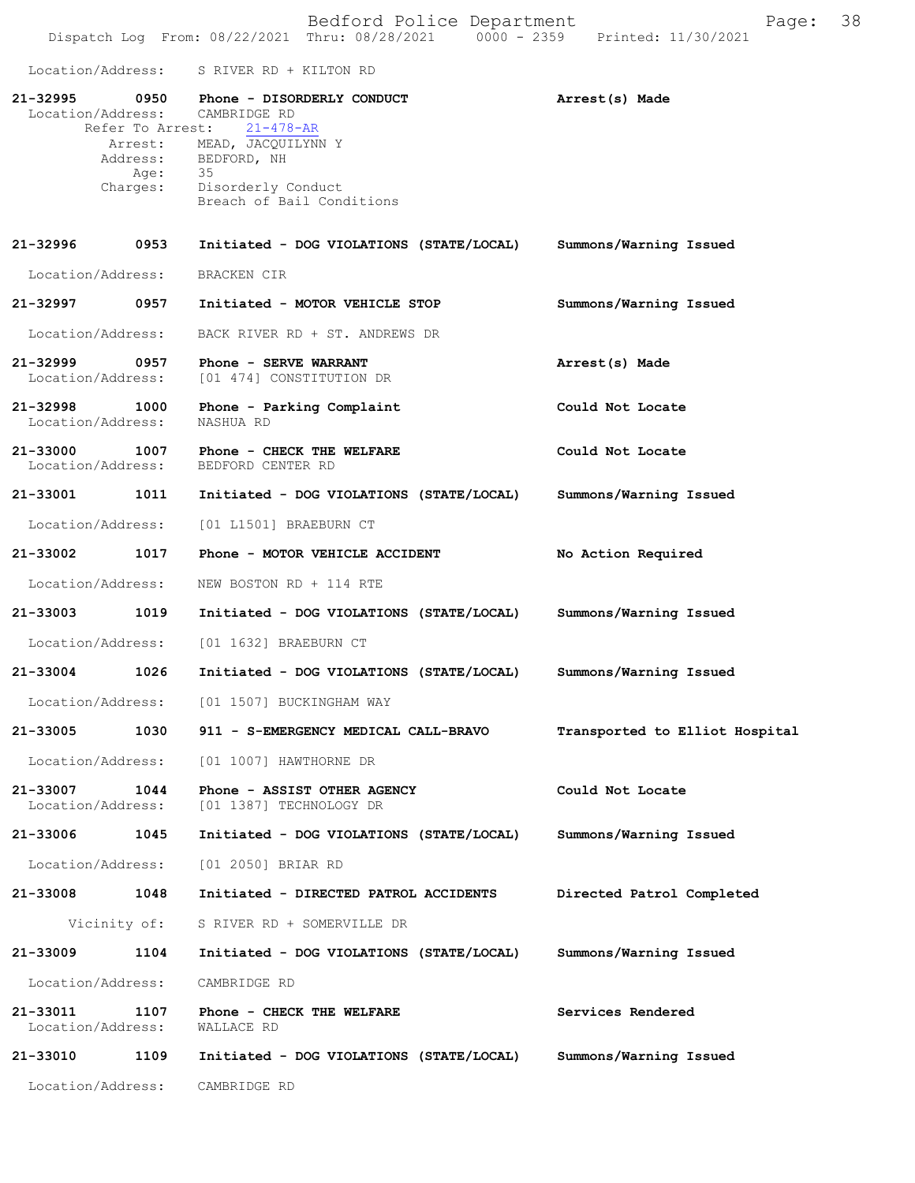Dispatch Log From: 08/22/2021 Thru: 08/28/2021 0000 - 2359 Printed: 11/30/2021 Location/Address: S RIVER RD + KILTON RD **21-32995 0950 Phone - DISORDERLY CONDUCT Arrest(s) Made** Location/Address: CAMBRIDGE RD Refer To Arrest: 21-478-AR Arrest: MEAD, JACQUILYNN Y<br>Address: BEDFORD, NH BEDFORD, NH Age: 35 Charges: Disorderly Conduct Breach of Bail Conditions **21-32996 0953 Initiated - DOG VIOLATIONS (STATE/LOCAL) Summons/Warning Issued** Location/Address: BRACKEN CIR **21-32997 0957 Initiated - MOTOR VEHICLE STOP Summons/Warning Issued** Location/Address: BACK RIVER RD + ST. ANDREWS DR **21-32999 0957 Phone - SERVE WARRANT Arrest(s) Made** Location/Address: [01 474] CONSTITUTION DR 21-32998 1000 Phone - Parking Complaint Could Not Locate Location/Address: NASHUA RD Location/Address: **21-33000 1007 Phone - CHECK THE WELFARE Could Not Locate** Location/Address: BEDFORD CENTER RD Location/Address: **21-33001 1011 Initiated - DOG VIOLATIONS (STATE/LOCAL) Summons/Warning Issued** Location/Address: [01 L1501] BRAEBURN CT **21-33002 1017 Phone - MOTOR VEHICLE ACCIDENT No Action Required** Location/Address: NEW BOSTON RD + 114 RTE **21-33003 1019 Initiated - DOG VIOLATIONS (STATE/LOCAL) Summons/Warning Issued** Location/Address: [01 1632] BRAEBURN CT **21-33004 1026 Initiated - DOG VIOLATIONS (STATE/LOCAL) Summons/Warning Issued** Location/Address: [01 1507] BUCKINGHAM WAY **21-33005 1030 911 - S-EMERGENCY MEDICAL CALL-BRAVO Transported to Elliot Hospital** Location/Address: [01 1007] HAWTHORNE DR **21-33007 1044 Phone - ASSIST OTHER AGENCY Could Not Locate** Location/Address: [01 1387] TECHNOLOGY DR **21-33006 1045 Initiated - DOG VIOLATIONS (STATE/LOCAL) Summons/Warning Issued** Location/Address: [01 2050] BRIAR RD **21-33008 1048 Initiated - DIRECTED PATROL ACCIDENTS Directed Patrol Completed** Vicinity of: S RIVER RD + SOMERVILLE DR **21-33009 1104 Initiated - DOG VIOLATIONS (STATE/LOCAL) Summons/Warning Issued** Location/Address: CAMBRIDGE RD **21-33011 1107 Phone - CHECK THE WELFARE Services Rendered Services Rendered** Location/Address: **21-33010 1109 Initiated - DOG VIOLATIONS (STATE/LOCAL) Summons/Warning Issued** Location/Address: CAMBRIDGE RD

Bedford Police Department Follow Page: 38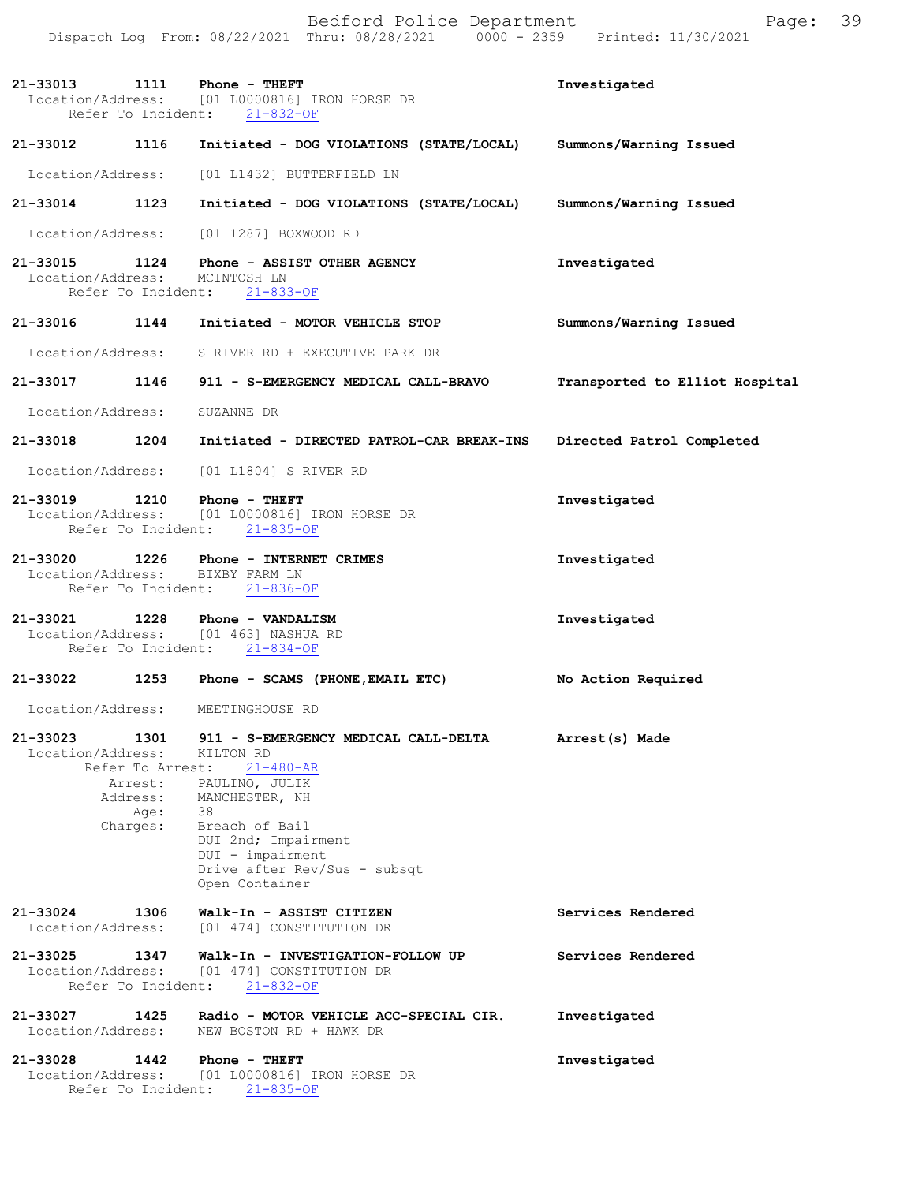Bedford Police Department Page: 39 Dispatch Log From: 08/22/2021 Thru: 08/28/2021 0000 - 2359 Printed: 11/30/2021

**21-33013 1111 Phone - THEFT Investigated** Location/Address: [01 L0000816] IRON HORSE DR Refer To Incident: 21-832-OF

**21-33012 1116 Initiated - DOG VIOLATIONS (STATE/LOCAL) Summons/Warning Issued** 

Location/Address: [01 L1432] BUTTERFIELD LN

**21-33014 1123 Initiated - DOG VIOLATIONS (STATE/LOCAL) Summons/Warning Issued**  Location/Address: [01 1287] BOXWOOD RD

**21-33015 1124 Investigated Phone - ASSIST OTHER AGENCY** Location/Address: MCINTOSH LN Refer To Incident: 21-833-OF

- **21-33016 1144 Initiated MOTOR VEHICLE STOP Summons/Warning Issued**  Location/Address: S RIVER RD + EXECUTIVE PARK DR
- **21-33017 1146 911 S-EMERGENCY MEDICAL CALL-BRAVO Transported to Elliot Hospital** Location/Address: SUZANNE DR

**21-33018 1204 Initiated - DIRECTED PATROL-CAR BREAK-INS Directed Patrol Completed** 

Location/Address: [01 L1804] S RIVER RD

- **21-33019 1210 Investigated Phone THEFT** Location/Address: [01 L0000816] IRON HORSE DR Refer To Incident: 21-835-OF
- **21-33020 1226 Investigated Phone INTERNET CRIMES** Location/Address: BIXBY FARM LN Refer To Incident: 21-836-OF
- **21-33021 1228 Investigated Phone VANDALISM** Location/Address: [01 463] NASHUA RD Refer To Incident: 21-834-OF

## **21-33022 1253 Phone - SCAMS (PHONE,EMAIL ETC) No Action Required**

Location/Address: MEETINGHOUSE RD

- 21-33023 1301 911 S-EMERGENCY MEDICAL CALL-DELTA **Arrest(s)** Made Location/Address: KILTON RD Refer To Arrest: 21-480-AR Arrest: PAULINO, JULIK Address: MANCHESTER, NH Age: 38 Charges: Breach of Bail DUI 2nd; Impairment DUI - impairment Drive after Rev/Sus - subsqt Open Container
- **Services Rendered**  21-33025 1347 Walk-In - INVESTIGATION-FOLLOW UP Services Rendered **21-33024 1306 Walk-In - ASSIST CITIZEN** [01 474] CONSTITUTION DR
- Location/Address: [01 474] CONSTITUTION DR Refer To Incident: 21-832-OF
- **21-33027 1425 Radio MOTOR VEHICLE ACC-SPECIAL CIR. Investigated**  Location/Address: NEW BOSTON RD + HAWK DR
- **21-33028 1442 Investigated Phone THEFT** Location/Address: [01 L0000816] IRON HORSE DR Refer To Incident: 21-835-OF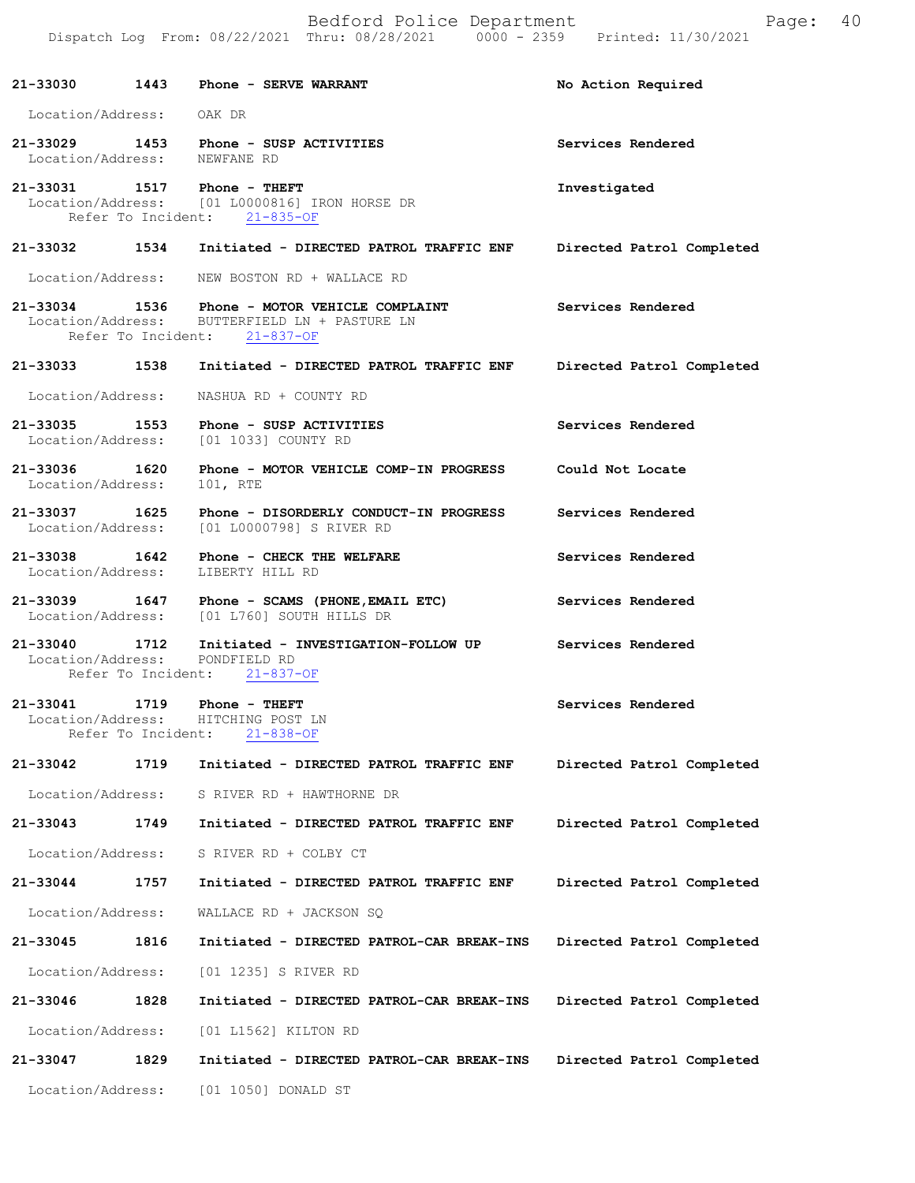|                               |                            | Bedford Police Department<br>Dispatch Log From: 08/22/2021 Thru: 08/28/2021 0000 - 2359 Printed: 11/30/2021                    | 40<br>Page:               |
|-------------------------------|----------------------------|--------------------------------------------------------------------------------------------------------------------------------|---------------------------|
|                               |                            | 21-33030 1443 Phone - SERVE WARRANT                                                                                            | No Action Required        |
| Location/Address: OAK DR      |                            |                                                                                                                                |                           |
|                               |                            | 21-33029 1453 Phone - SUSP ACTIVITIES<br>Location/Address: NEWFANE RD                                                          | Services Rendered         |
|                               |                            | 21-33031 1517 Phone - THEFT<br>Location/Address: [01 L0000816] IRON HORSE DR<br>Refer To Incident: 21-835-OF                   | Investigated              |
|                               |                            | 21-33032 1534 Initiated - DIRECTED PATROL TRAFFIC ENF                                                                          | Directed Patrol Completed |
|                               |                            | Location/Address: WEW BOSTON RD + WALLACE RD                                                                                   |                           |
|                               |                            | 21-33034 1536 Phone - MOTOR VEHICLE COMPLAINT<br>Location/Address: BUTTERFIELD LN + PASTURE LN<br>Refer To Incident: 21-837-OF | Services Rendered         |
|                               |                            | 21-33033 1538 Initiated - DIRECTED PATROL TRAFFIC ENF                                                                          | Directed Patrol Completed |
| Location/Address:             |                            | NASHUA RD + COUNTY RD                                                                                                          |                           |
|                               |                            | 21-33035 1553 Phone - SUSP ACTIVITIES<br>Location/Address: [01 1033] COUNTY RD                                                 | Services Rendered         |
| Location/Address:             |                            | 21-33036 1620 Phone - MOTOR VEHICLE COMP-IN PROGRESS<br>101, RTE                                                               | Could Not Locate          |
|                               |                            | 21-33037 1625 Phone - DISORDERLY CONDUCT-IN PROGRESS<br>Location/Address: [01 L0000798] S RIVER RD                             | Services Rendered         |
| Location/Address:             |                            | 21-33038 1642 Phone - CHECK THE WELFARE<br>LIBERTY HILL RD                                                                     | Services Rendered         |
|                               |                            | 21-33039 1647 Phone - SCAMS (PHONE, EMAIL ETC)<br>Location/Address: [01 L760] SOUTH HILLS DR                                   | Services Rendered         |
|                               | Refer To Incident:         | 21-33040 1712 Initiated - INVESTIGATION-FOLLOW UP<br>Location/Address: PONDFIELD RD<br>$21 - 837 - OF$                         | Services Rendered         |
| 21-33041<br>Location/Address: | 1719<br>Refer To Incident: | Phone - THEFT<br>HITCHING POST LN<br>$21 - 838 - OF$                                                                           | Services Rendered         |
| 21-33042                      | 1719                       | Initiated - DIRECTED PATROL TRAFFIC ENF                                                                                        | Directed Patrol Completed |
| Location/Address:             |                            | S RIVER RD + HAWTHORNE DR                                                                                                      |                           |
| 21-33043                      | 1749                       | Initiated - DIRECTED PATROL TRAFFIC ENF                                                                                        | Directed Patrol Completed |
| Location/Address:             |                            | S RIVER RD + COLBY CT                                                                                                          |                           |
| 21-33044                      | 1757                       | Initiated - DIRECTED PATROL TRAFFIC ENF                                                                                        | Directed Patrol Completed |
| Location/Address:             |                            | WALLACE RD + JACKSON SQ                                                                                                        |                           |
| 21-33045                      | 1816                       | Initiated - DIRECTED PATROL-CAR BREAK-INS                                                                                      | Directed Patrol Completed |
| Location/Address:             |                            | [01 1235] S RIVER RD                                                                                                           |                           |
| 21-33046                      | 1828                       | Initiated - DIRECTED PATROL-CAR BREAK-INS                                                                                      | Directed Patrol Completed |
| Location/Address:             |                            | [01 L1562] KILTON RD                                                                                                           |                           |
| 21-33047                      | 1829                       | Initiated - DIRECTED PATROL-CAR BREAK-INS                                                                                      | Directed Patrol Completed |
| Location/Address:             |                            | [01 1050] DONALD ST                                                                                                            |                           |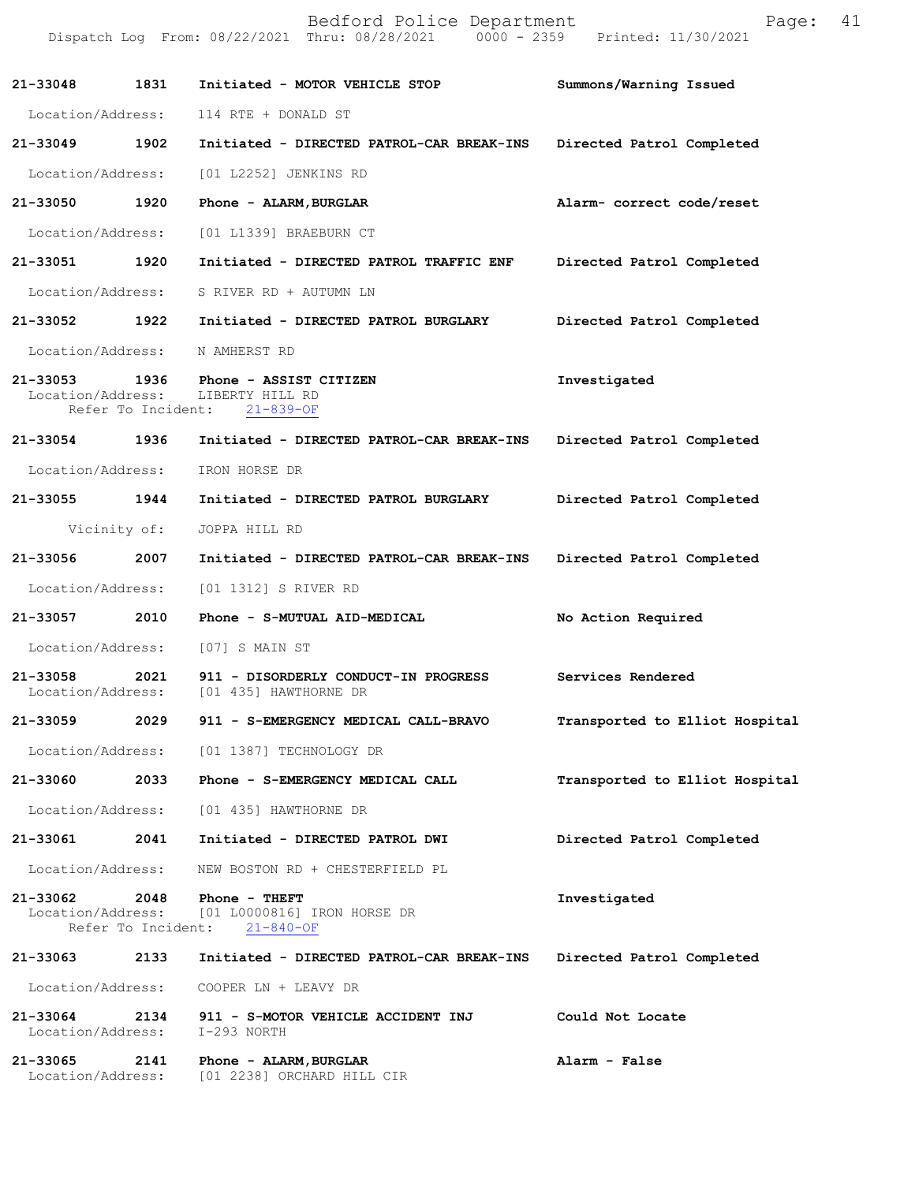|                               |                            | Bedford Police Department<br>Dispatch Log From: 08/22/2021 Thru: 08/28/2021 0000 - 2359 Printed: 11/30/2021 | Page:                          | 41 |
|-------------------------------|----------------------------|-------------------------------------------------------------------------------------------------------------|--------------------------------|----|
|                               |                            | 21-33048 1831 Initiated - MOTOR VEHICLE STOP                                                                | Summons/Warning Issued         |    |
|                               |                            | Location/Address: 114 RTE + DONALD ST                                                                       |                                |    |
| 21-33049 1902                 |                            | Initiated - DIRECTED PATROL-CAR BREAK-INS Directed Patrol Completed                                         |                                |    |
| Location/Address:             |                            | [01 L2252] JENKINS RD                                                                                       |                                |    |
| 21-33050 1920                 |                            | Phone - ALARM, BURGLAR                                                                                      | Alarm- correct code/reset      |    |
| Location/Address:             |                            | [01 L1339] BRAEBURN CT                                                                                      |                                |    |
| 21-33051 1920                 |                            | Initiated - DIRECTED PATROL TRAFFIC ENF                                                                     | Directed Patrol Completed      |    |
|                               |                            | Location/Address: S RIVER RD + AUTUMN LN                                                                    |                                |    |
|                               |                            | 21-33052 1922 Initiated - DIRECTED PATROL BURGLARY                                                          | Directed Patrol Completed      |    |
| Location/Address:             |                            | N AMHERST RD                                                                                                |                                |    |
|                               | Refer To Incident:         | 21-33053 1936 Phone - ASSIST CITIZEN<br>Location/Address: LIBERTY HILL RD<br>$21 - 839 - OF$                | Investigated                   |    |
|                               |                            | 21-33054 1936 Initiated - DIRECTED PATROL-CAR BREAK-INS                                                     | Directed Patrol Completed      |    |
| Location/Address:             |                            | IRON HORSE DR                                                                                               |                                |    |
| 21-33055 1944                 |                            | Initiated - DIRECTED PATROL BURGLARY                                                                        | Directed Patrol Completed      |    |
|                               | Vicinity of:               | JOPPA HILL RD                                                                                               |                                |    |
| 21-33056 2007                 |                            | Initiated - DIRECTED PATROL-CAR BREAK-INS                                                                   | Directed Patrol Completed      |    |
| Location/Address:             |                            | [01 1312] S RIVER RD                                                                                        |                                |    |
| 21-33057                      |                            | 2010 Phone - S-MUTUAL AID-MEDICAL                                                                           | No Action Required             |    |
|                               |                            | Location/Address: [07] S MAIN ST                                                                            |                                |    |
| 21-33058<br>Location/Address: | 2021                       | 911 - DISORDERLY CONDUCT-IN PROGRESS<br>[01 435] HAWTHORNE DR                                               | Services Rendered              |    |
| 21-33059                      | 2029                       | 911 - S-EMERGENCY MEDICAL CALL-BRAVO                                                                        | Transported to Elliot Hospital |    |
| Location/Address:             |                            | [01 1387] TECHNOLOGY DR                                                                                     |                                |    |
| 21-33060                      | 2033                       | Phone - S-EMERGENCY MEDICAL CALL                                                                            | Transported to Elliot Hospital |    |
| Location/Address:             |                            | [01 435] HAWTHORNE DR                                                                                       |                                |    |
| 21-33061                      | 2041                       | Initiated - DIRECTED PATROL DWI                                                                             | Directed Patrol Completed      |    |
| Location/Address:             |                            | NEW BOSTON RD + CHESTERFIELD PL                                                                             |                                |    |
| 21-33062<br>Location/Address: | 2048<br>Refer To Incident: | Phone - THEFT<br>[01 L0000816] IRON HORSE DR<br>$21 - 840 - OF$                                             | Investigated                   |    |
| 21-33063                      | 2133                       | Initiated - DIRECTED PATROL-CAR BREAK-INS                                                                   | Directed Patrol Completed      |    |
| Location/Address:             |                            | COOPER LN + LEAVY DR                                                                                        |                                |    |
| 21-33064<br>Location/Address: | 2134                       | 911 - S-MOTOR VEHICLE ACCIDENT INJ<br>I-293 NORTH                                                           | Could Not Locate               |    |
| 21-33065<br>Location/Address: | 2141                       | Phone - ALARM, BURGLAR<br>[01 2238] ORCHARD HILL CIR                                                        | Alarm - False                  |    |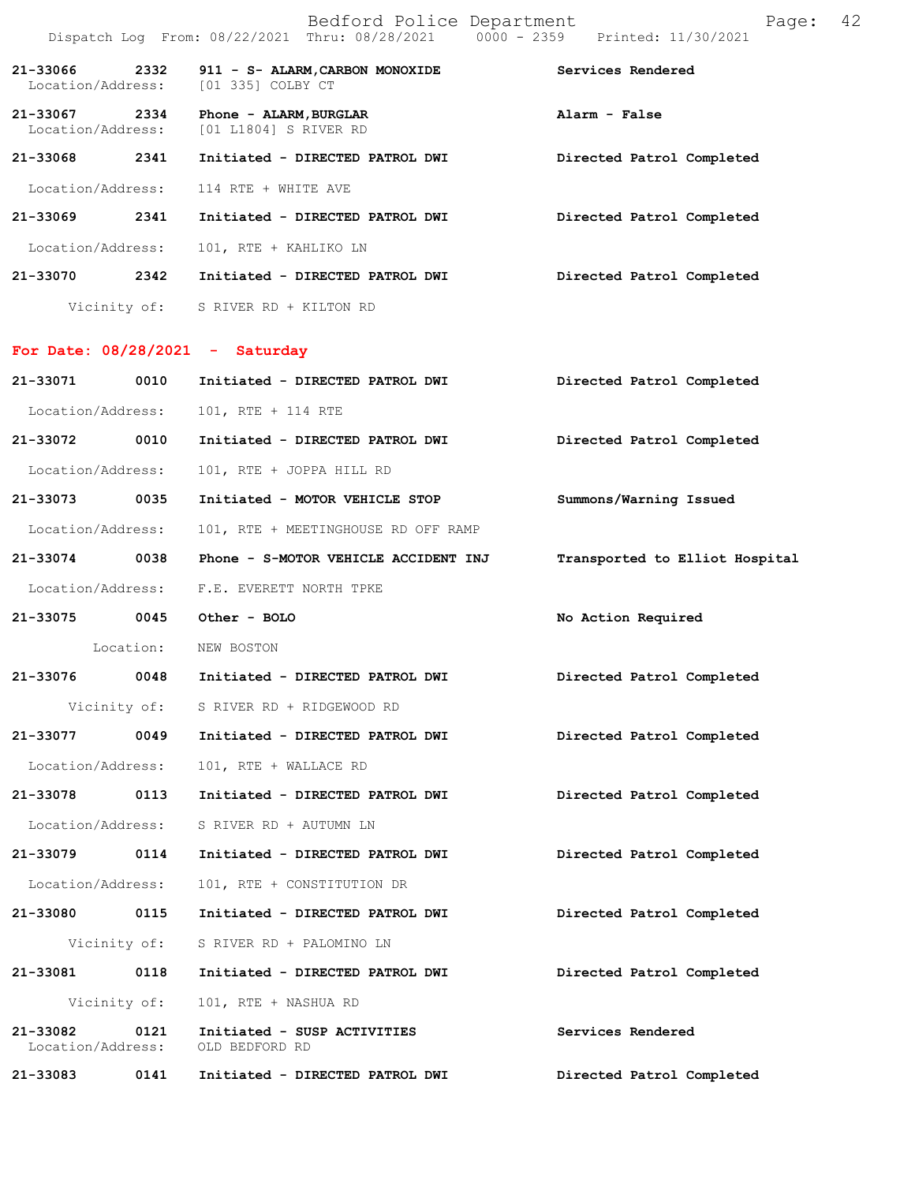|                                   |           | Bedford Police Department<br>Dispatch Log From: 08/22/2021 Thru: 08/28/2021 0000 - 2359 Printed: 11/30/2021 | 42<br>Page:                    |
|-----------------------------------|-----------|-------------------------------------------------------------------------------------------------------------|--------------------------------|
| 21-33066<br>Location/Address:     | 2332      | 911 - S- ALARM, CARBON MONOXIDE<br>[01 335] COLBY CT                                                        | Services Rendered              |
| 21-33067<br>Location/Address:     | 2334      | Phone - ALARM, BURGLAR<br>[01 L1804] S RIVER RD                                                             | Alarm - False                  |
| 21-33068                          | 2341      | Initiated - DIRECTED PATROL DWI                                                                             | Directed Patrol Completed      |
| Location/Address:                 |           | 114 RTE + WHITE AVE                                                                                         |                                |
| 21-33069                          | 2341      | Initiated - DIRECTED PATROL DWI                                                                             | Directed Patrol Completed      |
| Location/Address:                 |           | 101, RTE + KAHLIKO LN                                                                                       |                                |
| 21-33070                          | 2342      | Initiated - DIRECTED PATROL DWI                                                                             | Directed Patrol Completed      |
|                                   |           | Vicinity of: S RIVER RD + KILTON RD                                                                         |                                |
| For Date: $08/28/2021 -$ Saturday |           |                                                                                                             |                                |
| 21-33071                          | 0010      | Initiated - DIRECTED PATROL DWI                                                                             | Directed Patrol Completed      |
| Location/Address:                 |           | 101, RTE + 114 RTE                                                                                          |                                |
| 21-33072                          | 0010      | Initiated - DIRECTED PATROL DWI                                                                             | Directed Patrol Completed      |
| Location/Address:                 |           | 101, RTE + JOPPA HILL RD                                                                                    |                                |
| 21-33073                          | 0035      | Initiated - MOTOR VEHICLE STOP                                                                              | Summons/Warning Issued         |
| Location/Address:                 |           | 101, RTE + MEETINGHOUSE RD OFF RAMP                                                                         |                                |
| 21-33074                          | 0038      | Phone - S-MOTOR VEHICLE ACCIDENT INJ                                                                        | Transported to Elliot Hospital |
| Location/Address:                 |           | F.E. EVERETT NORTH TPKE                                                                                     |                                |
| 21-33075                          |           | 0045 Other - BOLO                                                                                           | No Action Required             |
|                                   | Location: | NEW BOSTON                                                                                                  |                                |
| 21-33076                          | 0048      | Initiated - DIRECTED PATROL DWI                                                                             | Directed Patrol Completed      |
|                                   |           | Vicinity of: S RIVER RD + RIDGEWOOD RD                                                                      |                                |
| 21-33077                          | 0049      | Initiated - DIRECTED PATROL DWI                                                                             | Directed Patrol Completed      |
| Location/Address:                 |           | 101, RTE + WALLACE RD                                                                                       |                                |
| 21-33078                          | 0113      | Initiated - DIRECTED PATROL DWI                                                                             | Directed Patrol Completed      |
| Location/Address:                 |           | S RIVER RD + AUTUMN LN                                                                                      |                                |
| 21-33079                          | 0114      | Initiated - DIRECTED PATROL DWI                                                                             | Directed Patrol Completed      |
| Location/Address:                 |           | 101, RTE + CONSTITUTION DR                                                                                  |                                |
| 21-33080                          | 0115      | Initiated - DIRECTED PATROL DWI                                                                             | Directed Patrol Completed      |
| Vicinity of:                      |           | S RIVER RD + PALOMINO LN                                                                                    |                                |
| 21-33081                          | 0118      | Initiated - DIRECTED PATROL DWI                                                                             | Directed Patrol Completed      |
| Vicinity of:                      |           | 101, RTE + NASHUA RD                                                                                        |                                |
| 21-33082<br>Location/Address:     | 0121      | Initiated - SUSP ACTIVITIES<br>OLD BEDFORD RD                                                               | Services Rendered              |
| 21-33083                          | 0141      | Initiated - DIRECTED PATROL DWI                                                                             | Directed Patrol Completed      |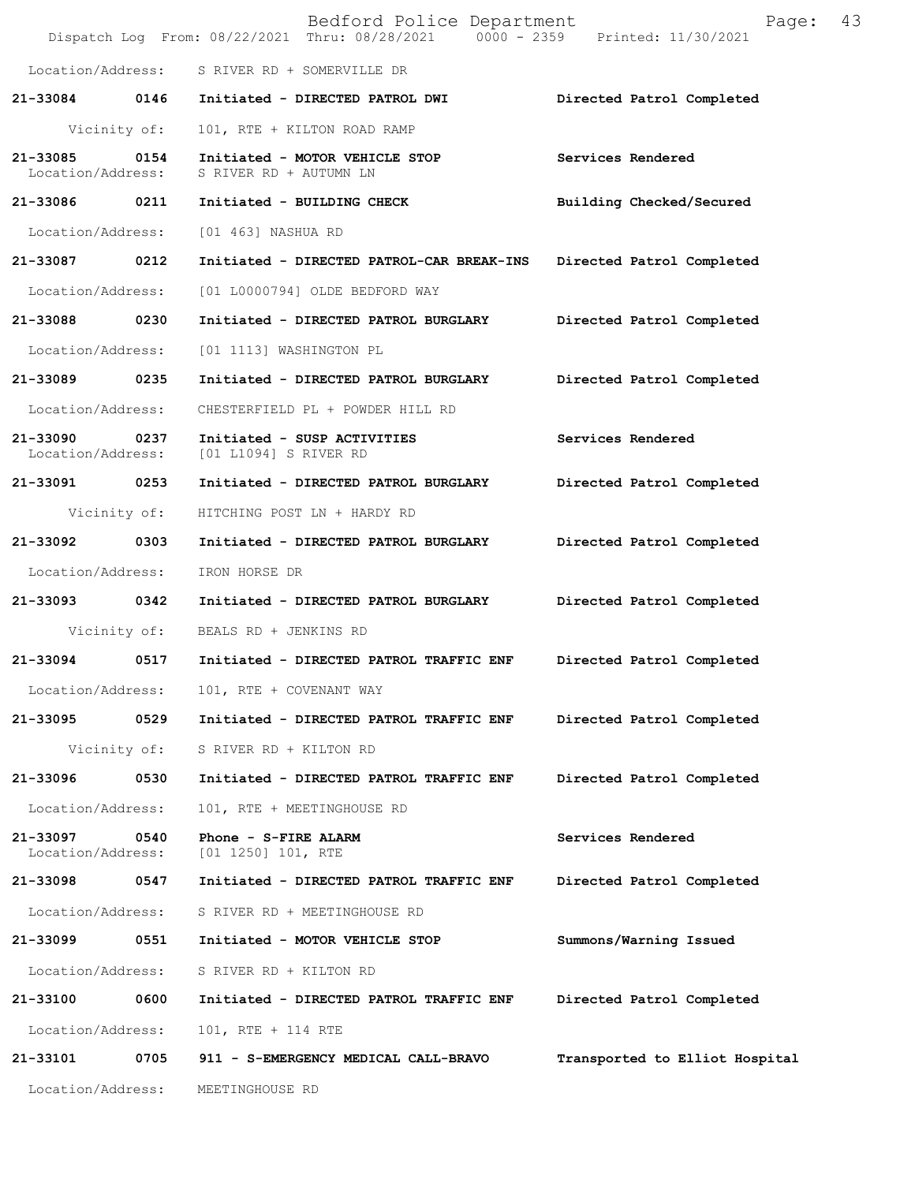|                               |              | Bedford Police Department<br>Dispatch Log From: 08/22/2021 Thru: 08/28/2021 0000 - 2359 Printed: 11/30/2021 | Page:                          | 43 |
|-------------------------------|--------------|-------------------------------------------------------------------------------------------------------------|--------------------------------|----|
|                               |              | Location/Address: S RIVER RD + SOMERVILLE DR                                                                |                                |    |
|                               |              | 21-33084 0146 Initiated - DIRECTED PATROL DWI                                                               | Directed Patrol Completed      |    |
|                               | Vicinity of: | 101, RTE + KILTON ROAD RAMP                                                                                 |                                |    |
| 21-33085<br>Location/Address: | 0154         | Initiated - MOTOR VEHICLE STOP<br>S RIVER RD + AUTUMN LN                                                    | Services Rendered              |    |
| 21-33086 0211                 |              | Initiated - BUILDING CHECK                                                                                  | Building Checked/Secured       |    |
| Location/Address:             |              | [01 463] NASHUA RD                                                                                          |                                |    |
| 21-33087 0212                 |              | Initiated - DIRECTED PATROL-CAR BREAK-INS Directed Patrol Completed                                         |                                |    |
| Location/Address:             |              | [01 L0000794] OLDE BEDFORD WAY                                                                              |                                |    |
| 21-33088 0230                 |              | Initiated - DIRECTED PATROL BURGLARY                                                                        | Directed Patrol Completed      |    |
| Location/Address:             |              | [01 1113] WASHINGTON PL                                                                                     |                                |    |
| 21-33089 0235                 |              | Initiated - DIRECTED PATROL BURGLARY                                                                        | Directed Patrol Completed      |    |
| Location/Address:             |              | CHESTERFIELD PL + POWDER HILL RD                                                                            |                                |    |
| 21-33090<br>Location/Address: | 0237         | Initiated - SUSP ACTIVITIES<br>[01 L1094] S RIVER RD                                                        | Services Rendered              |    |
| 21-33091 0253                 |              | Initiated - DIRECTED PATROL BURGLARY                                                                        | Directed Patrol Completed      |    |
|                               | Vicinity of: | HITCHING POST LN + HARDY RD                                                                                 |                                |    |
| 21-33092 0303                 |              | Initiated - DIRECTED PATROL BURGLARY                                                                        | Directed Patrol Completed      |    |
| Location/Address:             |              | IRON HORSE DR                                                                                               |                                |    |
| 21-33093 0342                 |              | Initiated - DIRECTED PATROL BURGLARY                                                                        | Directed Patrol Completed      |    |
|                               |              | Vicinity of: BEALS RD + JENKINS RD                                                                          |                                |    |
| 21-33094                      | 0517         | Initiated - DIRECTED PATROL TRAFFIC ENF                                                                     | Directed Patrol Completed      |    |
| Location/Address:             |              | 101, RTE + COVENANT WAY                                                                                     |                                |    |
| 21-33095                      | 0529         | Initiated - DIRECTED PATROL TRAFFIC ENF                                                                     | Directed Patrol Completed      |    |
|                               | Vicinity of: | S RIVER RD + KILTON RD                                                                                      |                                |    |
| 21-33096                      | 0530         | Initiated - DIRECTED PATROL TRAFFIC ENF                                                                     | Directed Patrol Completed      |    |
| Location/Address:             |              | 101, RTE + MEETINGHOUSE RD                                                                                  |                                |    |
| 21-33097<br>Location/Address: | 0540         | Phone - S-FIRE ALARM<br>$[01 1250] 101$ , RTE                                                               | Services Rendered              |    |
| 21-33098                      | 0547         | Initiated - DIRECTED PATROL TRAFFIC ENF                                                                     | Directed Patrol Completed      |    |
| Location/Address:             |              | S RIVER RD + MEETINGHOUSE RD                                                                                |                                |    |
| 21-33099                      | 0551         | Initiated - MOTOR VEHICLE STOP                                                                              | Summons/Warning Issued         |    |
| Location/Address:             |              | S RIVER RD + KILTON RD                                                                                      |                                |    |
| 21-33100                      | 0600         | Initiated - DIRECTED PATROL TRAFFIC ENF                                                                     | Directed Patrol Completed      |    |
| Location/Address:             |              | 101, RTE + 114 RTE                                                                                          |                                |    |
| 21-33101                      | 0705         | 911 - S-EMERGENCY MEDICAL CALL-BRAVO                                                                        | Transported to Elliot Hospital |    |
| Location/Address:             |              | MEETINGHOUSE RD                                                                                             |                                |    |
|                               |              |                                                                                                             |                                |    |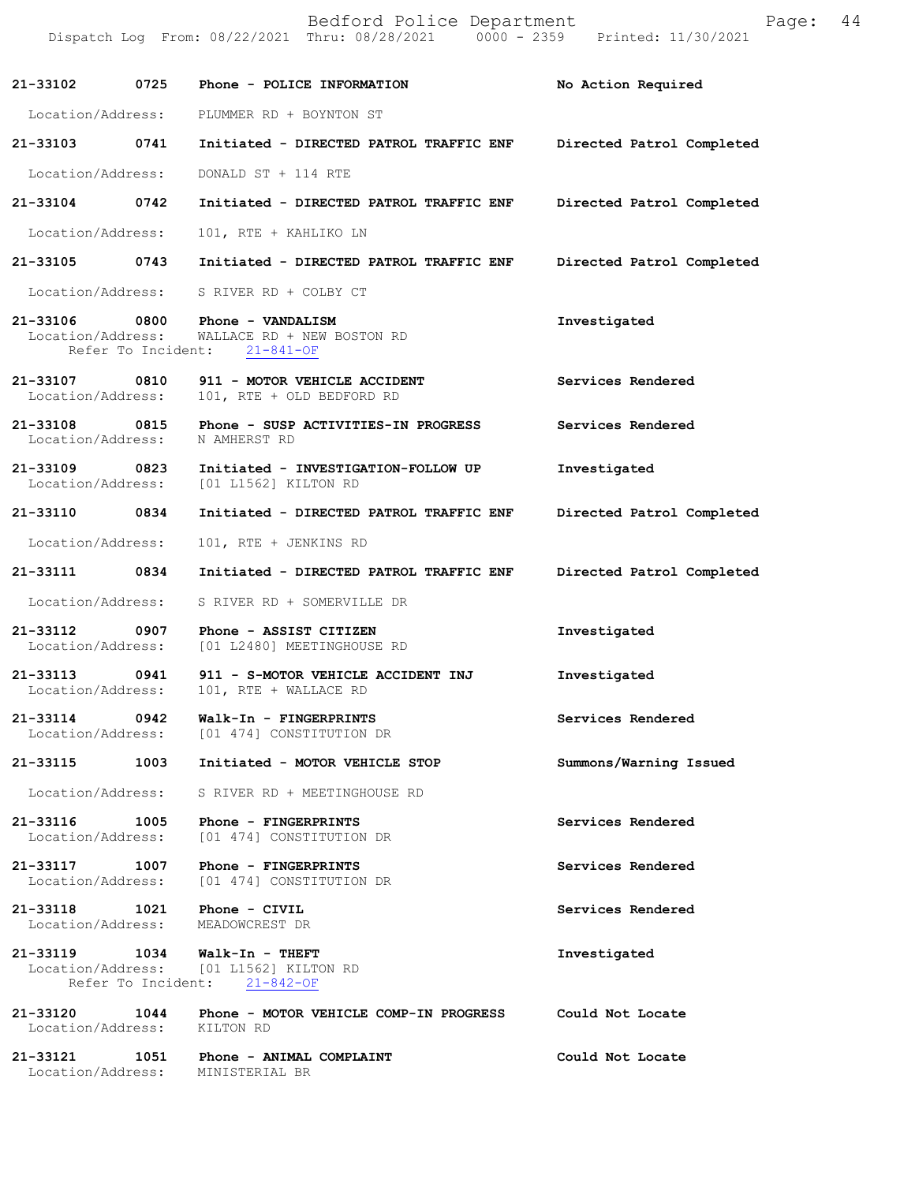|                                    |      | Bedford Police Department<br>Dispatch Log From: 08/22/2021 Thru: 08/28/2021 0000 - 2359 Printed: 11/30/2021   | Page:                     | 44 |
|------------------------------------|------|---------------------------------------------------------------------------------------------------------------|---------------------------|----|
| 21-33102                           | 0725 | Phone - POLICE INFORMATION                                                                                    | No Action Required        |    |
|                                    |      | Location/Address: PLUMMER RD + BOYNTON ST                                                                     |                           |    |
|                                    |      | 21-33103 0741 Initiated - DIRECTED PATROL TRAFFIC ENF Directed Patrol Completed                               |                           |    |
| Location/Address:                  |      | DONALD ST + 114 RTE                                                                                           |                           |    |
| 21-33104 0742                      |      | Initiated - DIRECTED PATROL TRAFFIC ENF                                                                       | Directed Patrol Completed |    |
| Location/Address:                  |      | 101, RTE + KAHLIKO LN                                                                                         |                           |    |
|                                    |      | 21-33105 0743 Initiated - DIRECTED PATROL TRAFFIC ENF                                                         | Directed Patrol Completed |    |
|                                    |      | Location/Address: S RIVER RD + COLBY CT                                                                       |                           |    |
| Location/Address:                  |      | 21-33106 0800 Phone - VANDALISM<br>WALLACE RD + NEW BOSTON RD<br>Refer To Incident: 21-841-OF                 | Investigated              |    |
| 21-33107<br>Location/Address:      |      | 0810 911 - MOTOR VEHICLE ACCIDENT<br>101, RTE + OLD BEDFORD RD                                                | Services Rendered         |    |
| 21-33108 0815<br>Location/Address: |      | Phone - SUSP ACTIVITIES-IN PROGRESS<br>N AMHERST RD                                                           | Services Rendered         |    |
| 21-33109                           |      | 0823 Initiated - INVESTIGATION-FOLLOW UP<br>Location/Address: [01 L1562] KILTON RD                            | Investigated              |    |
| 21-33110 0834                      |      | Initiated - DIRECTED PATROL TRAFFIC ENF                                                                       | Directed Patrol Completed |    |
| Location/Address:                  |      | 101, RTE + JENKINS RD                                                                                         |                           |    |
| 21-33111 0834                      |      | Initiated - DIRECTED PATROL TRAFFIC ENF                                                                       | Directed Patrol Completed |    |
| Location/Address:                  |      | S RIVER RD + SOMERVILLE DR                                                                                    |                           |    |
| 21-33112                           |      | 0907 Phone - ASSIST CITIZEN<br>Location/Address: [01 L2480] MEETINGHOUSE RD                                   | Investigated              |    |
| 21-33113 0941                      |      | 911 - S-MOTOR VEHICLE ACCIDENT INJ<br>Location/Address: 101, RTE + WALLACE RD                                 | Investigated              |    |
|                                    |      | 21-33114 0942 Walk-In - FINGERPRINTS<br>Location/Address: [01 474] CONSTITUTION DR                            | Services Rendered         |    |
|                                    |      | 21-33115 1003 Initiated - MOTOR VEHICLE STOP                                                                  | Summons/Warning Issued    |    |
|                                    |      | Location/Address: S RIVER RD + MEETINGHOUSE RD                                                                |                           |    |
|                                    |      | Location/Address: [01 474] CONSTITUTION DR                                                                    | Services Rendered         |    |
|                                    |      | 21-33117 1007 Phone - FINGERPRINTS<br>Location/Address: [01 474] CONSTITUTION DR                              | Services Rendered         |    |
|                                    |      | 21-33118    1021    Phone - CIVIL<br>Location/Address: MEADOWCREST DR                                         | Services Rendered         |    |
|                                    |      | 21-33119    1034    Walk-In - THEFT<br>Location/Address: [01 L1562] KILTON RD<br>Refer To Incident: 21-842-OF | Investigated              |    |
| Location/Address: KILTON RD        |      |                                                                                                               | Could Not Locate          |    |
|                                    |      | 21-33121 1051 Phone - ANIMAL COMPLAINT<br>Location/Address: MINISTERIAL BR                                    | Could Not Locate          |    |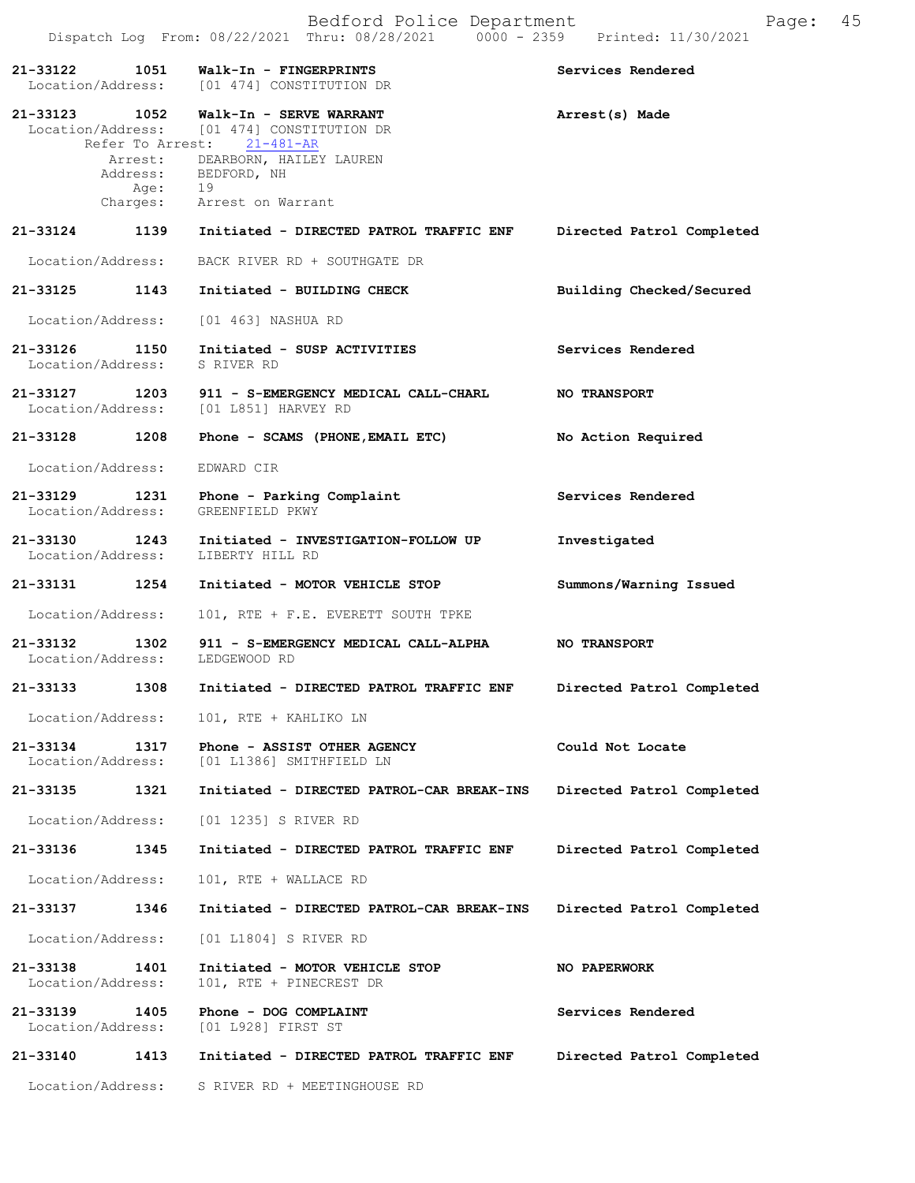Dispatch Log From: 08/22/2021 Thru: 08/28/2021 0000 - 2359 Printed: 11/30/2021 **21-33122 1051 Walk-In - FINGERPRINTS Services Rendered**  Location/Address: [01 474] CONSTITUTION DR **21-33123 1052 Walk-In - SERVE WARRANT Arrest(s) Made** Location/Address: [01 474] CONSTITUTION DR Refer To Arrest: 21-481-AR Arrest: DEARBORN, HAILEY LAUREN Address: BEDFORD, NH Age: 19 Charges: Arrest on Warrant **21-33124 1139 Initiated - DIRECTED PATROL TRAFFIC ENF Directed Patrol Completed** Location/Address: BACK RIVER RD + SOUTHGATE DR **21-33125 1143 Initiated - BUILDING CHECK Building Checked/Secured** Location/Address: [01 463] NASHUA RD **21-33126 1150 Initiated - SUSP ACTIVITIES Services Rendered** Location/Address: S RIVER RD **21-33127 1203 911 - S-EMERGENCY MEDICAL CALL-CHARL NO TRANSPORT**<br>Location/Address: [01 L851] HARVEY RD [01 L851] HARVEY RD **21-33128 1208 Phone - SCAMS (PHONE,EMAIL ETC) No Action Required** Location/Address: EDWARD CIR **21-33129 1231 Phone - Parking Complaint Services Rendered** Location/Address: GREENFIELD PKWY **21-33130 1243 Initiated - INVESTIGATION-FOLLOW UP Investigated** Location/Address: LIBERTY HILL RD **21-33131 1254 Initiated - MOTOR VEHICLE STOP Summons/Warning Issued** Location/Address: 101, RTE + F.E. EVERETT SOUTH TPKE **21-33132 1302 911 - S-EMERGENCY MEDICAL CALL-ALPHA NO TRANSPORT** Location/Address: LEDGEWOOD RD **21-33133 1308 Initiated - DIRECTED PATROL TRAFFIC ENF Directed Patrol Completed** Location/Address: 101, RTE + KAHLIKO LN **21-33134 1317 Phone - ASSIST OTHER AGENCY Could Not Locate Location**/Address: [01 L1386] SMITHFIELD LN Location/Address: [01 L1386] SMITHFIELD LN **21-33135 1321 Initiated - DIRECTED PATROL-CAR BREAK-INS Directed Patrol Completed** Location/Address: [01 1235] S RIVER RD **21-33136 1345 Initiated - DIRECTED PATROL TRAFFIC ENF Directed Patrol Completed** Location/Address: 101, RTE + WALLACE RD **21-33137 1346 Initiated - DIRECTED PATROL-CAR BREAK-INS Directed Patrol Completed** Location/Address: [01 L1804] S RIVER RD **21-33138 1401 Initiated - MOTOR VEHICLE STOP NO PAPERWORK** Location/Address: 101, RTE + PINECREST DR **21-33139 1405 Phone - DOG COMPLAINT 121-33139 1405 Phone - DOG COMPLAINT** 12000 Services Rendered [01 L928] FIRST ST **21-33140 1413 Initiated - DIRECTED PATROL TRAFFIC ENF Directed Patrol Completed**

Location/Address: S RIVER RD + MEETINGHOUSE RD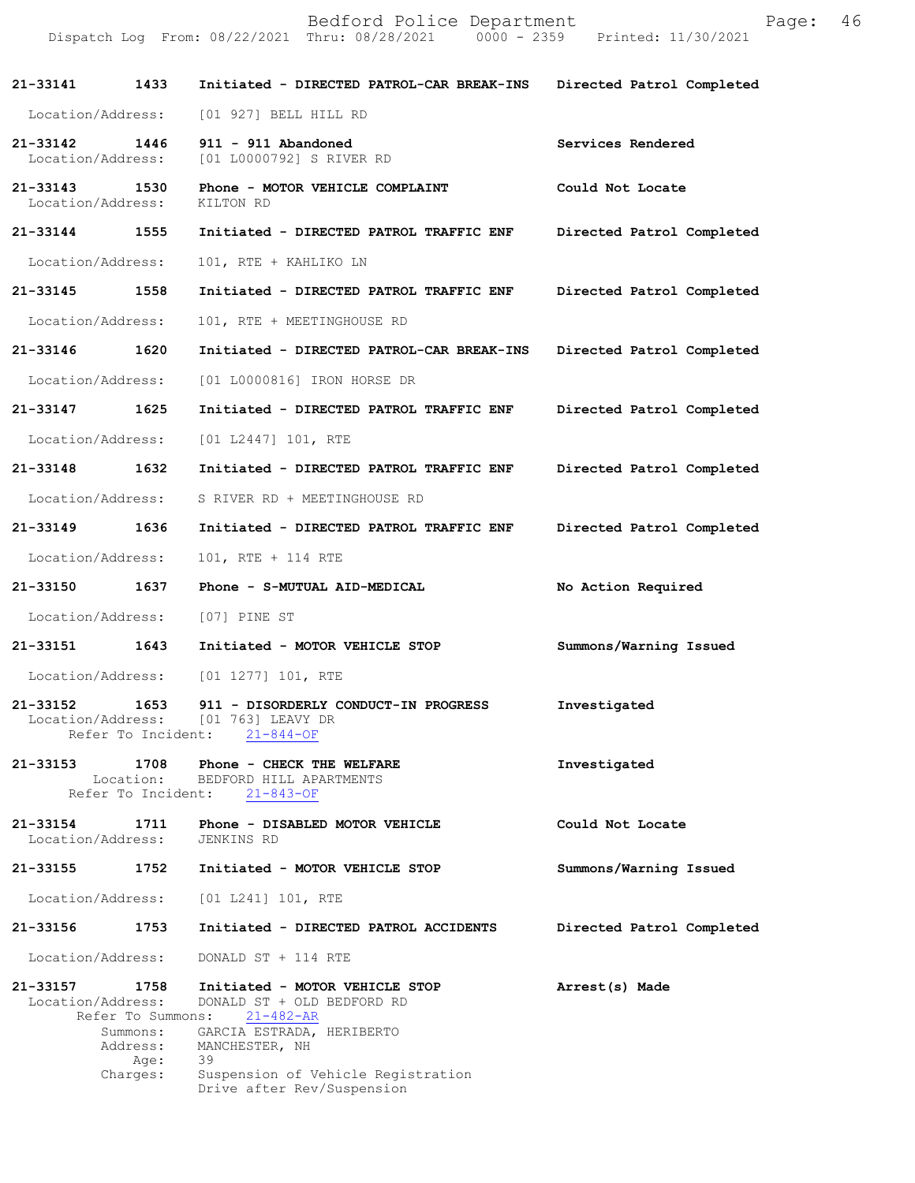|                                    |                                                                       | Bedford Police Department<br>Dispatch Log From: 08/22/2021 Thru: 08/28/2021 0000 - 2359 Printed: 11/30/2021                                                                                              | Page:                     | 46 |
|------------------------------------|-----------------------------------------------------------------------|----------------------------------------------------------------------------------------------------------------------------------------------------------------------------------------------------------|---------------------------|----|
| 21-33141 1433                      |                                                                       | Initiated - DIRECTED PATROL-CAR BREAK-INS                                                                                                                                                                | Directed Patrol Completed |    |
| Location/Address:                  |                                                                       | [01 927] BELL HILL RD                                                                                                                                                                                    |                           |    |
| 21-33142 1446<br>Location/Address: |                                                                       | 911 - 911 Abandoned<br>[01 L0000792] S RIVER RD                                                                                                                                                          | Services Rendered         |    |
| 21-33143<br>Location/Address:      | 1530                                                                  | Phone - MOTOR VEHICLE COMPLAINT<br>KILTON RD                                                                                                                                                             | Could Not Locate          |    |
| 21-33144 1555                      |                                                                       | Initiated - DIRECTED PATROL TRAFFIC ENF                                                                                                                                                                  | Directed Patrol Completed |    |
| Location/Address:                  |                                                                       | 101, RTE + KAHLIKO LN                                                                                                                                                                                    |                           |    |
| 21-33145 1558                      |                                                                       | Initiated - DIRECTED PATROL TRAFFIC ENF                                                                                                                                                                  | Directed Patrol Completed |    |
| Location/Address:                  |                                                                       | 101, RTE + MEETINGHOUSE RD                                                                                                                                                                               |                           |    |
| 21-33146                           | 1620                                                                  | Initiated - DIRECTED PATROL-CAR BREAK-INS                                                                                                                                                                | Directed Patrol Completed |    |
| Location/Address:                  |                                                                       | [01 L0000816] IRON HORSE DR                                                                                                                                                                              |                           |    |
| 21-33147                           | 1625                                                                  | Initiated - DIRECTED PATROL TRAFFIC ENF                                                                                                                                                                  | Directed Patrol Completed |    |
| Location/Address:                  |                                                                       | [01 L2447] 101, RTE                                                                                                                                                                                      |                           |    |
| 21-33148 1632                      |                                                                       | Initiated - DIRECTED PATROL TRAFFIC ENF                                                                                                                                                                  | Directed Patrol Completed |    |
| Location/Address:                  |                                                                       | S RIVER RD + MEETINGHOUSE RD                                                                                                                                                                             |                           |    |
| 21-33149                           | 1636                                                                  | Initiated - DIRECTED PATROL TRAFFIC ENF                                                                                                                                                                  | Directed Patrol Completed |    |
| Location/Address:                  |                                                                       | 101, RTE + 114 RTE                                                                                                                                                                                       |                           |    |
| 21-33150                           | 1637                                                                  | Phone - S-MUTUAL AID-MEDICAL                                                                                                                                                                             | No Action Required        |    |
| Location/Address:                  |                                                                       | [07] PINE ST                                                                                                                                                                                             |                           |    |
| 21-33151 1643                      |                                                                       | Initiated - MOTOR VEHICLE STOP                                                                                                                                                                           | Summons/Warning Issued    |    |
| Location/Address:                  |                                                                       | $[01 1277] 101$ , RTE                                                                                                                                                                                    |                           |    |
| 21-33152                           | 1653<br>Refer To Incident:                                            | 911 - DISORDERLY CONDUCT-IN PROGRESS<br>Location/Address: [01 763] LEAVY DR<br>$21 - 844 - OF$                                                                                                           | Investigated              |    |
| 21-33153                           | 1708<br>Location:<br>Refer To Incident:                               | Phone - CHECK THE WELFARE<br>BEDFORD HILL APARTMENTS<br>$21 - 843 - OF$                                                                                                                                  | Investigated              |    |
| 21-33154<br>Location/Address:      | 1711                                                                  | Phone - DISABLED MOTOR VEHICLE<br>JENKINS RD                                                                                                                                                             | Could Not Locate          |    |
| 21-33155                           | 1752                                                                  | Initiated - MOTOR VEHICLE STOP                                                                                                                                                                           | Summons/Warning Issued    |    |
| Location/Address:                  |                                                                       | [01 L241] 101, RTE                                                                                                                                                                                       |                           |    |
| 21-33156                           | 1753                                                                  | Initiated - DIRECTED PATROL ACCIDENTS                                                                                                                                                                    | Directed Patrol Completed |    |
| Location/Address:                  |                                                                       | DONALD ST + 114 RTE                                                                                                                                                                                      |                           |    |
| 21-33157<br>Location/Address:      | 1758<br>Refer To Summons:<br>Summons:<br>Address:<br>Age:<br>Charges: | Initiated - MOTOR VEHICLE STOP<br>DONALD ST + OLD BEDFORD RD<br>$21 - 482 - AR$<br>GARCIA ESTRADA, HERIBERTO<br>MANCHESTER, NH<br>39<br>Suspension of Vehicle Registration<br>Drive after Rev/Suspension | Arrest(s) Made            |    |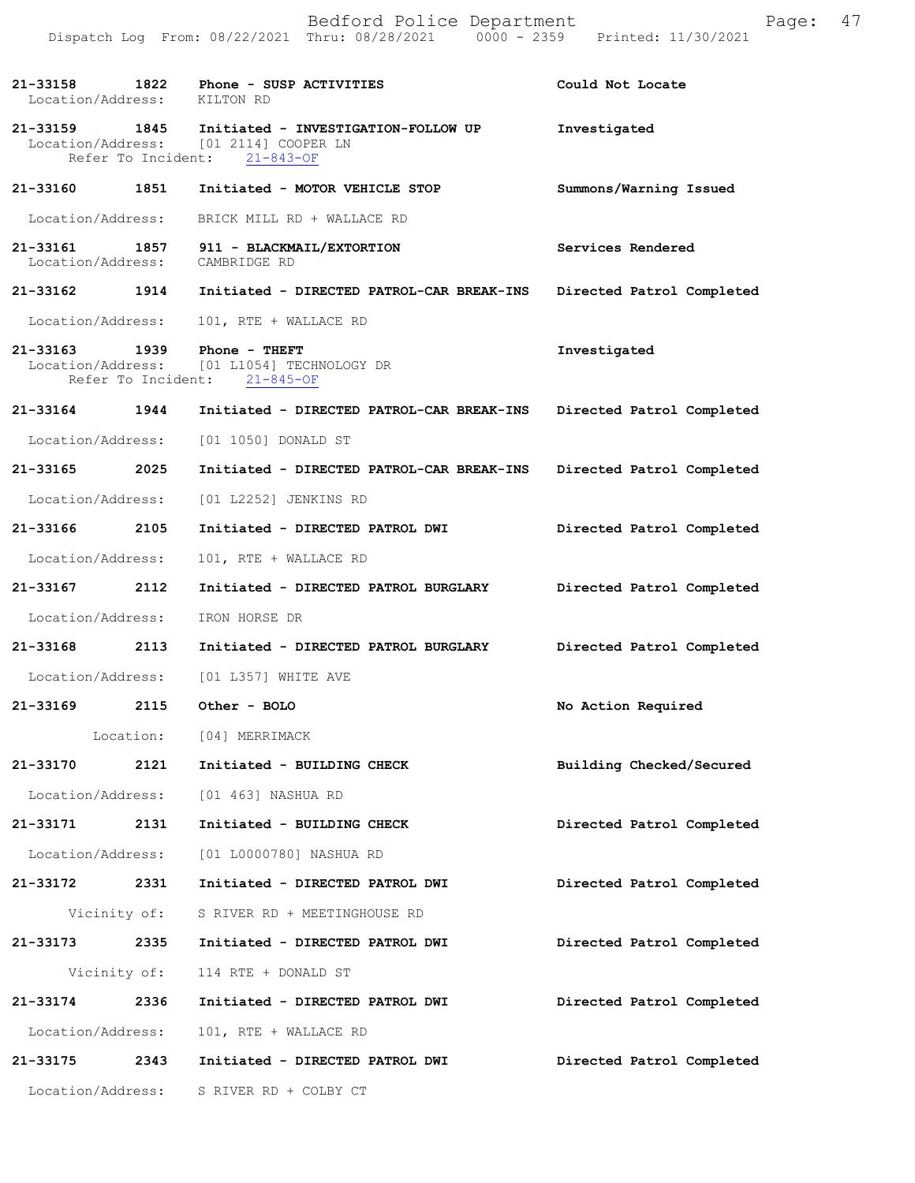|                             |      | Bedford Police Department<br>Dispatch Log From: 08/22/2021 Thru: 08/28/2021 0000 - 2359 Printed: 11/30/2021                | Page:                     | 47 |
|-----------------------------|------|----------------------------------------------------------------------------------------------------------------------------|---------------------------|----|
| Location/Address: KILTON RD |      | 21-33158 1822 Phone - SUSP ACTIVITIES                                                                                      | Could Not Locate          |    |
|                             |      | 21-33159 1845 Initiated - INVESTIGATION-FOLLOW UP<br>Location/Address: [01 2114] COOPER LN<br>Refer To Incident: 21-843-OF | Investigated              |    |
|                             |      | 21-33160 1851 Initiated - MOTOR VEHICLE STOP                                                                               | Summons/Warning Issued    |    |
|                             |      | Location/Address: BRICK MILL RD + WALLACE RD                                                                               |                           |    |
|                             |      | 21-33161 1857 911 - BLACKMAIL/EXTORTION<br>Location/Address: CAMBRIDGE RD                                                  | Services Rendered         |    |
|                             |      | 21-33162 1914 Initiated - DIRECTED PATROL-CAR BREAK-INS                                                                    | Directed Patrol Completed |    |
| Location/Address:           |      | 101, RTE + WALLACE RD                                                                                                      |                           |    |
|                             |      | 21-33163 1939 Phone - THEFT<br>Location/Address: [01 L1054] TECHNOLOGY DR<br>Refer To Incident: 21-845-OF                  | Investigated              |    |
|                             |      | 21-33164 1944 Initiated - DIRECTED PATROL-CAR BREAK-INS                                                                    | Directed Patrol Completed |    |
| Location/Address:           |      | [01 1050] DONALD ST                                                                                                        |                           |    |
| 21-33165 2025               |      | Initiated - DIRECTED PATROL-CAR BREAK-INS                                                                                  | Directed Patrol Completed |    |
| Location/Address:           |      | [01 L2252] JENKINS RD                                                                                                      |                           |    |
| 21-33166 2105               |      | Initiated - DIRECTED PATROL DWI                                                                                            | Directed Patrol Completed |    |
| Location/Address:           |      | 101, RTE + WALLACE RD                                                                                                      |                           |    |
| 21-33167                    | 2112 | Initiated - DIRECTED PATROL BURGLARY                                                                                       | Directed Patrol Completed |    |
| Location/Address:           |      | IRON HORSE DR                                                                                                              |                           |    |
| 21-33168 2113               |      | Initiated - DIRECTED PATROL BURGLARY                                                                                       | Directed Patrol Completed |    |
| Location/Address:           |      | [01 L357] WHITE AVE                                                                                                        |                           |    |
|                             |      | 21-33169 2115 Other - BOLO                                                                                                 | No Action Required        |    |
|                             |      | Location: [04] MERRIMACK                                                                                                   |                           |    |
|                             |      | 21-33170 2121 Initiated - BUILDING CHECK                                                                                   | Building Checked/Secured  |    |
|                             |      | Location/Address: [01 463] NASHUA RD                                                                                       |                           |    |
| 21-33171                    | 2131 | Initiated - BUILDING CHECK                                                                                                 | Directed Patrol Completed |    |
|                             |      | Location/Address: [01 L0000780] NASHUA RD                                                                                  |                           |    |
| 21-33172 2331               |      | Initiated - DIRECTED PATROL DWI                                                                                            | Directed Patrol Completed |    |
|                             |      | Vicinity of: S RIVER RD + MEETINGHOUSE RD                                                                                  |                           |    |
| 21-33173 2335               |      | Initiated - DIRECTED PATROL DWI                                                                                            | Directed Patrol Completed |    |
|                             |      | Vicinity of: 114 RTE + DONALD ST                                                                                           |                           |    |
| 21-33174 2336               |      | Initiated - DIRECTED PATROL DWI                                                                                            | Directed Patrol Completed |    |
| Location/Address:           |      | 101, RTE + WALLACE RD                                                                                                      |                           |    |
| 21-33175                    | 2343 | Initiated - DIRECTED PATROL DWI                                                                                            | Directed Patrol Completed |    |
| Location/Address:           |      | S RIVER RD + COLBY CT                                                                                                      |                           |    |